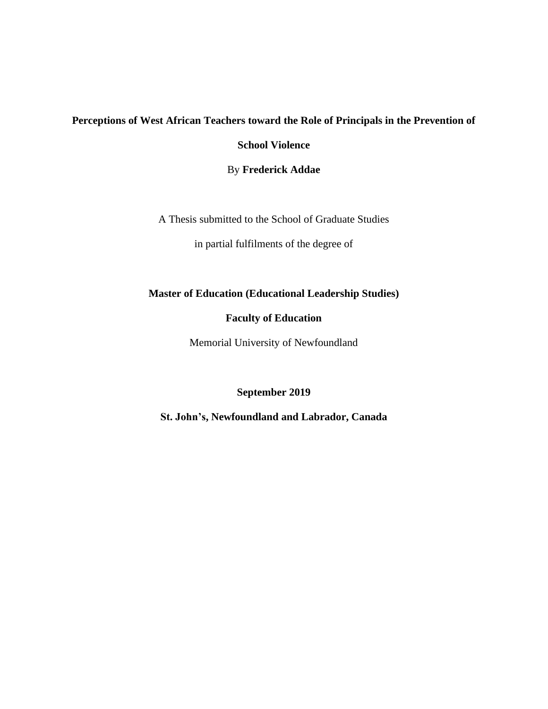# **Perceptions of West African Teachers toward the Role of Principals in the Prevention of**

**School Violence**

By **Frederick Addae**

A Thesis submitted to the School of Graduate Studies

in partial fulfilments of the degree of

# **Master of Education (Educational Leadership Studies)**

## **Faculty of Education**

Memorial University of Newfoundland

## **September 2019**

<span id="page-0-0"></span>**St. John's, Newfoundland and Labrador, Canada**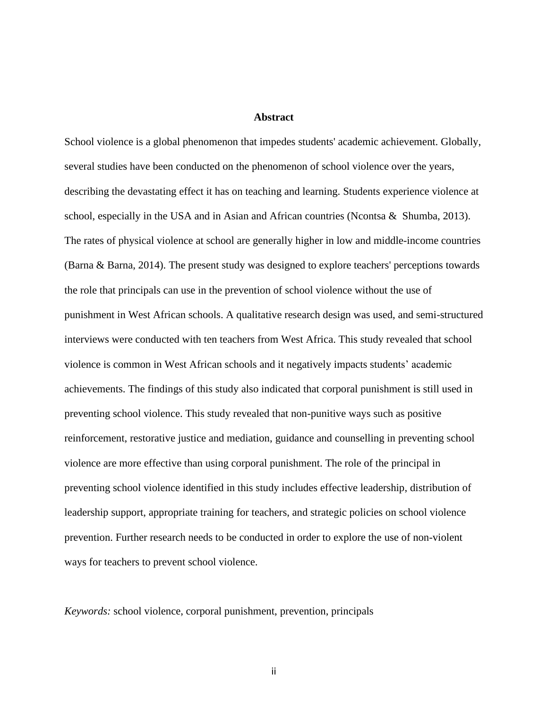#### **Abstract**

School violence is a global phenomenon that impedes students' academic achievement. Globally, several studies have been conducted on the phenomenon of school violence over the years, describing the devastating effect it has on teaching and learning. Students experience violence at school, especially in the USA and in Asian and African countries (Ncontsa & Shumba, 2013). The rates of physical violence at school are generally higher in low and middle-income countries (Barna & Barna, 2014). The present study was designed to explore teachers' perceptions towards the role that principals can use in the prevention of school violence without the use of punishment in West African schools. A qualitative research design was used, and semi-structured interviews were conducted with ten teachers from West Africa. This study revealed that school violence is common in West African schools and it negatively impacts students' academic achievements. The findings of this study also indicated that corporal punishment is still used in preventing school violence. This study revealed that non-punitive ways such as positive reinforcement, restorative justice and mediation, guidance and counselling in preventing school violence are more effective than using corporal punishment. The role of the principal in preventing school violence identified in this study includes effective leadership, distribution of leadership support, appropriate training for teachers, and strategic policies on school violence prevention. Further research needs to be conducted in order to explore the use of non-violent ways for teachers to prevent school violence.

*Keywords:* school violence, corporal punishment, prevention, principals

ii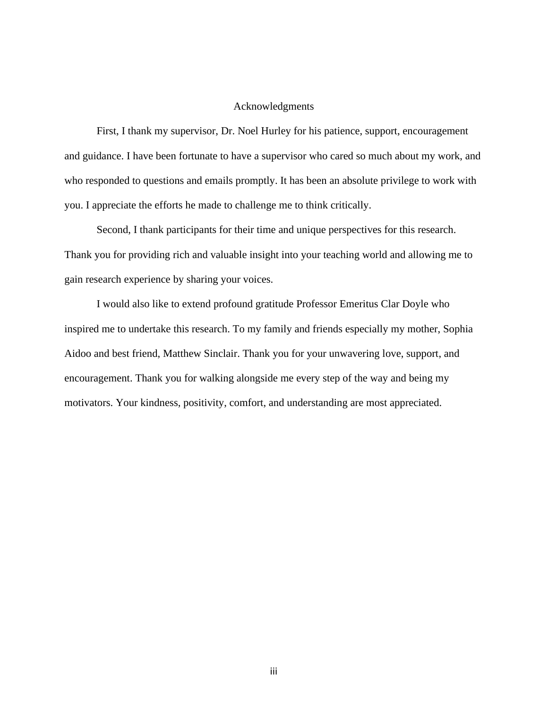#### Acknowledgments

<span id="page-2-0"></span>First, I thank my supervisor, Dr. Noel Hurley for his patience, support, encouragement and guidance. I have been fortunate to have a supervisor who cared so much about my work, and who responded to questions and emails promptly. It has been an absolute privilege to work with you. I appreciate the efforts he made to challenge me to think critically.

Second, I thank participants for their time and unique perspectives for this research. Thank you for providing rich and valuable insight into your teaching world and allowing me to gain research experience by sharing your voices.

I would also like to extend profound gratitude Professor Emeritus Clar Doyle who inspired me to undertake this research. To my family and friends especially my mother, Sophia Aidoo and best friend, Matthew Sinclair. Thank you for your unwavering love, support, and encouragement. Thank you for walking alongside me every step of the way and being my motivators. Your kindness, positivity, comfort, and understanding are most appreciated.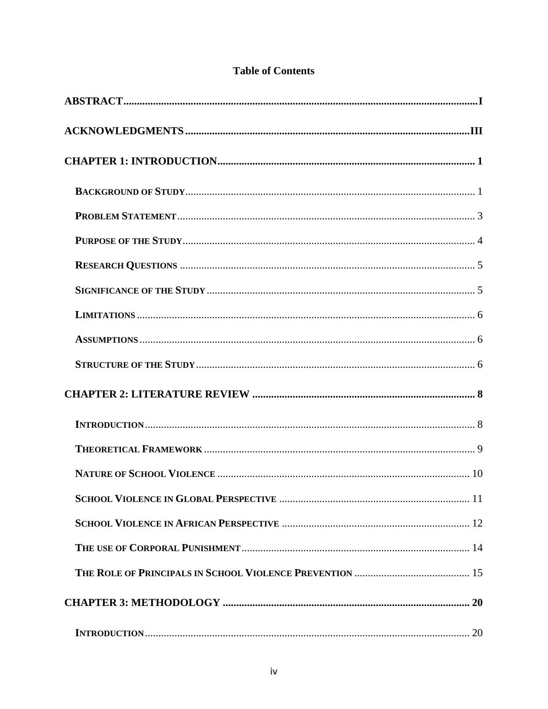| 10                        |  |
|---------------------------|--|
|                           |  |
|                           |  |
|                           |  |
|                           |  |
|                           |  |
| <b>INTRODUCTION</b><br>20 |  |

# **Table of Contents**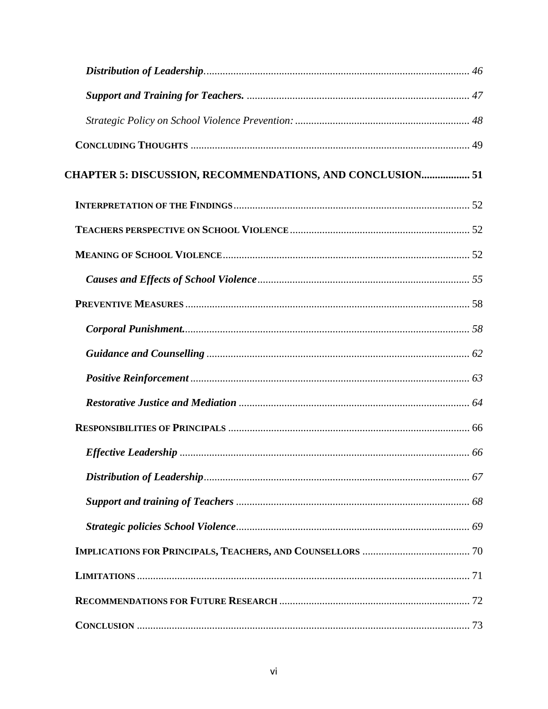| CHAPTER 5: DISCUSSION, RECOMMENDATIONS, AND CONCLUSION 51 |  |
|-----------------------------------------------------------|--|
|                                                           |  |
|                                                           |  |
|                                                           |  |
|                                                           |  |
|                                                           |  |
|                                                           |  |
|                                                           |  |
|                                                           |  |
|                                                           |  |
|                                                           |  |
|                                                           |  |
|                                                           |  |
|                                                           |  |
|                                                           |  |
|                                                           |  |
|                                                           |  |
|                                                           |  |
|                                                           |  |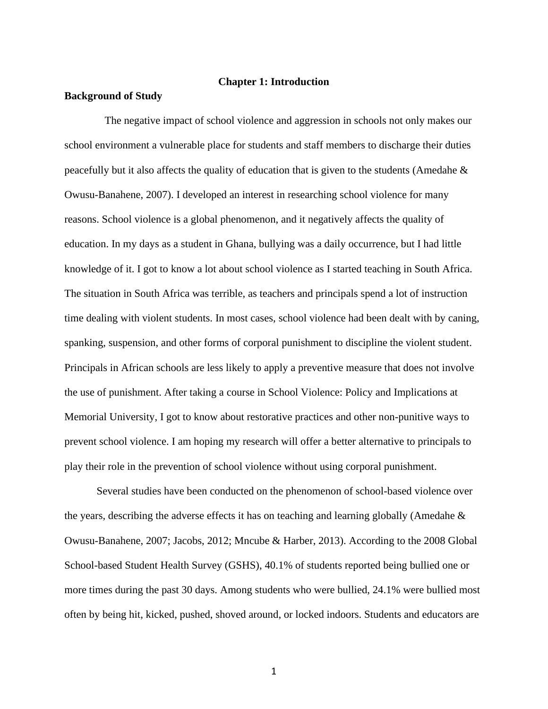#### **Chapter 1: Introduction**

#### <span id="page-7-1"></span><span id="page-7-0"></span>**Background of Study**

 The negative impact of school violence and aggression in schools not only makes our school environment a vulnerable place for students and staff members to discharge their duties peacefully but it also affects the quality of education that is given to the students (Amedahe  $\&$ Owusu-Banahene, 2007). I developed an interest in researching school violence for many reasons. School violence is a global phenomenon, and it negatively affects the quality of education. In my days as a student in Ghana, bullying was a daily occurrence, but I had little knowledge of it. I got to know a lot about school violence as I started teaching in South Africa. The situation in South Africa was terrible, as teachers and principals spend a lot of instruction time dealing with violent students. In most cases, school violence had been dealt with by caning, spanking, suspension, and other forms of corporal punishment to discipline the violent student. Principals in African schools are less likely to apply a preventive measure that does not involve the use of punishment. After taking a course in School Violence: Policy and Implications at Memorial University, I got to know about restorative practices and other non-punitive ways to prevent school violence. I am hoping my research will offer a better alternative to principals to play their role in the prevention of school violence without using corporal punishment.

Several studies have been conducted on the phenomenon of school-based violence over the years, describing the adverse effects it has on teaching and learning globally (Amedahe & Owusu-Banahene, 2007; Jacobs, 2012; Mncube & Harber, 2013). According to the 2008 Global School-based Student Health Survey (GSHS), 40.1% of students reported being bullied one or more times during the past 30 days. Among students who were bullied, 24.1% were bullied most often by being hit, kicked, pushed, shoved around, or locked indoors. Students and educators are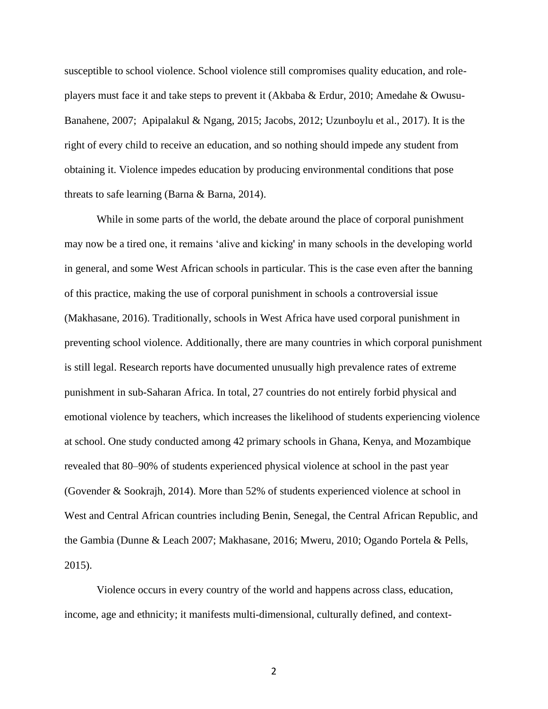susceptible to school violence. School violence still compromises quality education, and roleplayers must face it and take steps to prevent it (Akbaba & Erdur, 2010; Amedahe & Owusu-Banahene, 2007; Apipalakul & Ngang, 2015; Jacobs, 2012; Uzunboylu et al., 2017). It is the right of every child to receive an education, and so nothing should impede any student from obtaining it. Violence impedes education by producing environmental conditions that pose threats to safe learning (Barna & Barna, 2014).

While in some parts of the world, the debate around the place of corporal punishment may now be a tired one, it remains 'alive and kicking' in many schools in the developing world in general, and some West African schools in particular. This is the case even after the banning of this practice, making the use of corporal punishment in schools a controversial issue (Makhasane, 2016). Traditionally, schools in West Africa have used corporal punishment in preventing school violence. Additionally, there are many countries in which corporal punishment is still legal. Research reports have documented unusually high prevalence rates of extreme punishment in sub-Saharan Africa. In total, 27 countries do not entirely forbid physical and emotional violence by teachers, which increases the likelihood of students experiencing violence at school. One study conducted among 42 primary schools in Ghana, Kenya, and Mozambique revealed that 80–90% of students experienced physical violence at school in the past year (Govender & Sookrajh, 2014). More than 52% of students experienced violence at school in West and Central African countries including Benin, Senegal, the Central African Republic, and the Gambia (Dunne & Leach 2007; Makhasane, 2016; Mweru, 2010; Ogando Portela & Pells, 2015).

Violence occurs in every country of the world and happens across class, education, income, age and ethnicity; it manifests multi-dimensional, culturally defined, and context-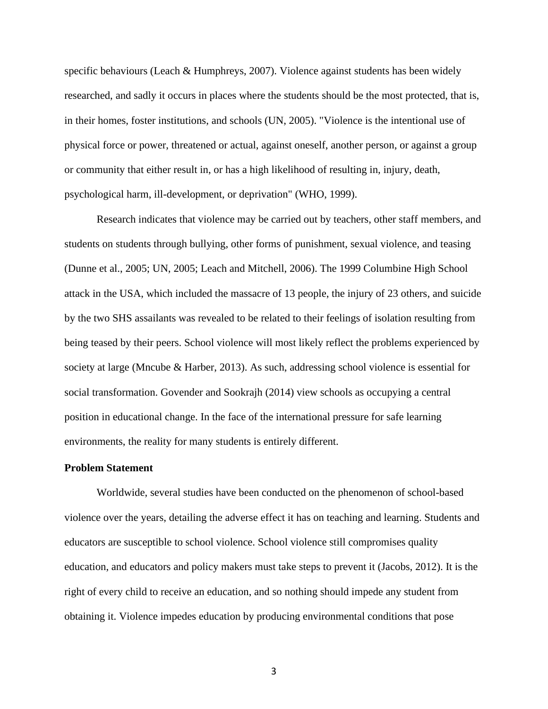specific behaviours (Leach & Humphreys, 2007). Violence against students has been widely researched, and sadly it occurs in places where the students should be the most protected, that is, in their homes, foster institutions, and schools (UN, 2005). "Violence is the intentional use of physical force or power, threatened or actual, against oneself, another person, or against a group or community that either result in, or has a high likelihood of resulting in, injury, death, psychological harm, ill-development, or deprivation" (WHO, 1999).

Research indicates that violence may be carried out by teachers, other staff members, and students on students through bullying, other forms of punishment, sexual violence, and teasing (Dunne et al., 2005; UN, 2005; Leach and Mitchell, 2006). The 1999 Columbine High School attack in the USA, which included the massacre of 13 people, the injury of 23 others, and suicide by the two SHS assailants was revealed to be related to their feelings of isolation resulting from being teased by their peers. School violence will most likely reflect the problems experienced by society at large (Mncube & Harber, 2013). As such, addressing school violence is essential for social transformation. Govender and Sookrajh (2014) view schools as occupying a central position in educational change. In the face of the international pressure for safe learning environments, the reality for many students is entirely different.

## <span id="page-9-0"></span>**Problem Statement**

Worldwide, several studies have been conducted on the phenomenon of school-based violence over the years, detailing the adverse effect it has on teaching and learning. Students and educators are susceptible to school violence. School violence still compromises quality education, and educators and policy makers must take steps to prevent it (Jacobs, 2012). It is the right of every child to receive an education, and so nothing should impede any student from obtaining it. Violence impedes education by producing environmental conditions that pose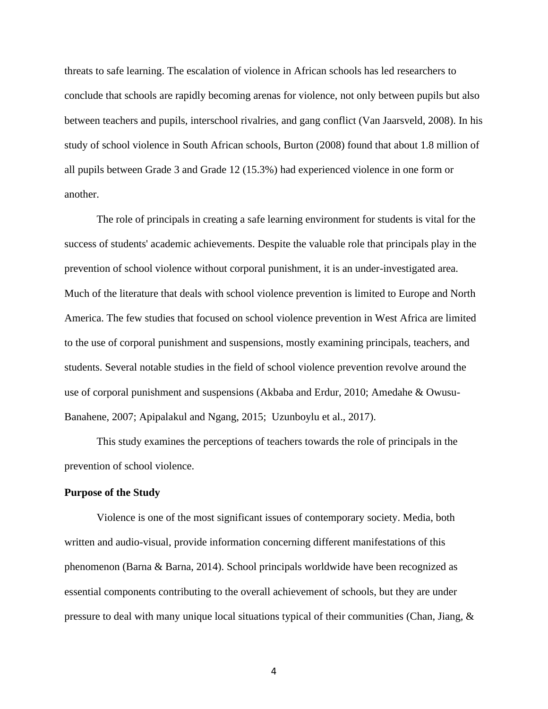threats to safe learning. The escalation of violence in African schools has led researchers to conclude that schools are rapidly becoming arenas for violence, not only between pupils but also between teachers and pupils, interschool rivalries, and gang conflict (Van Jaarsveld, 2008). In his study of school violence in South African schools, Burton (2008) found that about 1.8 million of all pupils between Grade 3 and Grade 12 (15.3%) had experienced violence in one form or another.

The role of principals in creating a safe learning environment for students is vital for the success of students' academic achievements. Despite the valuable role that principals play in the prevention of school violence without corporal punishment, it is an under-investigated area. Much of the literature that deals with school violence prevention is limited to Europe and North America. The few studies that focused on school violence prevention in West Africa are limited to the use of corporal punishment and suspensions, mostly examining principals, teachers, and students. Several notable studies in the field of school violence prevention revolve around the use of corporal punishment and suspensions (Akbaba and Erdur, 2010; Amedahe & Owusu-Banahene, 2007; Apipalakul and Ngang, 2015; Uzunboylu et al., 2017).

This study examines the perceptions of teachers towards the role of principals in the prevention of school violence.

#### <span id="page-10-0"></span>**Purpose of the Study**

Violence is one of the most significant issues of contemporary society. Media, both written and audio-visual, provide information concerning different manifestations of this phenomenon (Barna & Barna, 2014). School principals worldwide have been recognized as essential components contributing to the overall achievement of schools, but they are under pressure to deal with many unique local situations typical of their communities (Chan, Jiang,  $\&$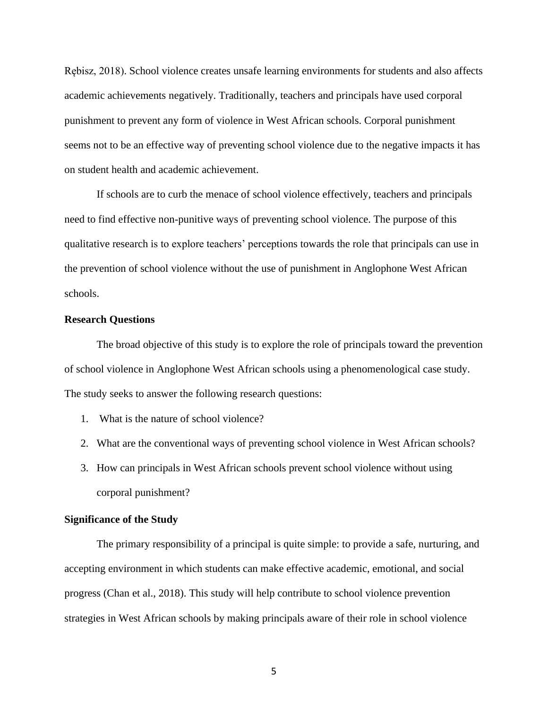Rębisz, 2018). School violence creates unsafe learning environments for students and also affects academic achievements negatively. Traditionally, teachers and principals have used corporal punishment to prevent any form of violence in West African schools. Corporal punishment seems not to be an effective way of preventing school violence due to the negative impacts it has on student health and academic achievement.

If schools are to curb the menace of school violence effectively, teachers and principals need to find effective non-punitive ways of preventing school violence. The purpose of this qualitative research is to explore teachers' perceptions towards the role that principals can use in the prevention of school violence without the use of punishment in Anglophone West African schools.

#### <span id="page-11-0"></span>**Research Questions**

The broad objective of this study is to explore the role of principals toward the prevention of school violence in Anglophone West African schools using a phenomenological case study. The study seeks to answer the following research questions:

- 1. What is the nature of school violence?
- 2. What are the conventional ways of preventing school violence in West African schools?
- 3. How can principals in West African schools prevent school violence without using corporal punishment?

## <span id="page-11-1"></span>**Significance of the Study**

The primary responsibility of a principal is quite simple: to provide a safe, nurturing, and accepting environment in which students can make effective academic, emotional, and social progress (Chan et al., 2018). This study will help contribute to school violence prevention strategies in West African schools by making principals aware of their role in school violence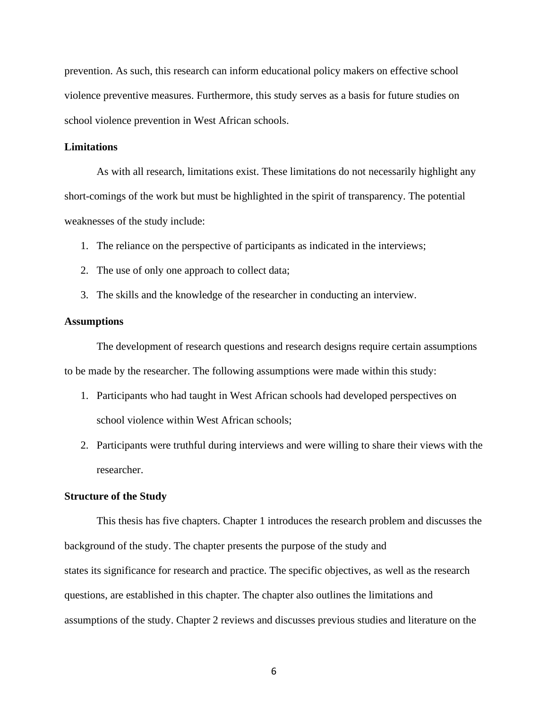prevention. As such, this research can inform educational policy makers on effective school violence preventive measures. Furthermore, this study serves as a basis for future studies on school violence prevention in West African schools.

#### <span id="page-12-0"></span>**Limitations**

As with all research, limitations exist. These limitations do not necessarily highlight any short-comings of the work but must be highlighted in the spirit of transparency. The potential weaknesses of the study include:

- 1. The reliance on the perspective of participants as indicated in the interviews;
- 2. The use of only one approach to collect data;
- 3. The skills and the knowledge of the researcher in conducting an interview.

#### <span id="page-12-1"></span>**Assumptions**

The development of research questions and research designs require certain assumptions to be made by the researcher. The following assumptions were made within this study:

- 1. Participants who had taught in West African schools had developed perspectives on school violence within West African schools;
- 2. Participants were truthful during interviews and were willing to share their views with the researcher.

#### <span id="page-12-2"></span>**Structure of the Study**

This thesis has five chapters. Chapter 1 introduces the research problem and discusses the background of the study. The chapter presents the purpose of the study and states its significance for research and practice. The specific objectives, as well as the research questions, are established in this chapter. The chapter also outlines the limitations and assumptions of the study. Chapter 2 reviews and discusses previous studies and literature on the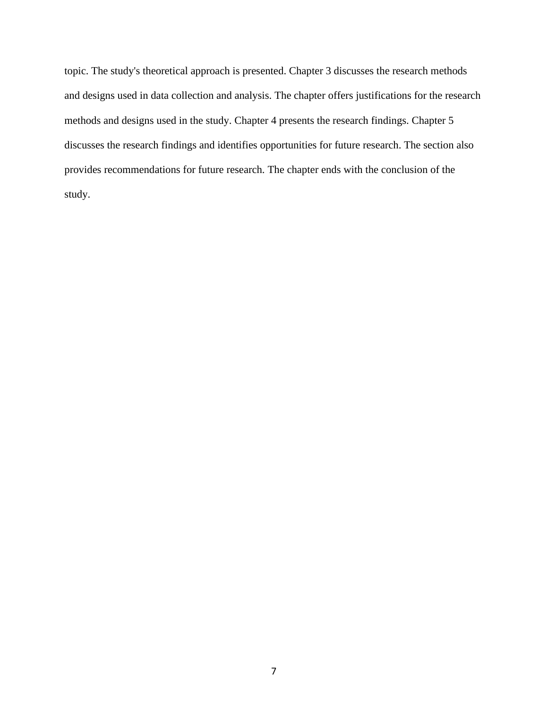topic. The study's theoretical approach is presented. Chapter 3 discusses the research methods and designs used in data collection and analysis. The chapter offers justifications for the research methods and designs used in the study. Chapter 4 presents the research findings. Chapter 5 discusses the research findings and identifies opportunities for future research. The section also provides recommendations for future research. The chapter ends with the conclusion of the study.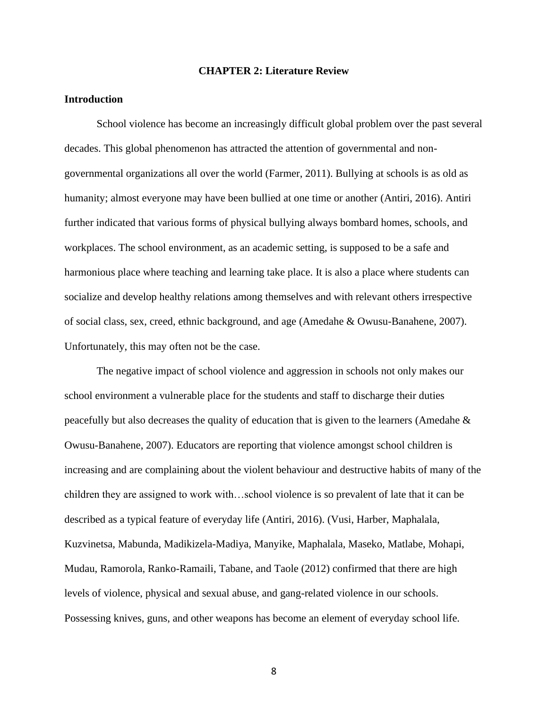#### **CHAPTER 2: Literature Review**

## <span id="page-14-1"></span><span id="page-14-0"></span>**Introduction**

School violence has become an increasingly difficult global problem over the past several decades. This global phenomenon has attracted the attention of governmental and nongovernmental organizations all over the world (Farmer, 2011). Bullying at schools is as old as humanity; almost everyone may have been bullied at one time or another (Antiri, 2016). Antiri further indicated that various forms of physical bullying always bombard homes, schools, and workplaces. The school environment, as an academic setting, is supposed to be a safe and harmonious place where teaching and learning take place. It is also a place where students can socialize and develop healthy relations among themselves and with relevant others irrespective of social class, sex, creed, ethnic background, and age (Amedahe & Owusu-Banahene, 2007). Unfortunately, this may often not be the case.

The negative impact of school violence and aggression in schools not only makes our school environment a vulnerable place for the students and staff to discharge their duties peacefully but also decreases the quality of education that is given to the learners (Amedahe & Owusu-Banahene, 2007). Educators are reporting that violence amongst school children is increasing and are complaining about the violent behaviour and destructive habits of many of the children they are assigned to work with…school violence is so prevalent of late that it can be described as a typical feature of everyday life (Antiri, 2016). (Vusi, Harber, Maphalala, Kuzvinetsa, Mabunda, Madikizela-Madiya, Manyike, Maphalala, Maseko, Matlabe, Mohapi, Mudau, Ramorola, Ranko-Ramaili, Tabane, and Taole (2012) confirmed that there are high levels of violence, physical and sexual abuse, and gang-related violence in our schools. Possessing knives, guns, and other weapons has become an element of everyday school life.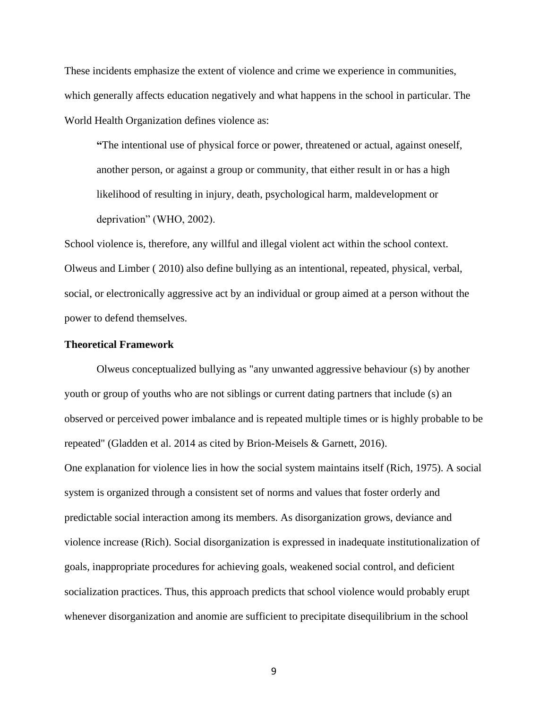These incidents emphasize the extent of violence and crime we experience in communities, which generally affects education negatively and what happens in the school in particular. The World Health Organization defines violence as:

**"**The intentional use of physical force or power, threatened or actual, against oneself, another person, or against a group or community, that either result in or has a high likelihood of resulting in injury, death, psychological harm, maldevelopment or deprivation" (WHO, 2002).

School violence is, therefore, any willful and illegal violent act within the school context. Olweus and Limber ( 2010) also define bullying as an intentional, repeated, physical, verbal, social, or electronically aggressive act by an individual or group aimed at a person without the power to defend themselves.

## <span id="page-15-0"></span>**Theoretical Framework**

Olweus conceptualized bullying as "any unwanted aggressive behaviour (s) by another youth or group of youths who are not siblings or current dating partners that include (s) an observed or perceived power imbalance and is repeated multiple times or is highly probable to be repeated" (Gladden et al. 2014 as cited by Brion-Meisels & Garnett, 2016). One explanation for violence lies in how the social system maintains itself (Rich, 1975). A social system is organized through a consistent set of norms and values that foster orderly and predictable social interaction among its members. As disorganization grows, deviance and violence increase (Rich). Social disorganization is expressed in inadequate institutionalization of goals, inappropriate procedures for achieving goals, weakened social control, and deficient socialization practices. Thus, this approach predicts that school violence would probably erupt whenever disorganization and anomie are sufficient to precipitate disequilibrium in the school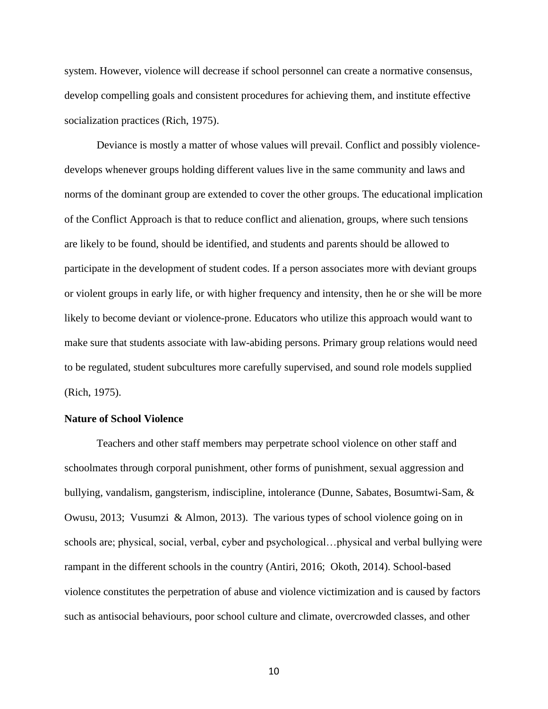system. However, violence will decrease if school personnel can create a normative consensus, develop compelling goals and consistent procedures for achieving them, and institute effective socialization practices (Rich, 1975).

Deviance is mostly a matter of whose values will prevail. Conflict and possibly violencedevelops whenever groups holding different values live in the same community and laws and norms of the dominant group are extended to cover the other groups. The educational implication of the Conflict Approach is that to reduce conflict and alienation, groups, where such tensions are likely to be found, should be identified, and students and parents should be allowed to participate in the development of student codes. If a person associates more with deviant groups or violent groups in early life, or with higher frequency and intensity, then he or she will be more likely to become deviant or violence-prone. Educators who utilize this approach would want to make sure that students associate with law-abiding persons. Primary group relations would need to be regulated, student subcultures more carefully supervised, and sound role models supplied (Rich, 1975).

#### <span id="page-16-0"></span>**Nature of School Violence**

Teachers and other staff members may perpetrate school violence on other staff and schoolmates through corporal punishment, other forms of punishment, sexual aggression and bullying, vandalism, gangsterism, indiscipline, intolerance (Dunne, Sabates, Bosumtwi-Sam, & Owusu, 2013; Vusumzi & Almon, 2013). The various types of school violence going on in schools are; physical, social, verbal, cyber and psychological…physical and verbal bullying were rampant in the different schools in the country (Antiri, 2016; Okoth, 2014). School-based violence constitutes the perpetration of abuse and violence victimization and is caused by factors such as antisocial behaviours, poor school culture and climate, overcrowded classes, and other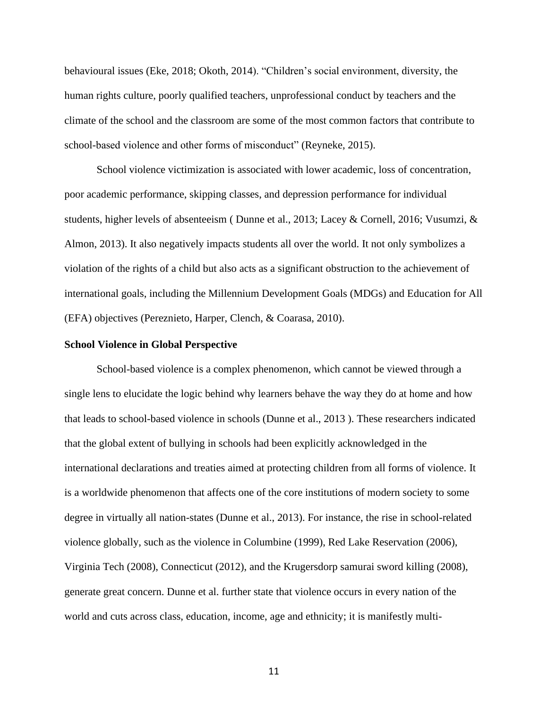behavioural issues (Eke, 2018; Okoth, 2014). "Children's social environment, diversity, the human rights culture, poorly qualified teachers, unprofessional conduct by teachers and the climate of the school and the classroom are some of the most common factors that contribute to school-based violence and other forms of misconduct" (Reyneke, 2015).

School violence victimization is associated with lower academic, loss of concentration, poor academic performance, skipping classes, and depression performance for individual students, higher levels of absenteeism ( Dunne et al., 2013; Lacey & Cornell, 2016; Vusumzi, & Almon, 2013). It also negatively impacts students all over the world. It not only symbolizes a violation of the rights of a child but also acts as a significant obstruction to the achievement of international goals, including the Millennium Development Goals (MDGs) and Education for All (EFA) objectives (Pereznieto, Harper, Clench, & Coarasa, 2010).

#### <span id="page-17-0"></span>**School Violence in Global Perspective**

School-based violence is a complex phenomenon, which cannot be viewed through a single lens to elucidate the logic behind why learners behave the way they do at home and how that leads to school-based violence in schools (Dunne et al., 2013 ). These researchers indicated that the global extent of bullying in schools had been explicitly acknowledged in the international declarations and treaties aimed at protecting children from all forms of violence. It is a worldwide phenomenon that affects one of the core institutions of modern society to some degree in virtually all nation-states (Dunne et al., 2013). For instance, the rise in school-related violence globally, such as the violence in Columbine (1999), Red Lake Reservation (2006), Virginia Tech (2008), Connecticut (2012), and the Krugersdorp samurai sword killing (2008), generate great concern. Dunne et al. further state that violence occurs in every nation of the world and cuts across class, education, income, age and ethnicity; it is manifestly multi-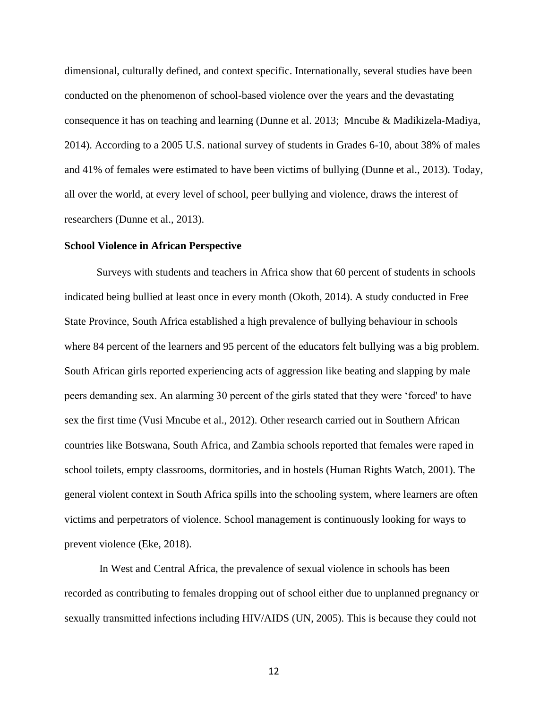dimensional, culturally defined, and context specific. Internationally, several studies have been conducted on the phenomenon of school-based violence over the years and the devastating consequence it has on teaching and learning (Dunne et al. 2013; Mncube & Madikizela-Madiya, 2014). According to a 2005 U.S. national survey of students in Grades 6-10, about 38% of males and 41% of females were estimated to have been victims of bullying (Dunne et al., 2013). Today, all over the world, at every level of school, peer bullying and violence, draws the interest of researchers (Dunne et al., 2013).

#### <span id="page-18-0"></span>**School Violence in African Perspective**

Surveys with students and teachers in Africa show that 60 percent of students in schools indicated being bullied at least once in every month (Okoth, 2014). A study conducted in Free State Province, South Africa established a high prevalence of bullying behaviour in schools where 84 percent of the learners and 95 percent of the educators felt bullying was a big problem. South African girls reported experiencing acts of aggression like beating and slapping by male peers demanding sex. An alarming 30 percent of the girls stated that they were 'forced' to have sex the first time (Vusi Mncube et al., 2012). Other research carried out in Southern African countries like Botswana, South Africa, and Zambia schools reported that females were raped in school toilets, empty classrooms, dormitories, and in hostels (Human Rights Watch, 2001). The general violent context in South Africa spills into the schooling system, where learners are often victims and perpetrators of violence. School management is continuously looking for ways to prevent violence (Eke, 2018).

In West and Central Africa, the prevalence of sexual violence in schools has been recorded as contributing to females dropping out of school either due to unplanned pregnancy or sexually transmitted infections including HIV/AIDS (UN, 2005). This is because they could not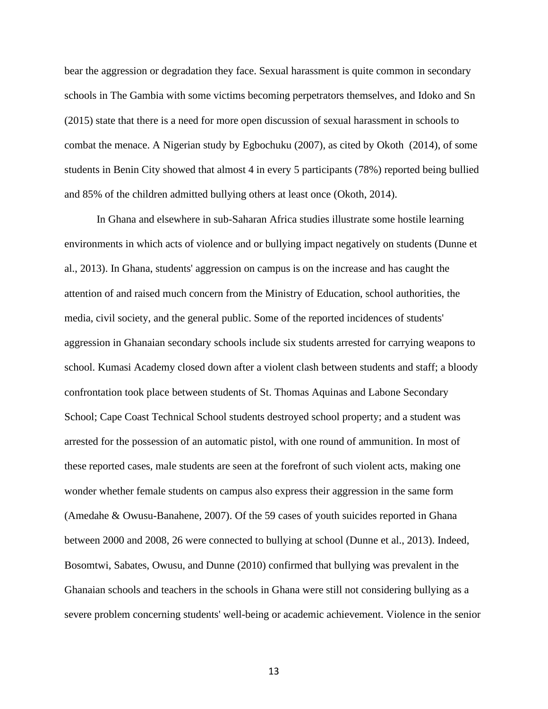bear the aggression or degradation they face. Sexual harassment is quite common in secondary schools in The Gambia with some victims becoming perpetrators themselves, and Idoko and Sn (2015) state that there is a need for more open discussion of sexual harassment in schools to combat the menace. A Nigerian study by Egbochuku (2007), as cited by Okoth (2014), of some students in Benin City showed that almost 4 in every 5 participants (78%) reported being bullied and 85% of the children admitted bullying others at least once (Okoth, 2014).

In Ghana and elsewhere in sub-Saharan Africa studies illustrate some hostile learning environments in which acts of violence and or bullying impact negatively on students (Dunne et al., 2013). In Ghana, students' aggression on campus is on the increase and has caught the attention of and raised much concern from the Ministry of Education, school authorities, the media, civil society, and the general public. Some of the reported incidences of students' aggression in Ghanaian secondary schools include six students arrested for carrying weapons to school. Kumasi Academy closed down after a violent clash between students and staff; a bloody confrontation took place between students of St. Thomas Aquinas and Labone Secondary School; Cape Coast Technical School students destroyed school property; and a student was arrested for the possession of an automatic pistol, with one round of ammunition. In most of these reported cases, male students are seen at the forefront of such violent acts, making one wonder whether female students on campus also express their aggression in the same form (Amedahe & Owusu-Banahene, 2007). Of the 59 cases of youth suicides reported in Ghana between 2000 and 2008, 26 were connected to bullying at school (Dunne et al., 2013). Indeed, Bosomtwi, Sabates, Owusu, and Dunne (2010) confirmed that bullying was prevalent in the Ghanaian schools and teachers in the schools in Ghana were still not considering bullying as a severe problem concerning students' well-being or academic achievement. Violence in the senior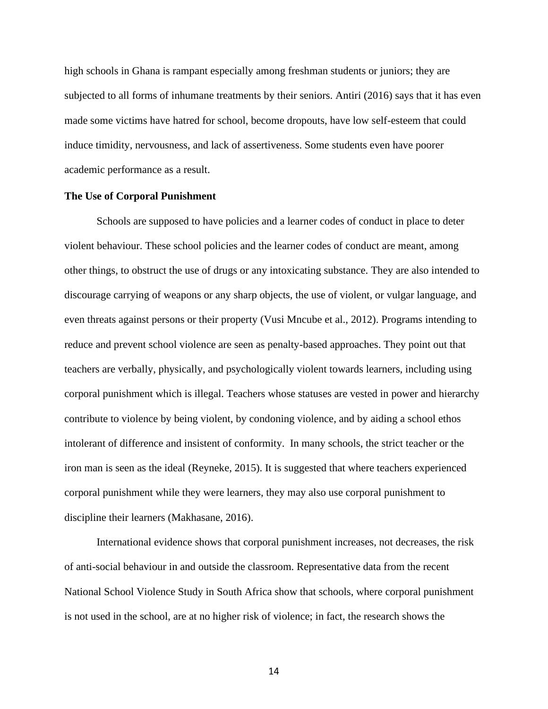high schools in Ghana is rampant especially among freshman students or juniors; they are subjected to all forms of inhumane treatments by their seniors. Antiri (2016) says that it has even made some victims have hatred for school, become dropouts, have low self-esteem that could induce timidity, nervousness, and lack of assertiveness. Some students even have poorer academic performance as a result.

#### <span id="page-20-0"></span>**The Use of Corporal Punishment**

Schools are supposed to have policies and a learner codes of conduct in place to deter violent behaviour. These school policies and the learner codes of conduct are meant, among other things, to obstruct the use of drugs or any intoxicating substance. They are also intended to discourage carrying of weapons or any sharp objects, the use of violent, or vulgar language, and even threats against persons or their property (Vusi Mncube et al., 2012). Programs intending to reduce and prevent school violence are seen as penalty-based approaches. They point out that teachers are verbally, physically, and psychologically violent towards learners, including using corporal punishment which is illegal. Teachers whose statuses are vested in power and hierarchy contribute to violence by being violent, by condoning violence, and by aiding a school ethos intolerant of difference and insistent of conformity. In many schools, the strict teacher or the iron man is seen as the ideal (Reyneke, 2015). It is suggested that where teachers experienced corporal punishment while they were learners, they may also use corporal punishment to discipline their learners (Makhasane, 2016).

International evidence shows that corporal punishment increases, not decreases, the risk of anti-social behaviour in and outside the classroom. Representative data from the recent National School Violence Study in South Africa show that schools, where corporal punishment is not used in the school, are at no higher risk of violence; in fact, the research shows the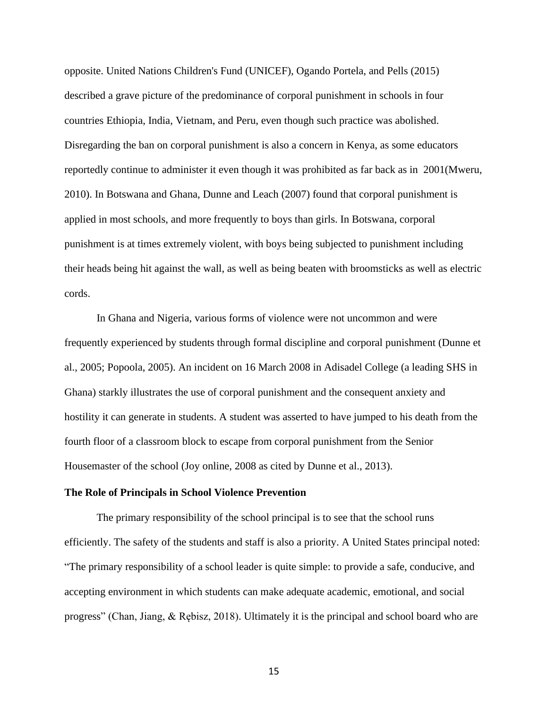opposite. United Nations Children's Fund (UNICEF), Ogando Portela, and Pells (2015) described a grave picture of the predominance of corporal punishment in schools in four countries Ethiopia, India, Vietnam, and Peru, even though such practice was abolished. Disregarding the ban on corporal punishment is also a concern in Kenya, as some educators reportedly continue to administer it even though it was prohibited as far back as in 2001(Mweru, 2010). In Botswana and Ghana, Dunne and Leach (2007) found that corporal punishment is applied in most schools, and more frequently to boys than girls. In Botswana, corporal punishment is at times extremely violent, with boys being subjected to punishment including their heads being hit against the wall, as well as being beaten with broomsticks as well as electric cords.

In Ghana and Nigeria, various forms of violence were not uncommon and were frequently experienced by students through formal discipline and corporal punishment (Dunne et al., 2005; Popoola, 2005). An incident on 16 March 2008 in Adisadel College (a leading SHS in Ghana) starkly illustrates the use of corporal punishment and the consequent anxiety and hostility it can generate in students. A student was asserted to have jumped to his death from the fourth floor of a classroom block to escape from corporal punishment from the Senior Housemaster of the school (Joy online, 2008 as cited by Dunne et al., 2013).

#### <span id="page-21-0"></span>**The Role of Principals in School Violence Prevention**

The primary responsibility of the school principal is to see that the school runs efficiently. The safety of the students and staff is also a priority. A United States principal noted: "The primary responsibility of a school leader is quite simple: to provide a safe, conducive, and accepting environment in which students can make adequate academic, emotional, and social progress" (Chan, Jiang, & Rębisz, 2018). Ultimately it is the principal and school board who are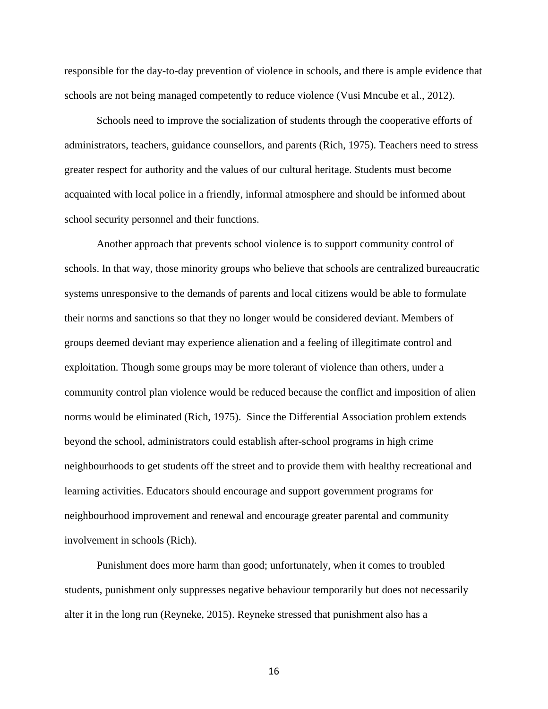responsible for the day-to-day prevention of violence in schools, and there is ample evidence that schools are not being managed competently to reduce violence (Vusi Mncube et al., 2012).

Schools need to improve the socialization of students through the cooperative efforts of administrators, teachers, guidance counsellors, and parents (Rich, 1975). Teachers need to stress greater respect for authority and the values of our cultural heritage. Students must become acquainted with local police in a friendly, informal atmosphere and should be informed about school security personnel and their functions.

Another approach that prevents school violence is to support community control of schools. In that way, those minority groups who believe that schools are centralized bureaucratic systems unresponsive to the demands of parents and local citizens would be able to formulate their norms and sanctions so that they no longer would be considered deviant. Members of groups deemed deviant may experience alienation and a feeling of illegitimate control and exploitation. Though some groups may be more tolerant of violence than others, under a community control plan violence would be reduced because the conflict and imposition of alien norms would be eliminated (Rich, 1975). Since the Differential Association problem extends beyond the school, administrators could establish after-school programs in high crime neighbourhoods to get students off the street and to provide them with healthy recreational and learning activities. Educators should encourage and support government programs for neighbourhood improvement and renewal and encourage greater parental and community involvement in schools (Rich).

Punishment does more harm than good; unfortunately, when it comes to troubled students, punishment only suppresses negative behaviour temporarily but does not necessarily alter it in the long run (Reyneke, 2015). Reyneke stressed that punishment also has a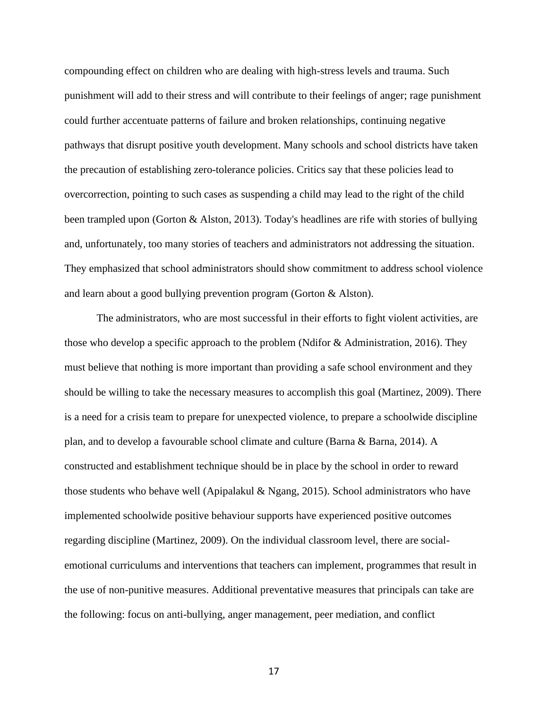compounding effect on children who are dealing with high-stress levels and trauma. Such punishment will add to their stress and will contribute to their feelings of anger; rage punishment could further accentuate patterns of failure and broken relationships, continuing negative pathways that disrupt positive youth development. Many schools and school districts have taken the precaution of establishing zero-tolerance policies. Critics say that these policies lead to overcorrection, pointing to such cases as suspending a child may lead to the right of the child been trampled upon (Gorton & Alston, 2013). Today's headlines are rife with stories of bullying and, unfortunately, too many stories of teachers and administrators not addressing the situation. They emphasized that school administrators should show commitment to address school violence and learn about a good bullying prevention program (Gorton & Alston).

The administrators, who are most successful in their efforts to fight violent activities, are those who develop a specific approach to the problem (Ndifor & Administration, 2016). They must believe that nothing is more important than providing a safe school environment and they should be willing to take the necessary measures to accomplish this goal (Martinez, 2009). There is a need for a crisis team to prepare for unexpected violence, to prepare a schoolwide discipline plan, and to develop a favourable school climate and culture (Barna & Barna, 2014). A constructed and establishment technique should be in place by the school in order to reward those students who behave well (Apipalakul & Ngang, 2015). School administrators who have implemented schoolwide positive behaviour supports have experienced positive outcomes regarding discipline (Martinez, 2009). On the individual classroom level, there are socialemotional curriculums and interventions that teachers can implement, programmes that result in the use of non-punitive measures. Additional preventative measures that principals can take are the following: focus on anti-bullying, anger management, peer mediation, and conflict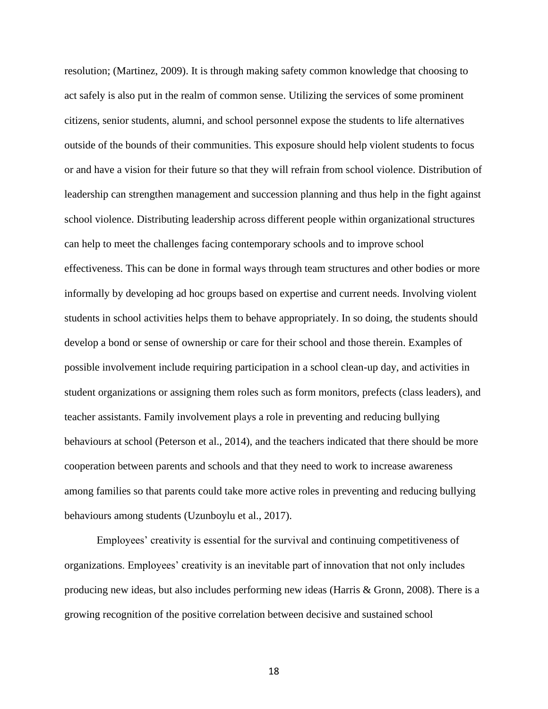resolution; (Martinez, 2009). It is through making safety common knowledge that choosing to act safely is also put in the realm of common sense. Utilizing the services of some prominent citizens, senior students, alumni, and school personnel expose the students to life alternatives outside of the bounds of their communities. This exposure should help violent students to focus or and have a vision for their future so that they will refrain from school violence. Distribution of leadership can strengthen management and succession planning and thus help in the fight against school violence. Distributing leadership across different people within organizational structures can help to meet the challenges facing contemporary schools and to improve school effectiveness. This can be done in formal ways through team structures and other bodies or more informally by developing ad hoc groups based on expertise and current needs. Involving violent students in school activities helps them to behave appropriately. In so doing, the students should develop a bond or sense of ownership or care for their school and those therein. Examples of possible involvement include requiring participation in a school clean-up day, and activities in student organizations or assigning them roles such as form monitors, prefects (class leaders), and teacher assistants. Family involvement plays a role in preventing and reducing bullying behaviours at school (Peterson et al., 2014), and the teachers indicated that there should be more cooperation between parents and schools and that they need to work to increase awareness among families so that parents could take more active roles in preventing and reducing bullying behaviours among students (Uzunboylu et al., 2017).

Employees' creativity is essential for the survival and continuing competitiveness of organizations. Employees' creativity is an inevitable part of innovation that not only includes producing new ideas, but also includes performing new ideas (Harris & Gronn, 2008). There is a growing recognition of the positive correlation between decisive and sustained school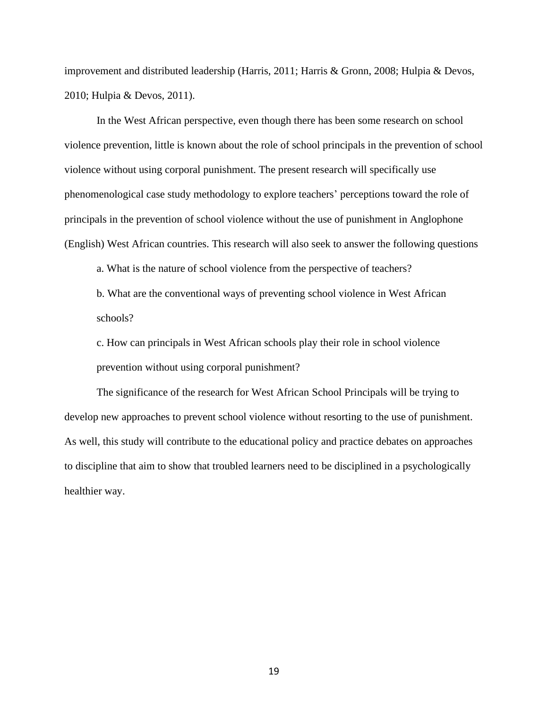improvement and distributed leadership (Harris, 2011; Harris & Gronn, 2008; Hulpia & Devos, 2010; Hulpia & Devos, 2011).

In the West African perspective, even though there has been some research on school violence prevention, little is known about the role of school principals in the prevention of school violence without using corporal punishment. The present research will specifically use phenomenological case study methodology to explore teachers' perceptions toward the role of principals in the prevention of school violence without the use of punishment in Anglophone (English) West African countries. This research will also seek to answer the following questions

a. What is the nature of school violence from the perspective of teachers?

b. What are the conventional ways of preventing school violence in West African schools?

c. How can principals in West African schools play their role in school violence prevention without using corporal punishment?

The significance of the research for West African School Principals will be trying to develop new approaches to prevent school violence without resorting to the use of punishment. As well, this study will contribute to the educational policy and practice debates on approaches to discipline that aim to show that troubled learners need to be disciplined in a psychologically healthier way.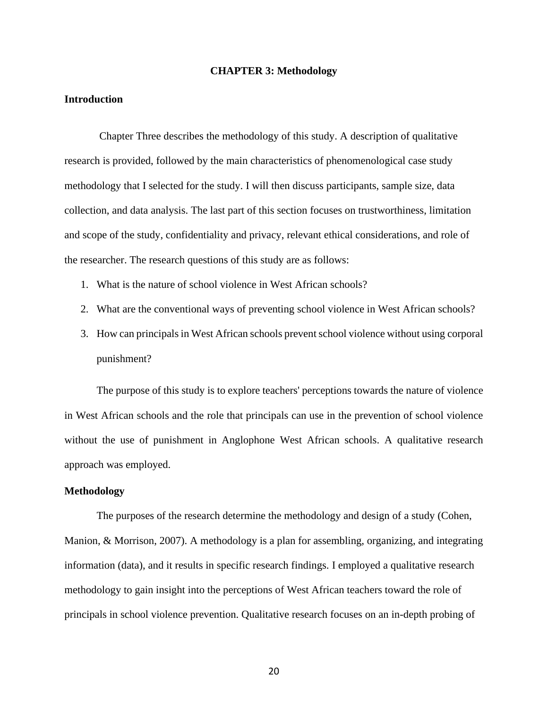#### **CHAPTER 3: Methodology**

## <span id="page-26-1"></span><span id="page-26-0"></span>**Introduction**

Chapter Three describes the methodology of this study. A description of qualitative research is provided, followed by the main characteristics of phenomenological case study methodology that I selected for the study. I will then discuss participants, sample size, data collection, and data analysis. The last part of this section focuses on trustworthiness, limitation and scope of the study, confidentiality and privacy, relevant ethical considerations, and role of the researcher. The research questions of this study are as follows:

- 1. What is the nature of school violence in West African schools?
- 2. What are the conventional ways of preventing school violence in West African schools?
- 3. How can principals in West African schools prevent school violence without using corporal punishment?

The purpose of this study is to explore teachers' perceptions towards the nature of violence in West African schools and the role that principals can use in the prevention of school violence without the use of punishment in Anglophone West African schools. A qualitative research approach was employed.

#### <span id="page-26-2"></span>**Methodology**

The purposes of the research determine the methodology and design of a study (Cohen, Manion, & Morrison, 2007). A methodology is a plan for assembling, organizing, and integrating information (data), and it results in specific research findings. I employed a qualitative research methodology to gain insight into the perceptions of West African teachers toward the role of principals in school violence prevention. Qualitative research focuses on an in-depth probing of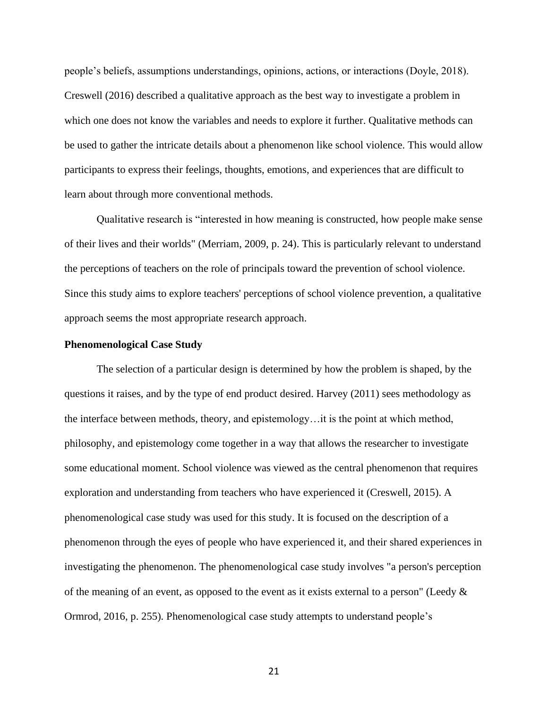people's beliefs, assumptions understandings, opinions, actions, or interactions (Doyle, 2018). Creswell (2016) described a qualitative approach as the best way to investigate a problem in which one does not know the variables and needs to explore it further. Qualitative methods can be used to gather the intricate details about a phenomenon like school violence. This would allow participants to express their feelings, thoughts, emotions, and experiences that are difficult to learn about through more conventional methods.

Qualitative research is "interested in how meaning is constructed, how people make sense of their lives and their worlds" (Merriam, 2009, p. 24). This is particularly relevant to understand the perceptions of teachers on the role of principals toward the prevention of school violence. Since this study aims to explore teachers' perceptions of school violence prevention, a qualitative approach seems the most appropriate research approach.

#### <span id="page-27-0"></span>**Phenomenological Case Study**

The selection of a particular design is determined by how the problem is shaped, by the questions it raises, and by the type of end product desired. Harvey (2011) sees methodology as the interface between methods, theory, and epistemology…it is the point at which method, philosophy, and epistemology come together in a way that allows the researcher to investigate some educational moment. School violence was viewed as the central phenomenon that requires exploration and understanding from teachers who have experienced it (Creswell, 2015). A phenomenological case study was used for this study. It is focused on the description of a phenomenon through the eyes of people who have experienced it, and their shared experiences in investigating the phenomenon. The phenomenological case study involves "a person's perception of the meaning of an event, as opposed to the event as it exists external to a person" (Leedy  $\&$ Ormrod, 2016, p. 255). Phenomenological case study attempts to understand people's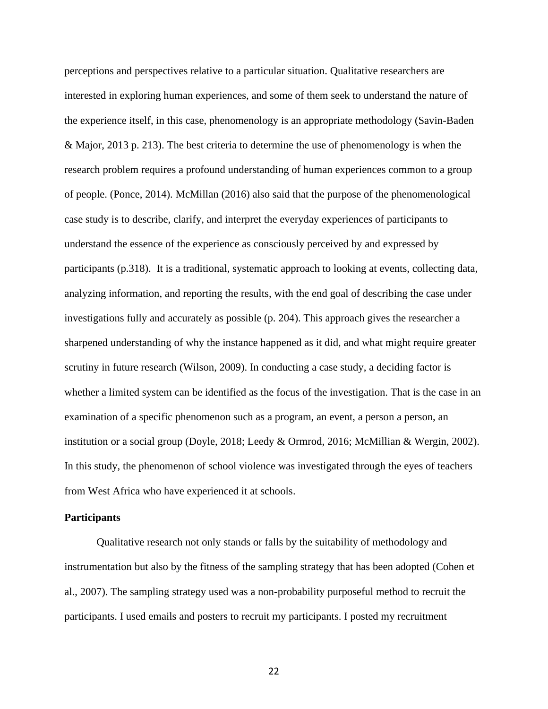perceptions and perspectives relative to a particular situation. Qualitative researchers are interested in exploring human experiences, and some of them seek to understand the nature of the experience itself, in this case, phenomenology is an appropriate methodology (Savin-Baden & Major, 2013 p. 213). The best criteria to determine the use of phenomenology is when the research problem requires a profound understanding of human experiences common to a group of people. (Ponce, 2014). McMillan (2016) also said that the purpose of the phenomenological case study is to describe, clarify, and interpret the everyday experiences of participants to understand the essence of the experience as consciously perceived by and expressed by participants (p.318). It is a traditional, systematic approach to looking at events, collecting data, analyzing information, and reporting the results, with the end goal of describing the case under investigations fully and accurately as possible (p. 204). This approach gives the researcher a sharpened understanding of why the instance happened as it did, and what might require greater scrutiny in future research (Wilson, 2009). In conducting a case study, a deciding factor is whether a limited system can be identified as the focus of the investigation. That is the case in an examination of a specific phenomenon such as a program, an event, a person a person, an institution or a social group (Doyle, 2018; Leedy & Ormrod, 2016; McMillian & Wergin, 2002). In this study, the phenomenon of school violence was investigated through the eyes of teachers from West Africa who have experienced it at schools.

#### <span id="page-28-0"></span>**Participants**

Qualitative research not only stands or falls by the suitability of methodology and instrumentation but also by the fitness of the sampling strategy that has been adopted (Cohen et al., 2007). The sampling strategy used was a non-probability purposeful method to recruit the participants. I used emails and posters to recruit my participants. I posted my recruitment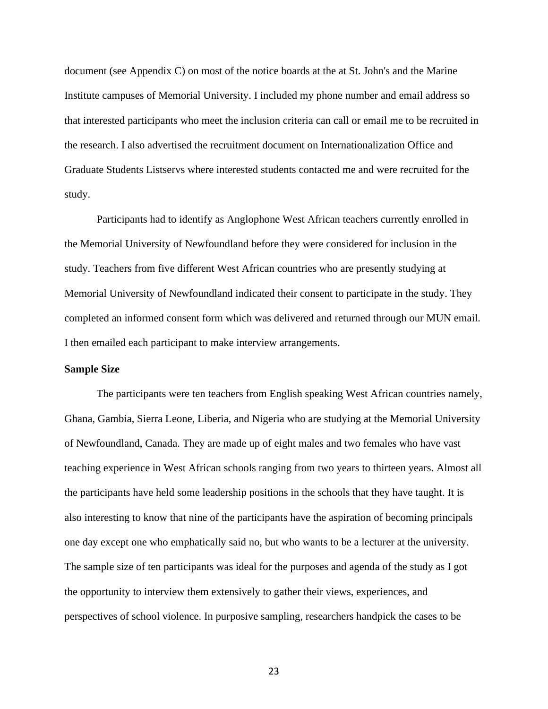document (see Appendix C) on most of the notice boards at the at St. John's and the Marine Institute campuses of Memorial University. I included my phone number and email address so that interested participants who meet the inclusion criteria can call or email me to be recruited in the research. I also advertised the recruitment document on Internationalization Office and Graduate Students Listservs where interested students contacted me and were recruited for the study.

Participants had to identify as Anglophone West African teachers currently enrolled in the Memorial University of Newfoundland before they were considered for inclusion in the study. Teachers from five different West African countries who are presently studying at Memorial University of Newfoundland indicated their consent to participate in the study. They completed an informed consent form which was delivered and returned through our MUN email. I then emailed each participant to make interview arrangements.

#### <span id="page-29-0"></span>**Sample Size**

The participants were ten teachers from English speaking West African countries namely, Ghana, Gambia, Sierra Leone, Liberia, and Nigeria who are studying at the Memorial University of Newfoundland, Canada. They are made up of eight males and two females who have vast teaching experience in West African schools ranging from two years to thirteen years. Almost all the participants have held some leadership positions in the schools that they have taught. It is also interesting to know that nine of the participants have the aspiration of becoming principals one day except one who emphatically said no, but who wants to be a lecturer at the university. The sample size of ten participants was ideal for the purposes and agenda of the study as I got the opportunity to interview them extensively to gather their views, experiences, and perspectives of school violence. In purposive sampling, researchers handpick the cases to be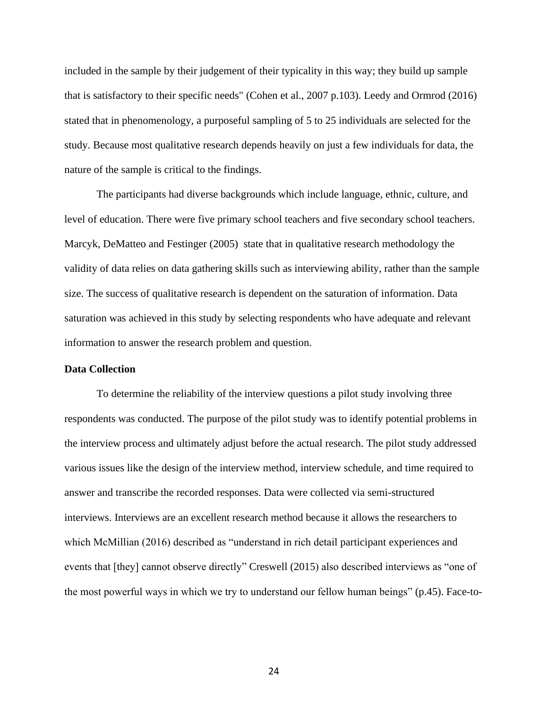included in the sample by their judgement of their typicality in this way; they build up sample that is satisfactory to their specific needs" (Cohen et al., 2007 p.103). Leedy and Ormrod (2016) stated that in phenomenology, a purposeful sampling of 5 to 25 individuals are selected for the study. Because most qualitative research depends heavily on just a few individuals for data, the nature of the sample is critical to the findings.

The participants had diverse backgrounds which include language, ethnic, culture, and level of education. There were five primary school teachers and five secondary school teachers. Marcyk, DeMatteo and Festinger (2005) state that in qualitative research methodology the validity of data relies on data gathering skills such as interviewing ability, rather than the sample size. The success of qualitative research is dependent on the saturation of information. Data saturation was achieved in this study by selecting respondents who have adequate and relevant information to answer the research problem and question.

## <span id="page-30-0"></span>**Data Collection**

To determine the reliability of the interview questions a pilot study involving three respondents was conducted. The purpose of the pilot study was to identify potential problems in the interview process and ultimately adjust before the actual research. The pilot study addressed various issues like the design of the interview method, interview schedule, and time required to answer and transcribe the recorded responses. Data were collected via semi-structured interviews. Interviews are an excellent research method because it allows the researchers to which McMillian (2016) described as "understand in rich detail participant experiences and events that [they] cannot observe directly" Creswell (2015) also described interviews as "one of the most powerful ways in which we try to understand our fellow human beings" (p.45). Face-to-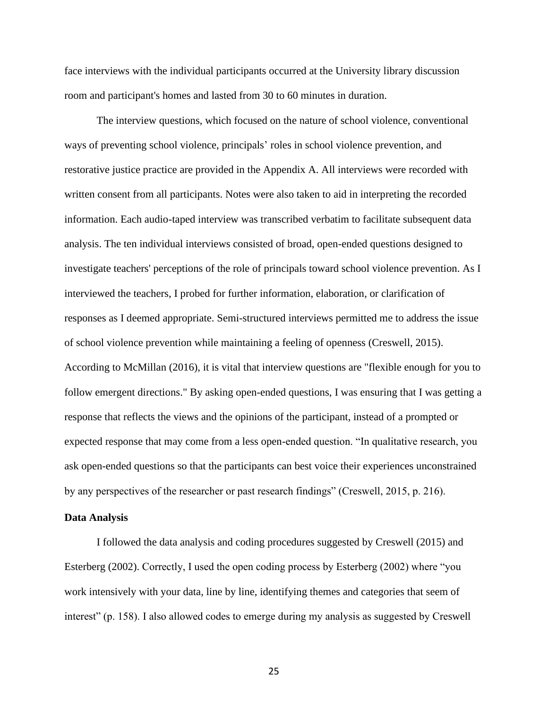face interviews with the individual participants occurred at the University library discussion room and participant's homes and lasted from 30 to 60 minutes in duration.

The interview questions, which focused on the nature of school violence, conventional ways of preventing school violence, principals' roles in school violence prevention, and restorative justice practice are provided in the Appendix A. All interviews were recorded with written consent from all participants. Notes were also taken to aid in interpreting the recorded information. Each audio-taped interview was transcribed verbatim to facilitate subsequent data analysis. The ten individual interviews consisted of broad, open-ended questions designed to investigate teachers' perceptions of the role of principals toward school violence prevention. As I interviewed the teachers, I probed for further information, elaboration, or clarification of responses as I deemed appropriate. Semi-structured interviews permitted me to address the issue of school violence prevention while maintaining a feeling of openness (Creswell, 2015). According to McMillan (2016), it is vital that interview questions are "flexible enough for you to follow emergent directions." By asking open-ended questions, I was ensuring that I was getting a response that reflects the views and the opinions of the participant, instead of a prompted or expected response that may come from a less open-ended question. "In qualitative research, you ask open-ended questions so that the participants can best voice their experiences unconstrained by any perspectives of the researcher or past research findings" (Creswell, 2015, p. 216).

#### <span id="page-31-0"></span>**Data Analysis**

I followed the data analysis and coding procedures suggested by Creswell (2015) and Esterberg (2002). Correctly, I used the open coding process by Esterberg (2002) where "you work intensively with your data, line by line, identifying themes and categories that seem of interest" (p. 158). I also allowed codes to emerge during my analysis as suggested by Creswell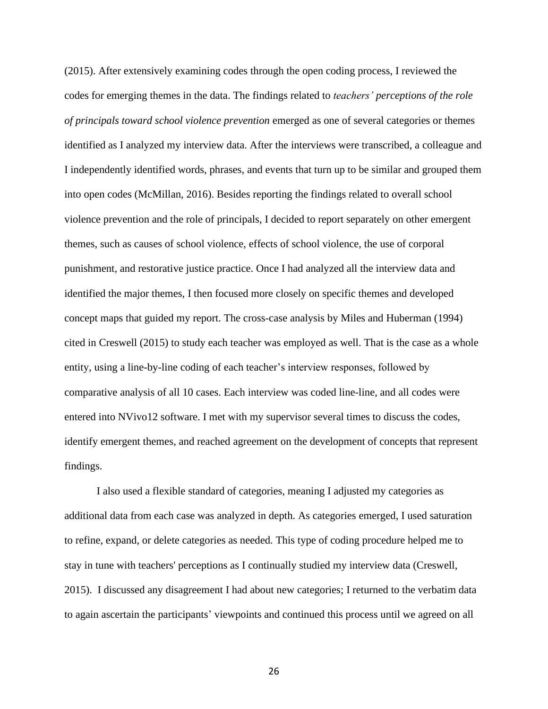(2015). After extensively examining codes through the open coding process, I reviewed the codes for emerging themes in the data. The findings related to *teachers' perceptions of the role of principals toward school violence prevention* emerged as one of several categories or themes identified as I analyzed my interview data. After the interviews were transcribed, a colleague and I independently identified words, phrases, and events that turn up to be similar and grouped them into open codes (McMillan, 2016). Besides reporting the findings related to overall school violence prevention and the role of principals, I decided to report separately on other emergent themes, such as causes of school violence, effects of school violence, the use of corporal punishment, and restorative justice practice. Once I had analyzed all the interview data and identified the major themes, I then focused more closely on specific themes and developed concept maps that guided my report. The cross-case analysis by Miles and Huberman (1994) cited in Creswell (2015) to study each teacher was employed as well. That is the case as a whole entity, using a line-by-line coding of each teacher's interview responses, followed by comparative analysis of all 10 cases. Each interview was coded line-line, and all codes were entered into NVivo12 software. I met with my supervisor several times to discuss the codes, identify emergent themes, and reached agreement on the development of concepts that represent findings.

I also used a flexible standard of categories, meaning I adjusted my categories as additional data from each case was analyzed in depth. As categories emerged, I used saturation to refine, expand, or delete categories as needed. This type of coding procedure helped me to stay in tune with teachers' perceptions as I continually studied my interview data (Creswell, 2015). I discussed any disagreement I had about new categories; I returned to the verbatim data to again ascertain the participants' viewpoints and continued this process until we agreed on all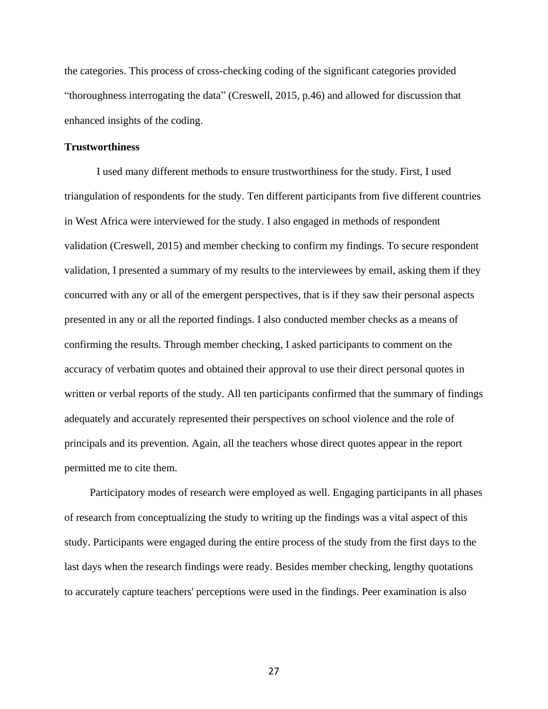the categories. This process of cross-checking coding of the significant categories provided "thoroughness interrogating the data" (Creswell, 2015, p.46) and allowed for discussion that enhanced insights of the coding.

#### <span id="page-33-0"></span>**Trustworthiness**

I used many different methods to ensure trustworthiness for the study. First, I used triangulation of respondents for the study. Ten different participants from five different countries in West Africa were interviewed for the study. I also engaged in methods of respondent validation (Creswell, 2015) and member checking to confirm my findings. To secure respondent validation, I presented a summary of my results to the interviewees by email, asking them if they concurred with any or all of the emergent perspectives, that is if they saw their personal aspects presented in any or all the reported findings. I also conducted member checks as a means of confirming the results. Through member checking, I asked participants to comment on the accuracy of verbatim quotes and obtained their approval to use their direct personal quotes in written or verbal reports of the study. All ten participants confirmed that the summary of findings adequately and accurately represented their perspectives on school violence and the role of principals and its prevention. Again, all the teachers whose direct quotes appear in the report permitted me to cite them.

Participatory modes of research were employed as well. Engaging participants in all phases of research from conceptualizing the study to writing up the findings was a vital aspect of this study. Participants were engaged during the entire process of the study from the first days to the last days when the research findings were ready. Besides member checking, lengthy quotations to accurately capture teachers' perceptions were used in the findings. Peer examination is also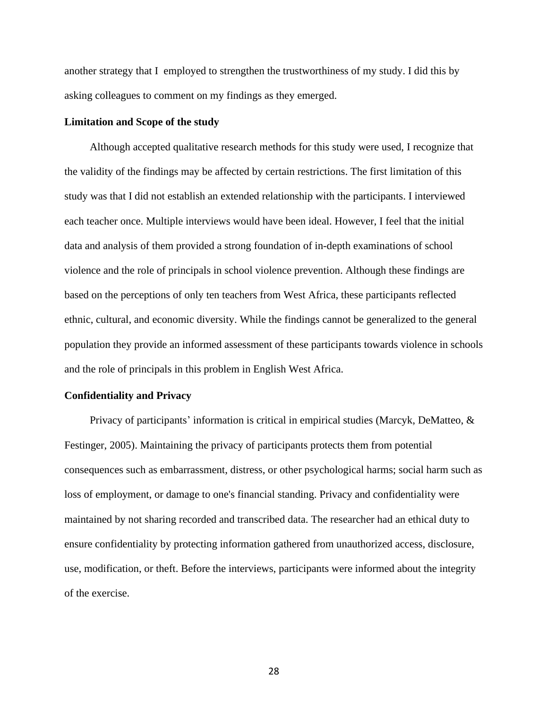another strategy that I employed to strengthen the trustworthiness of my study. I did this by asking colleagues to comment on my findings as they emerged.

#### <span id="page-34-0"></span>**Limitation and Scope of the study**

Although accepted qualitative research methods for this study were used, I recognize that the validity of the findings may be affected by certain restrictions. The first limitation of this study was that I did not establish an extended relationship with the participants. I interviewed each teacher once. Multiple interviews would have been ideal. However, I feel that the initial data and analysis of them provided a strong foundation of in-depth examinations of school violence and the role of principals in school violence prevention. Although these findings are based on the perceptions of only ten teachers from West Africa, these participants reflected ethnic, cultural, and economic diversity. While the findings cannot be generalized to the general population they provide an informed assessment of these participants towards violence in schools and the role of principals in this problem in English West Africa.

#### <span id="page-34-1"></span>**Confidentiality and Privacy**

Privacy of participants' information is critical in empirical studies (Marcyk, DeMatteo, & Festinger, 2005). Maintaining the privacy of participants protects them from potential consequences such as embarrassment, distress, or other psychological harms; social harm such as loss of employment, or damage to one's financial standing. Privacy and confidentiality were maintained by not sharing recorded and transcribed data. The researcher had an ethical duty to ensure confidentiality by protecting information gathered from unauthorized access, disclosure, use, modification, or theft. Before the interviews, participants were informed about the integrity of the exercise.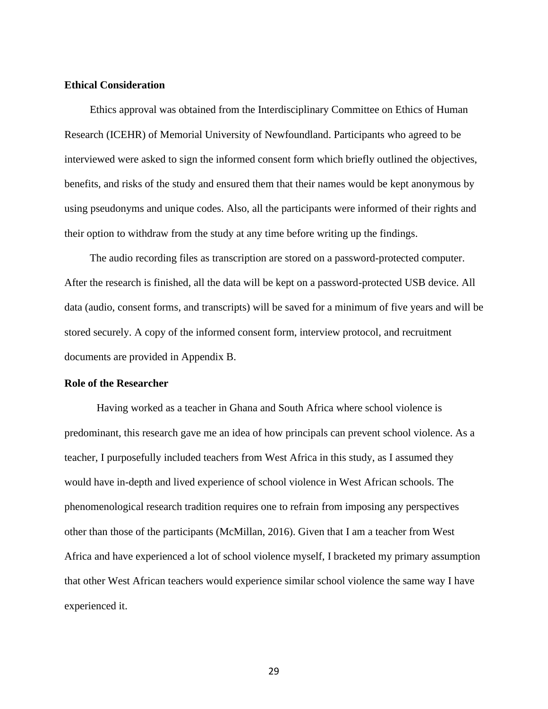## <span id="page-35-0"></span>**Ethical Consideration**

Ethics approval was obtained from the Interdisciplinary Committee on Ethics of Human Research (ICEHR) of Memorial University of Newfoundland. Participants who agreed to be interviewed were asked to sign the informed consent form which briefly outlined the objectives, benefits, and risks of the study and ensured them that their names would be kept anonymous by using pseudonyms and unique codes. Also, all the participants were informed of their rights and their option to withdraw from the study at any time before writing up the findings.

The audio recording files as transcription are stored on a password-protected computer. After the research is finished, all the data will be kept on a password-protected USB device. All data (audio, consent forms, and transcripts) will be saved for a minimum of five years and will be stored securely. A copy of the informed consent form, interview protocol, and recruitment documents are provided in Appendix B.

#### <span id="page-35-1"></span>**Role of the Researcher**

Having worked as a teacher in Ghana and South Africa where school violence is predominant, this research gave me an idea of how principals can prevent school violence. As a teacher, I purposefully included teachers from West Africa in this study, as I assumed they would have in-depth and lived experience of school violence in West African schools. The phenomenological research tradition requires one to refrain from imposing any perspectives other than those of the participants (McMillan, 2016). Given that I am a teacher from West Africa and have experienced a lot of school violence myself, I bracketed my primary assumption that other West African teachers would experience similar school violence the same way I have experienced it.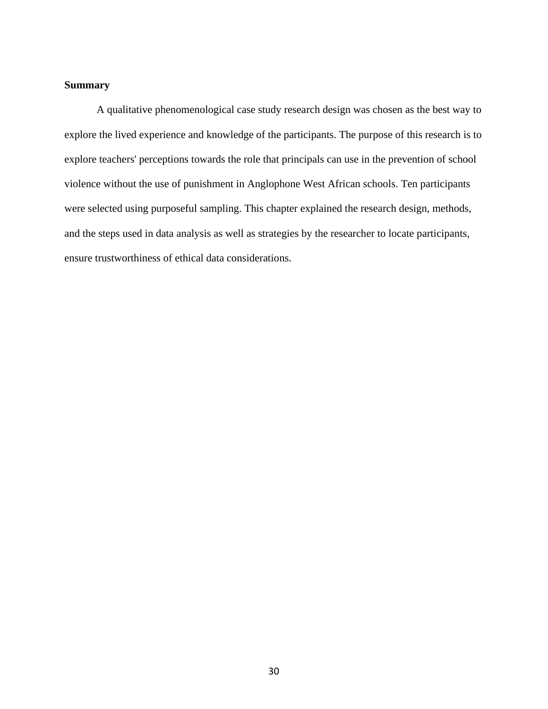# **Summary**

A qualitative phenomenological case study research design was chosen as the best way to explore the lived experience and knowledge of the participants. The purpose of this research is to explore teachers' perceptions towards the role that principals can use in the prevention of school violence without the use of punishment in Anglophone West African schools. Ten participants were selected using purposeful sampling. This chapter explained the research design, methods, and the steps used in data analysis as well as strategies by the researcher to locate participants, ensure trustworthiness of ethical data considerations.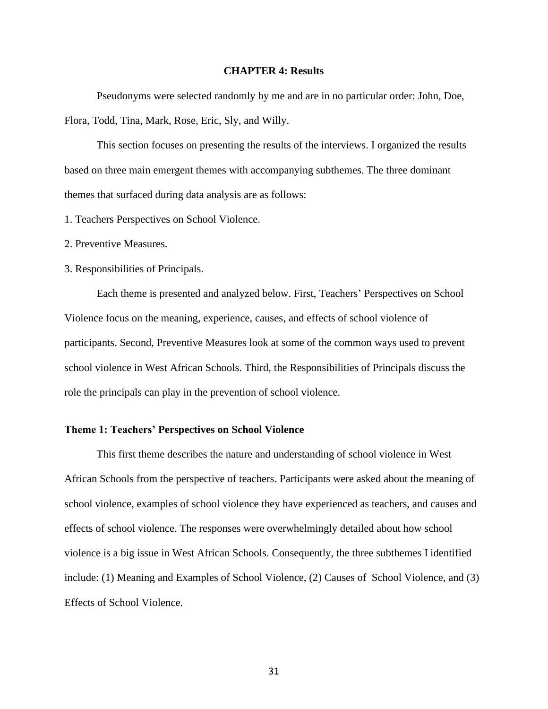### **CHAPTER 4: Results**

Pseudonyms were selected randomly by me and are in no particular order: John, Doe, Flora, Todd, Tina, Mark, Rose, Eric, Sly, and Willy.

This section focuses on presenting the results of the interviews. I organized the results based on three main emergent themes with accompanying subthemes. The three dominant themes that surfaced during data analysis are as follows:

1. Teachers Perspectives on School Violence.

2. Preventive Measures.

3. Responsibilities of Principals.

Each theme is presented and analyzed below. First, Teachers' Perspectives on School Violence focus on the meaning, experience, causes, and effects of school violence of participants. Second, Preventive Measures look at some of the common ways used to prevent school violence in West African Schools. Third, the Responsibilities of Principals discuss the role the principals can play in the prevention of school violence.

### **Theme 1: Teachers' Perspectives on School Violence**

This first theme describes the nature and understanding of school violence in West African Schools from the perspective of teachers. Participants were asked about the meaning of school violence, examples of school violence they have experienced as teachers, and causes and effects of school violence. The responses were overwhelmingly detailed about how school violence is a big issue in West African Schools. Consequently, the three subthemes I identified include: (1) Meaning and Examples of School Violence, (2) Causes of School Violence, and (3) Effects of School Violence.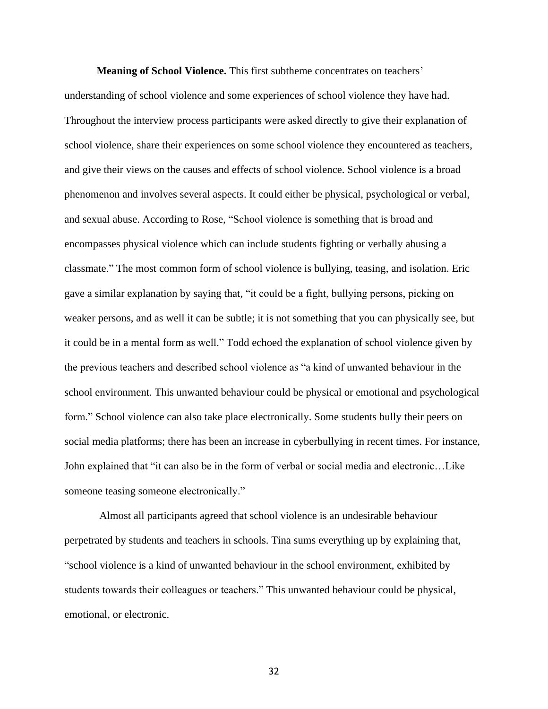**Meaning of School Violence.** This first subtheme concentrates on teachers' understanding of school violence and some experiences of school violence they have had. Throughout the interview process participants were asked directly to give their explanation of school violence, share their experiences on some school violence they encountered as teachers, and give their views on the causes and effects of school violence. School violence is a broad phenomenon and involves several aspects. It could either be physical, psychological or verbal, and sexual abuse. According to Rose, "School violence is something that is broad and encompasses physical violence which can include students fighting or verbally abusing a classmate." The most common form of school violence is bullying, teasing, and isolation. Eric gave a similar explanation by saying that, "it could be a fight, bullying persons, picking on weaker persons, and as well it can be subtle; it is not something that you can physically see, but it could be in a mental form as well." Todd echoed the explanation of school violence given by the previous teachers and described school violence as "a kind of unwanted behaviour in the school environment. This unwanted behaviour could be physical or emotional and psychological form." School violence can also take place electronically. Some students bully their peers on social media platforms; there has been an increase in cyberbullying in recent times. For instance, John explained that "it can also be in the form of verbal or social media and electronic…Like someone teasing someone electronically."

Almost all participants agreed that school violence is an undesirable behaviour perpetrated by students and teachers in schools. Tina sums everything up by explaining that, "school violence is a kind of unwanted behaviour in the school environment, exhibited by students towards their colleagues or teachers." This unwanted behaviour could be physical, emotional, or electronic.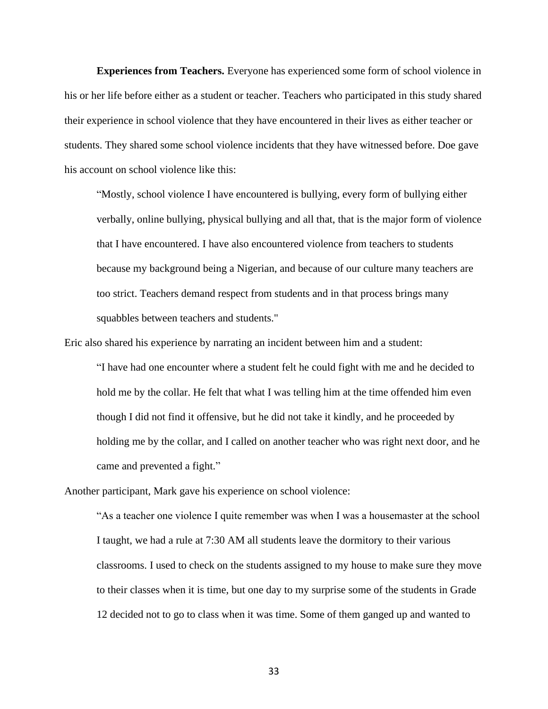**Experiences from Teachers.** Everyone has experienced some form of school violence in his or her life before either as a student or teacher. Teachers who participated in this study shared their experience in school violence that they have encountered in their lives as either teacher or students. They shared some school violence incidents that they have witnessed before. Doe gave his account on school violence like this:

"Mostly, school violence I have encountered is bullying, every form of bullying either verbally, online bullying, physical bullying and all that, that is the major form of violence that I have encountered. I have also encountered violence from teachers to students because my background being a Nigerian, and because of our culture many teachers are too strict. Teachers demand respect from students and in that process brings many squabbles between teachers and students."

Eric also shared his experience by narrating an incident between him and a student:

"I have had one encounter where a student felt he could fight with me and he decided to hold me by the collar. He felt that what I was telling him at the time offended him even though I did not find it offensive, but he did not take it kindly, and he proceeded by holding me by the collar, and I called on another teacher who was right next door, and he came and prevented a fight."

Another participant, Mark gave his experience on school violence:

"As a teacher one violence I quite remember was when I was a housemaster at the school I taught, we had a rule at 7:30 AM all students leave the dormitory to their various classrooms. I used to check on the students assigned to my house to make sure they move to their classes when it is time, but one day to my surprise some of the students in Grade 12 decided not to go to class when it was time. Some of them ganged up and wanted to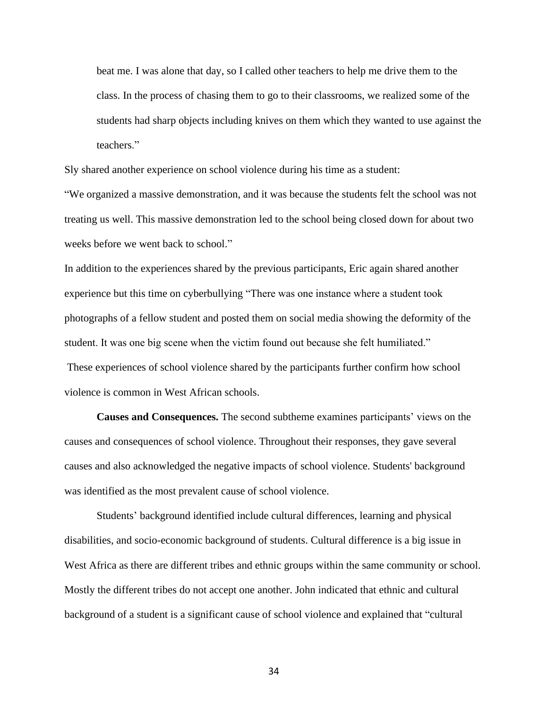beat me. I was alone that day, so I called other teachers to help me drive them to the class. In the process of chasing them to go to their classrooms, we realized some of the students had sharp objects including knives on them which they wanted to use against the teachers."

Sly shared another experience on school violence during his time as a student:

"We organized a massive demonstration, and it was because the students felt the school was not treating us well. This massive demonstration led to the school being closed down for about two weeks before we went back to school."

In addition to the experiences shared by the previous participants, Eric again shared another experience but this time on cyberbullying "There was one instance where a student took photographs of a fellow student and posted them on social media showing the deformity of the student. It was one big scene when the victim found out because she felt humiliated." These experiences of school violence shared by the participants further confirm how school violence is common in West African schools.

**Causes and Consequences.** The second subtheme examines participants' views on the causes and consequences of school violence. Throughout their responses, they gave several causes and also acknowledged the negative impacts of school violence. Students' background was identified as the most prevalent cause of school violence.

Students' background identified include cultural differences, learning and physical disabilities, and socio-economic background of students. Cultural difference is a big issue in West Africa as there are different tribes and ethnic groups within the same community or school. Mostly the different tribes do not accept one another. John indicated that ethnic and cultural background of a student is a significant cause of school violence and explained that "cultural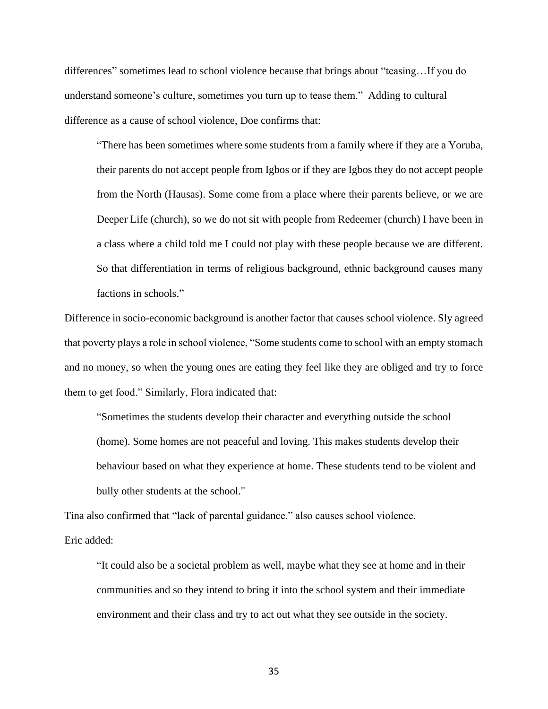differences" sometimes lead to school violence because that brings about "teasing…If you do understand someone's culture, sometimes you turn up to tease them." Adding to cultural difference as a cause of school violence, Doe confirms that:

"There has been sometimes where some students from a family where if they are a Yoruba, their parents do not accept people from Igbos or if they are Igbos they do not accept people from the North (Hausas). Some come from a place where their parents believe, or we are Deeper Life (church), so we do not sit with people from Redeemer (church) I have been in a class where a child told me I could not play with these people because we are different. So that differentiation in terms of religious background, ethnic background causes many factions in schools."

Difference in socio-economic background is another factor that causes school violence. Sly agreed that poverty plays a role in school violence, "Some students come to school with an empty stomach and no money, so when the young ones are eating they feel like they are obliged and try to force them to get food." Similarly, Flora indicated that:

"Sometimes the students develop their character and everything outside the school (home). Some homes are not peaceful and loving. This makes students develop their behaviour based on what they experience at home. These students tend to be violent and bully other students at the school."

Tina also confirmed that "lack of parental guidance." also causes school violence.

Eric added:

"It could also be a societal problem as well, maybe what they see at home and in their communities and so they intend to bring it into the school system and their immediate environment and their class and try to act out what they see outside in the society.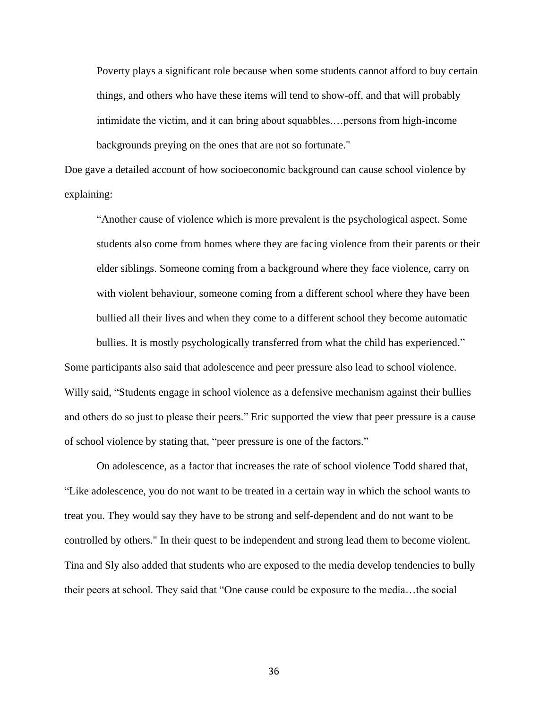Poverty plays a significant role because when some students cannot afford to buy certain things, and others who have these items will tend to show-off, and that will probably intimidate the victim, and it can bring about squabbles.…persons from high-income backgrounds preying on the ones that are not so fortunate."

Doe gave a detailed account of how socioeconomic background can cause school violence by explaining:

"Another cause of violence which is more prevalent is the psychological aspect. Some students also come from homes where they are facing violence from their parents or their elder siblings. Someone coming from a background where they face violence, carry on with violent behaviour, someone coming from a different school where they have been bullied all their lives and when they come to a different school they become automatic

bullies. It is mostly psychologically transferred from what the child has experienced." Some participants also said that adolescence and peer pressure also lead to school violence. Willy said, "Students engage in school violence as a defensive mechanism against their bullies and others do so just to please their peers." Eric supported the view that peer pressure is a cause of school violence by stating that, "peer pressure is one of the factors."

On adolescence, as a factor that increases the rate of school violence Todd shared that, "Like adolescence, you do not want to be treated in a certain way in which the school wants to treat you. They would say they have to be strong and self-dependent and do not want to be controlled by others." In their quest to be independent and strong lead them to become violent. Tina and Sly also added that students who are exposed to the media develop tendencies to bully their peers at school. They said that "One cause could be exposure to the media…the social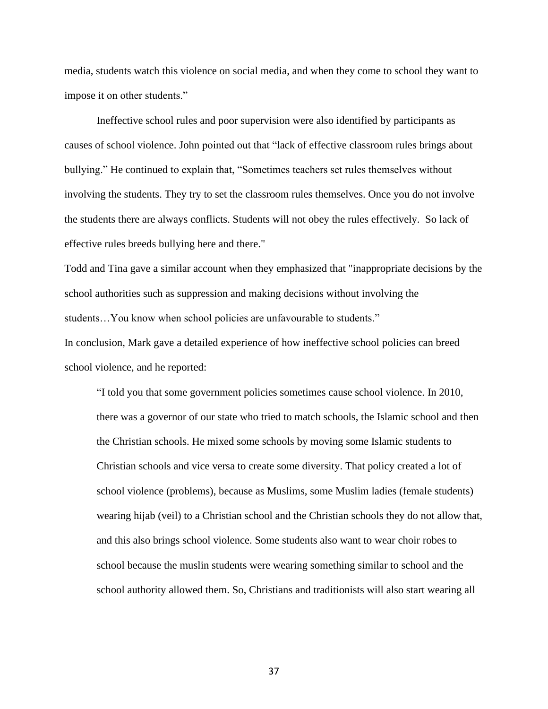media, students watch this violence on social media, and when they come to school they want to impose it on other students."

Ineffective school rules and poor supervision were also identified by participants as causes of school violence. John pointed out that "lack of effective classroom rules brings about bullying." He continued to explain that, "Sometimes teachers set rules themselves without involving the students. They try to set the classroom rules themselves. Once you do not involve the students there are always conflicts. Students will not obey the rules effectively. So lack of effective rules breeds bullying here and there."

Todd and Tina gave a similar account when they emphasized that "inappropriate decisions by the school authorities such as suppression and making decisions without involving the students…You know when school policies are unfavourable to students." In conclusion, Mark gave a detailed experience of how ineffective school policies can breed school violence, and he reported:

"I told you that some government policies sometimes cause school violence. In 2010, there was a governor of our state who tried to match schools, the Islamic school and then the Christian schools. He mixed some schools by moving some Islamic students to Christian schools and vice versa to create some diversity. That policy created a lot of school violence (problems), because as Muslims, some Muslim ladies (female students) wearing hijab (veil) to a Christian school and the Christian schools they do not allow that, and this also brings school violence. Some students also want to wear choir robes to school because the muslin students were wearing something similar to school and the school authority allowed them. So, Christians and traditionists will also start wearing all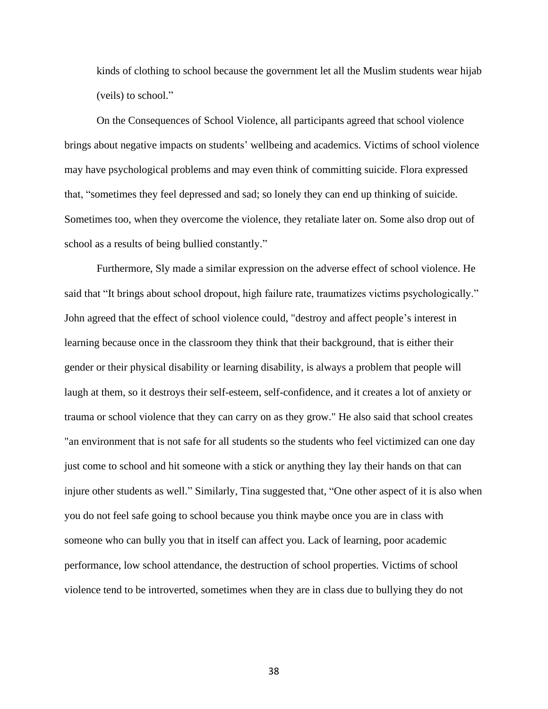kinds of clothing to school because the government let all the Muslim students wear hijab (veils) to school."

On the Consequences of School Violence, all participants agreed that school violence brings about negative impacts on students' wellbeing and academics. Victims of school violence may have psychological problems and may even think of committing suicide. Flora expressed that, "sometimes they feel depressed and sad; so lonely they can end up thinking of suicide. Sometimes too, when they overcome the violence, they retaliate later on. Some also drop out of school as a results of being bullied constantly."

Furthermore, Sly made a similar expression on the adverse effect of school violence. He said that "It brings about school dropout, high failure rate, traumatizes victims psychologically." John agreed that the effect of school violence could, "destroy and affect people's interest in learning because once in the classroom they think that their background, that is either their gender or their physical disability or learning disability, is always a problem that people will laugh at them, so it destroys their self-esteem, self-confidence, and it creates a lot of anxiety or trauma or school violence that they can carry on as they grow." He also said that school creates "an environment that is not safe for all students so the students who feel victimized can one day just come to school and hit someone with a stick or anything they lay their hands on that can injure other students as well." Similarly, Tina suggested that, "One other aspect of it is also when you do not feel safe going to school because you think maybe once you are in class with someone who can bully you that in itself can affect you. Lack of learning, poor academic performance, low school attendance, the destruction of school properties. Victims of school violence tend to be introverted, sometimes when they are in class due to bullying they do not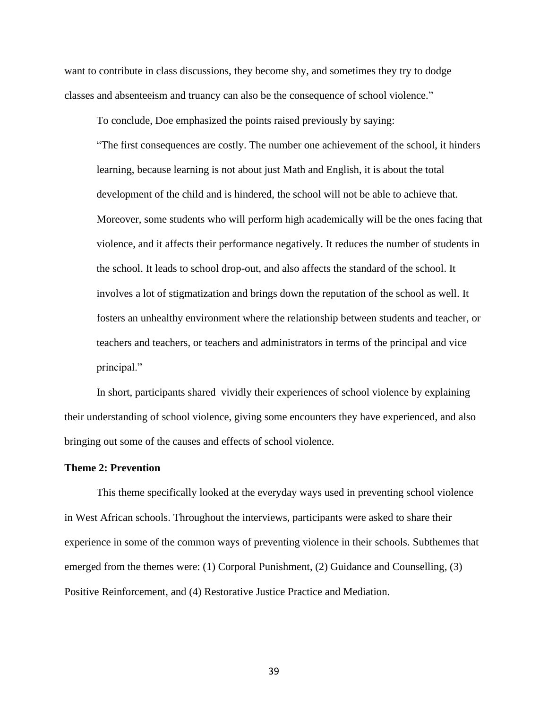want to contribute in class discussions, they become shy, and sometimes they try to dodge classes and absenteeism and truancy can also be the consequence of school violence."

To conclude, Doe emphasized the points raised previously by saying:

"The first consequences are costly. The number one achievement of the school, it hinders learning, because learning is not about just Math and English, it is about the total development of the child and is hindered, the school will not be able to achieve that. Moreover, some students who will perform high academically will be the ones facing that violence, and it affects their performance negatively. It reduces the number of students in the school. It leads to school drop-out, and also affects the standard of the school. It involves a lot of stigmatization and brings down the reputation of the school as well. It fosters an unhealthy environment where the relationship between students and teacher, or teachers and teachers, or teachers and administrators in terms of the principal and vice principal."

In short, participants shared vividly their experiences of school violence by explaining their understanding of school violence, giving some encounters they have experienced, and also bringing out some of the causes and effects of school violence.

## **Theme 2: Prevention**

This theme specifically looked at the everyday ways used in preventing school violence in West African schools. Throughout the interviews, participants were asked to share their experience in some of the common ways of preventing violence in their schools. Subthemes that emerged from the themes were: (1) Corporal Punishment, (2) Guidance and Counselling, (3) Positive Reinforcement, and (4) Restorative Justice Practice and Mediation.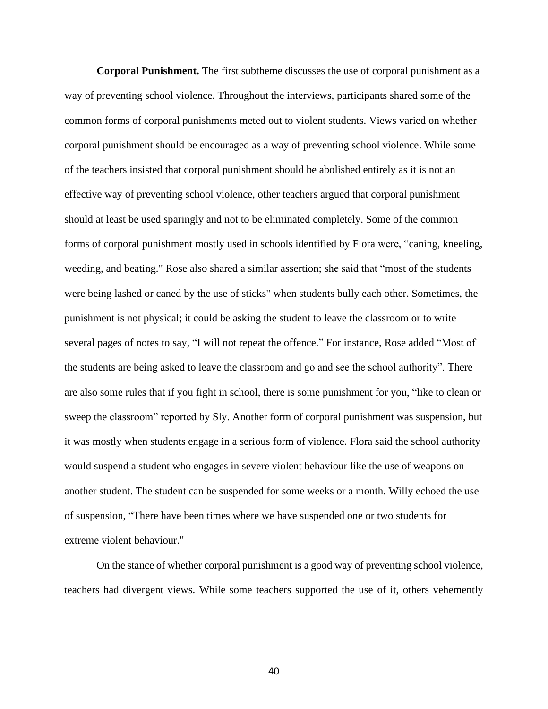**Corporal Punishment.** The first subtheme discusses the use of corporal punishment as a way of preventing school violence. Throughout the interviews, participants shared some of the common forms of corporal punishments meted out to violent students. Views varied on whether corporal punishment should be encouraged as a way of preventing school violence. While some of the teachers insisted that corporal punishment should be abolished entirely as it is not an effective way of preventing school violence, other teachers argued that corporal punishment should at least be used sparingly and not to be eliminated completely. Some of the common forms of corporal punishment mostly used in schools identified by Flora were, "caning, kneeling, weeding, and beating." Rose also shared a similar assertion; she said that "most of the students were being lashed or caned by the use of sticks" when students bully each other. Sometimes, the punishment is not physical; it could be asking the student to leave the classroom or to write several pages of notes to say, "I will not repeat the offence." For instance, Rose added "Most of the students are being asked to leave the classroom and go and see the school authority". There are also some rules that if you fight in school, there is some punishment for you, "like to clean or sweep the classroom" reported by Sly. Another form of corporal punishment was suspension, but it was mostly when students engage in a serious form of violence. Flora said the school authority would suspend a student who engages in severe violent behaviour like the use of weapons on another student. The student can be suspended for some weeks or a month. Willy echoed the use of suspension, "There have been times where we have suspended one or two students for extreme violent behaviour."

On the stance of whether corporal punishment is a good way of preventing school violence, teachers had divergent views. While some teachers supported the use of it, others vehemently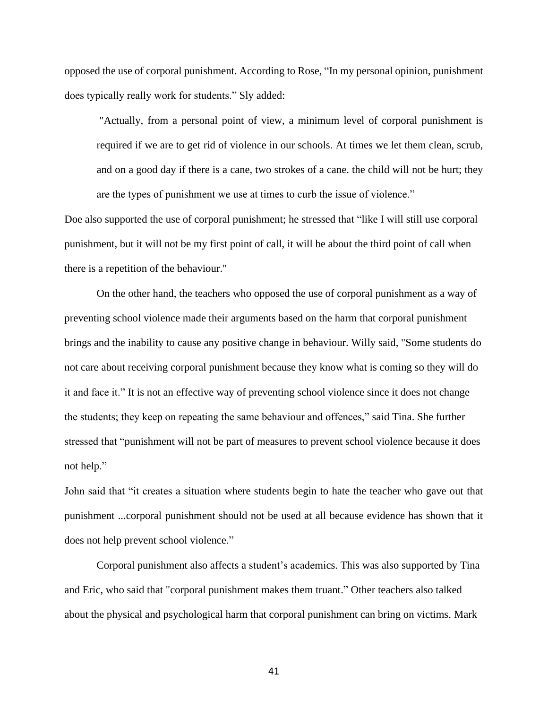opposed the use of corporal punishment. According to Rose, "In my personal opinion, punishment does typically really work for students." Sly added:

"Actually, from a personal point of view, a minimum level of corporal punishment is required if we are to get rid of violence in our schools. At times we let them clean, scrub, and on a good day if there is a cane, two strokes of a cane. the child will not be hurt; they are the types of punishment we use at times to curb the issue of violence."

Doe also supported the use of corporal punishment; he stressed that "like I will still use corporal punishment, but it will not be my first point of call, it will be about the third point of call when there is a repetition of the behaviour."

On the other hand, the teachers who opposed the use of corporal punishment as a way of preventing school violence made their arguments based on the harm that corporal punishment brings and the inability to cause any positive change in behaviour. Willy said, "Some students do not care about receiving corporal punishment because they know what is coming so they will do it and face it." It is not an effective way of preventing school violence since it does not change the students; they keep on repeating the same behaviour and offences," said Tina. She further stressed that "punishment will not be part of measures to prevent school violence because it does not help."

John said that "it creates a situation where students begin to hate the teacher who gave out that punishment ...corporal punishment should not be used at all because evidence has shown that it does not help prevent school violence."

Corporal punishment also affects a student's academics. This was also supported by Tina and Eric, who said that "corporal punishment makes them truant." Other teachers also talked about the physical and psychological harm that corporal punishment can bring on victims. Mark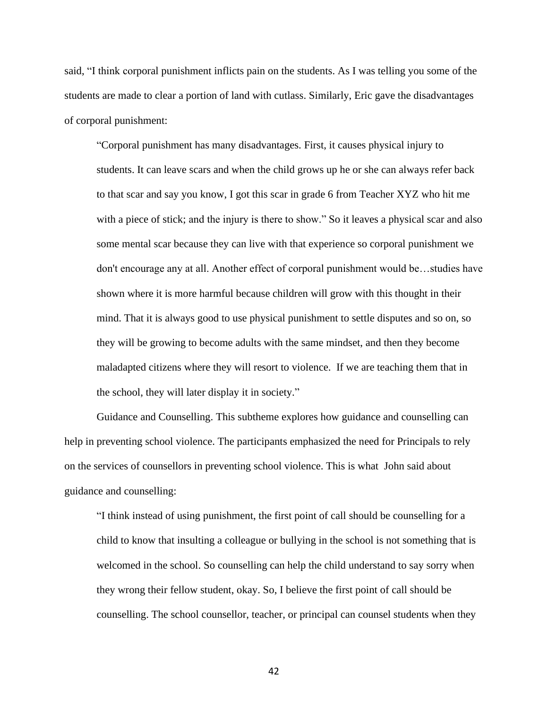said, "I think corporal punishment inflicts pain on the students. As I was telling you some of the students are made to clear a portion of land with cutlass. Similarly, Eric gave the disadvantages of corporal punishment:

"Corporal punishment has many disadvantages. First, it causes physical injury to students. It can leave scars and when the child grows up he or she can always refer back to that scar and say you know, I got this scar in grade 6 from Teacher XYZ who hit me with a piece of stick; and the injury is there to show." So it leaves a physical scar and also some mental scar because they can live with that experience so corporal punishment we don't encourage any at all. Another effect of corporal punishment would be…studies have shown where it is more harmful because children will grow with this thought in their mind. That it is always good to use physical punishment to settle disputes and so on, so they will be growing to become adults with the same mindset, and then they become maladapted citizens where they will resort to violence. If we are teaching them that in the school, they will later display it in society."

Guidance and Counselling. This subtheme explores how guidance and counselling can help in preventing school violence. The participants emphasized the need for Principals to rely on the services of counsellors in preventing school violence. This is what John said about guidance and counselling:

"I think instead of using punishment, the first point of call should be counselling for a child to know that insulting a colleague or bullying in the school is not something that is welcomed in the school. So counselling can help the child understand to say sorry when they wrong their fellow student, okay. So, I believe the first point of call should be counselling. The school counsellor, teacher, or principal can counsel students when they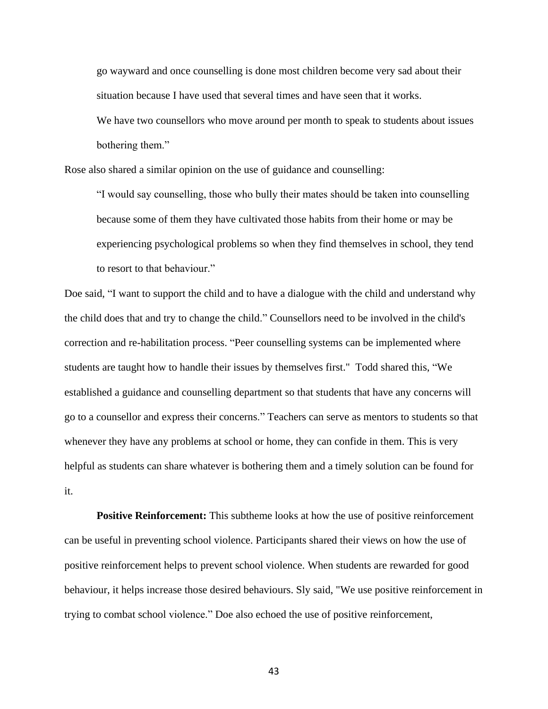go wayward and once counselling is done most children become very sad about their situation because I have used that several times and have seen that it works. We have two counsellors who move around per month to speak to students about issues bothering them."

Rose also shared a similar opinion on the use of guidance and counselling:

"I would say counselling, those who bully their mates should be taken into counselling because some of them they have cultivated those habits from their home or may be experiencing psychological problems so when they find themselves in school, they tend to resort to that behaviour."

Doe said, "I want to support the child and to have a dialogue with the child and understand why the child does that and try to change the child." Counsellors need to be involved in the child's correction and re-habilitation process. "Peer counselling systems can be implemented where students are taught how to handle their issues by themselves first." Todd shared this, "We established a guidance and counselling department so that students that have any concerns will go to a counsellor and express their concerns." Teachers can serve as mentors to students so that whenever they have any problems at school or home, they can confide in them. This is very helpful as students can share whatever is bothering them and a timely solution can be found for it.

**Positive Reinforcement:** This subtheme looks at how the use of positive reinforcement can be useful in preventing school violence. Participants shared their views on how the use of positive reinforcement helps to prevent school violence. When students are rewarded for good behaviour, it helps increase those desired behaviours. Sly said, "We use positive reinforcement in trying to combat school violence." Doe also echoed the use of positive reinforcement,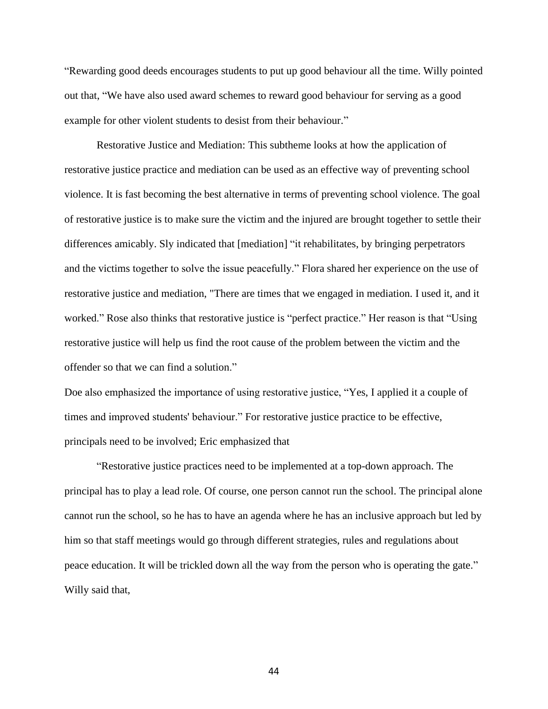"Rewarding good deeds encourages students to put up good behaviour all the time. Willy pointed out that, "We have also used award schemes to reward good behaviour for serving as a good example for other violent students to desist from their behaviour."

Restorative Justice and Mediation: This subtheme looks at how the application of restorative justice practice and mediation can be used as an effective way of preventing school violence. It is fast becoming the best alternative in terms of preventing school violence. The goal of restorative justice is to make sure the victim and the injured are brought together to settle their differences amicably. Sly indicated that [mediation] "it rehabilitates, by bringing perpetrators and the victims together to solve the issue peacefully." Flora shared her experience on the use of restorative justice and mediation, "There are times that we engaged in mediation. I used it, and it worked." Rose also thinks that restorative justice is "perfect practice." Her reason is that "Using restorative justice will help us find the root cause of the problem between the victim and the offender so that we can find a solution."

Doe also emphasized the importance of using restorative justice, "Yes, I applied it a couple of times and improved students' behaviour." For restorative justice practice to be effective, principals need to be involved; Eric emphasized that

"Restorative justice practices need to be implemented at a top-down approach. The principal has to play a lead role. Of course, one person cannot run the school. The principal alone cannot run the school, so he has to have an agenda where he has an inclusive approach but led by him so that staff meetings would go through different strategies, rules and regulations about peace education. It will be trickled down all the way from the person who is operating the gate." Willy said that,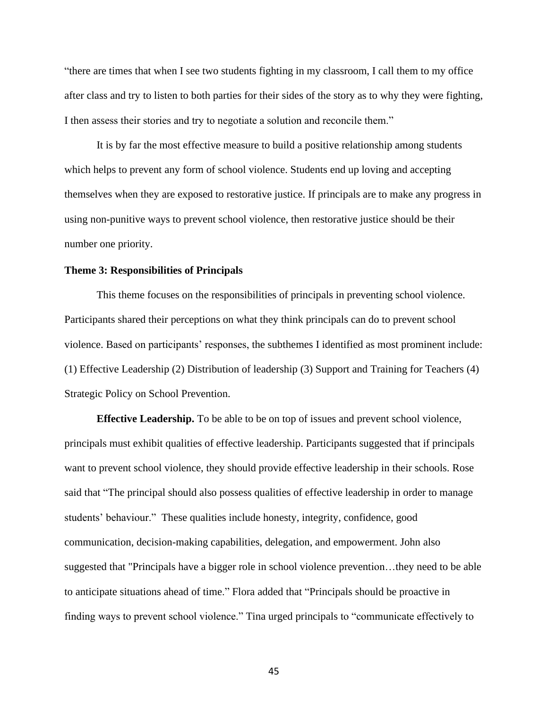"there are times that when I see two students fighting in my classroom, I call them to my office after class and try to listen to both parties for their sides of the story as to why they were fighting, I then assess their stories and try to negotiate a solution and reconcile them."

It is by far the most effective measure to build a positive relationship among students which helps to prevent any form of school violence. Students end up loving and accepting themselves when they are exposed to restorative justice. If principals are to make any progress in using non-punitive ways to prevent school violence, then restorative justice should be their number one priority.

#### **Theme 3: Responsibilities of Principals**

This theme focuses on the responsibilities of principals in preventing school violence. Participants shared their perceptions on what they think principals can do to prevent school violence. Based on participants' responses, the subthemes I identified as most prominent include: (1) Effective Leadership (2) Distribution of leadership (3) Support and Training for Teachers (4) Strategic Policy on School Prevention.

**Effective Leadership.** To be able to be on top of issues and prevent school violence, principals must exhibit qualities of effective leadership. Participants suggested that if principals want to prevent school violence, they should provide effective leadership in their schools. Rose said that "The principal should also possess qualities of effective leadership in order to manage students' behaviour." These qualities include honesty, integrity, confidence, good communication, decision-making capabilities, delegation, and empowerment. John also suggested that "Principals have a bigger role in school violence prevention…they need to be able to anticipate situations ahead of time." Flora added that "Principals should be proactive in finding ways to prevent school violence." Tina urged principals to "communicate effectively to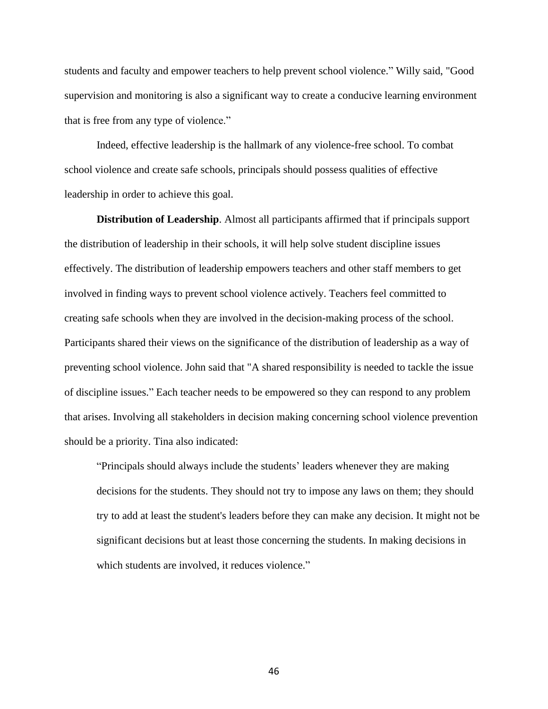students and faculty and empower teachers to help prevent school violence." Willy said, "Good supervision and monitoring is also a significant way to create a conducive learning environment that is free from any type of violence."

Indeed, effective leadership is the hallmark of any violence-free school. To combat school violence and create safe schools, principals should possess qualities of effective leadership in order to achieve this goal.

**Distribution of Leadership**. Almost all participants affirmed that if principals support the distribution of leadership in their schools, it will help solve student discipline issues effectively. The distribution of leadership empowers teachers and other staff members to get involved in finding ways to prevent school violence actively. Teachers feel committed to creating safe schools when they are involved in the decision-making process of the school. Participants shared their views on the significance of the distribution of leadership as a way of preventing school violence. John said that "A shared responsibility is needed to tackle the issue of discipline issues." Each teacher needs to be empowered so they can respond to any problem that arises. Involving all stakeholders in decision making concerning school violence prevention should be a priority. Tina also indicated:

"Principals should always include the students' leaders whenever they are making decisions for the students. They should not try to impose any laws on them; they should try to add at least the student's leaders before they can make any decision. It might not be significant decisions but at least those concerning the students. In making decisions in which students are involved, it reduces violence."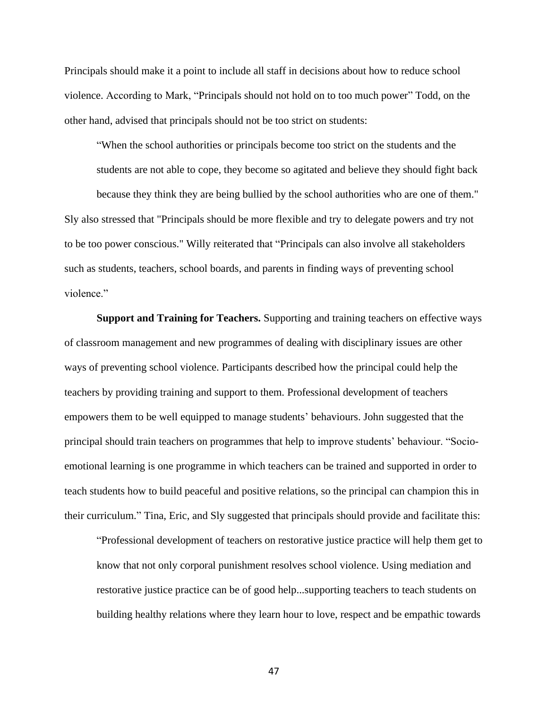Principals should make it a point to include all staff in decisions about how to reduce school violence. According to Mark, "Principals should not hold on to too much power" Todd, on the other hand, advised that principals should not be too strict on students:

"When the school authorities or principals become too strict on the students and the students are not able to cope, they become so agitated and believe they should fight back

because they think they are being bullied by the school authorities who are one of them." Sly also stressed that "Principals should be more flexible and try to delegate powers and try not to be too power conscious." Willy reiterated that "Principals can also involve all stakeholders such as students, teachers, school boards, and parents in finding ways of preventing school violence."

**Support and Training for Teachers.** Supporting and training teachers on effective ways of classroom management and new programmes of dealing with disciplinary issues are other ways of preventing school violence. Participants described how the principal could help the teachers by providing training and support to them. Professional development of teachers empowers them to be well equipped to manage students' behaviours. John suggested that the principal should train teachers on programmes that help to improve students' behaviour. "Socioemotional learning is one programme in which teachers can be trained and supported in order to teach students how to build peaceful and positive relations, so the principal can champion this in their curriculum." Tina, Eric, and Sly suggested that principals should provide and facilitate this:

"Professional development of teachers on restorative justice practice will help them get to know that not only corporal punishment resolves school violence. Using mediation and restorative justice practice can be of good help...supporting teachers to teach students on building healthy relations where they learn hour to love, respect and be empathic towards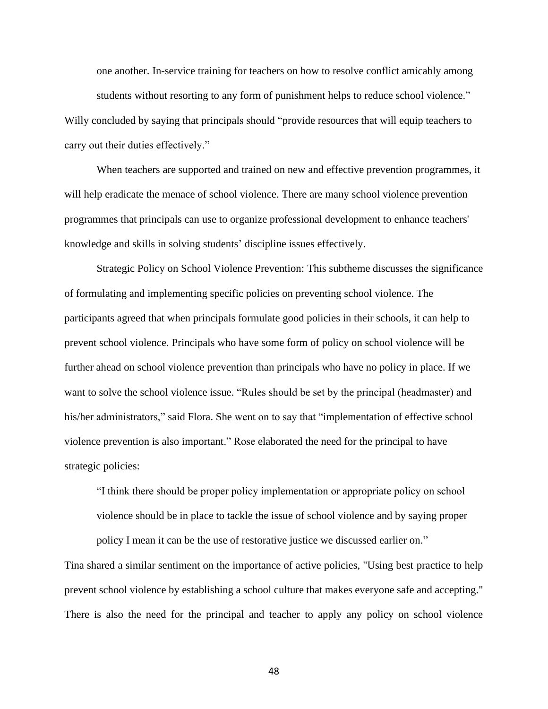one another. In-service training for teachers on how to resolve conflict amicably among students without resorting to any form of punishment helps to reduce school violence." Willy concluded by saying that principals should "provide resources that will equip teachers to carry out their duties effectively."

When teachers are supported and trained on new and effective prevention programmes, it will help eradicate the menace of school violence. There are many school violence prevention programmes that principals can use to organize professional development to enhance teachers' knowledge and skills in solving students' discipline issues effectively.

Strategic Policy on School Violence Prevention: This subtheme discusses the significance of formulating and implementing specific policies on preventing school violence. The participants agreed that when principals formulate good policies in their schools, it can help to prevent school violence. Principals who have some form of policy on school violence will be further ahead on school violence prevention than principals who have no policy in place. If we want to solve the school violence issue. "Rules should be set by the principal (headmaster) and his/her administrators," said Flora. She went on to say that "implementation of effective school violence prevention is also important." Rose elaborated the need for the principal to have strategic policies:

"I think there should be proper policy implementation or appropriate policy on school violence should be in place to tackle the issue of school violence and by saying proper policy I mean it can be the use of restorative justice we discussed earlier on."

Tina shared a similar sentiment on the importance of active policies, "Using best practice to help prevent school violence by establishing a school culture that makes everyone safe and accepting." There is also the need for the principal and teacher to apply any policy on school violence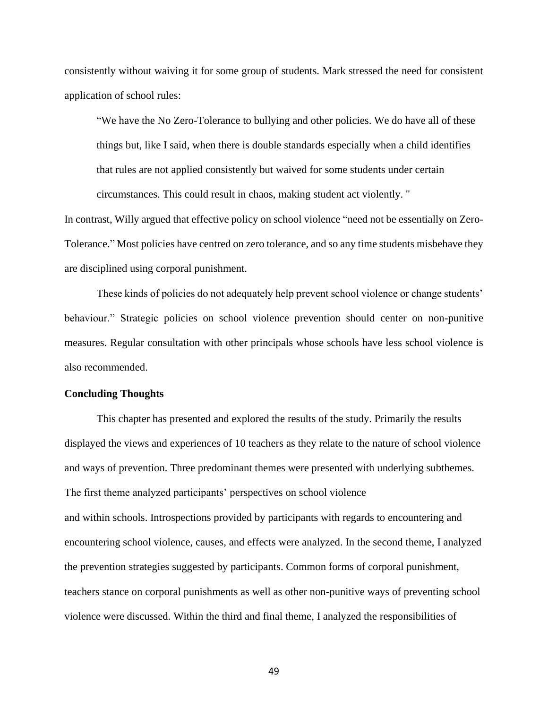consistently without waiving it for some group of students. Mark stressed the need for consistent application of school rules:

"We have the No Zero-Tolerance to bullying and other policies. We do have all of these things but, like I said, when there is double standards especially when a child identifies that rules are not applied consistently but waived for some students under certain circumstances. This could result in chaos, making student act violently. "

In contrast, Willy argued that effective policy on school violence "need not be essentially on Zero-Tolerance." Most policies have centred on zero tolerance, and so any time students misbehave they are disciplined using corporal punishment.

These kinds of policies do not adequately help prevent school violence or change students' behaviour." Strategic policies on school violence prevention should center on non-punitive measures. Regular consultation with other principals whose schools have less school violence is also recommended.

### **Concluding Thoughts**

This chapter has presented and explored the results of the study. Primarily the results displayed the views and experiences of 10 teachers as they relate to the nature of school violence and ways of prevention. Three predominant themes were presented with underlying subthemes. The first theme analyzed participants' perspectives on school violence and within schools. Introspections provided by participants with regards to encountering and encountering school violence, causes, and effects were analyzed. In the second theme, I analyzed the prevention strategies suggested by participants. Common forms of corporal punishment, teachers stance on corporal punishments as well as other non-punitive ways of preventing school violence were discussed. Within the third and final theme, I analyzed the responsibilities of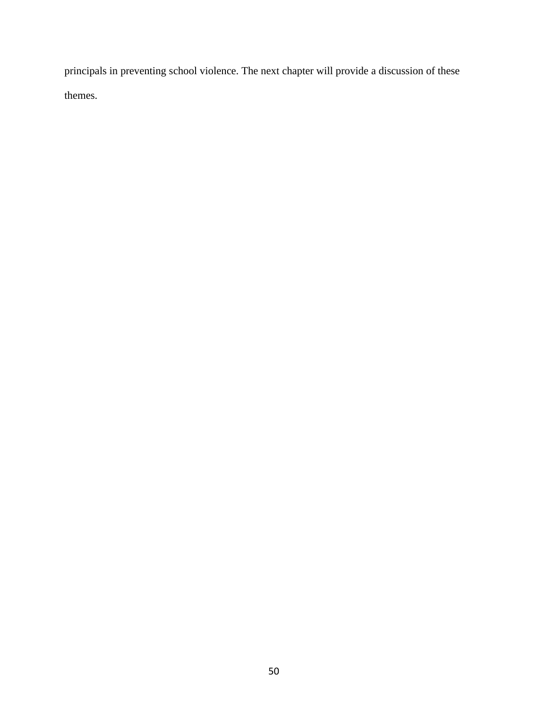principals in preventing school violence. The next chapter will provide a discussion of these themes.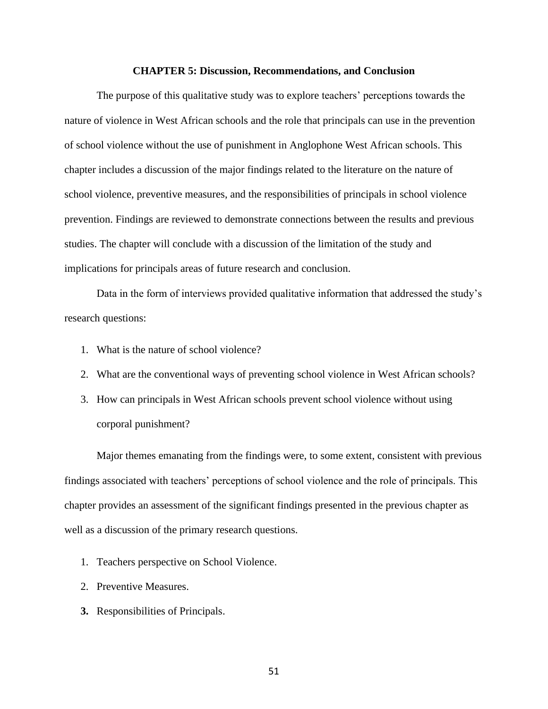#### **CHAPTER 5: Discussion, Recommendations, and Conclusion**

The purpose of this qualitative study was to explore teachers' perceptions towards the nature of violence in West African schools and the role that principals can use in the prevention of school violence without the use of punishment in Anglophone West African schools. This chapter includes a discussion of the major findings related to the literature on the nature of school violence, preventive measures, and the responsibilities of principals in school violence prevention. Findings are reviewed to demonstrate connections between the results and previous studies. The chapter will conclude with a discussion of the limitation of the study and implications for principals areas of future research and conclusion.

Data in the form of interviews provided qualitative information that addressed the study's research questions:

- 1. What is the nature of school violence?
- 2. What are the conventional ways of preventing school violence in West African schools?
- 3. How can principals in West African schools prevent school violence without using corporal punishment?

Major themes emanating from the findings were, to some extent, consistent with previous findings associated with teachers' perceptions of school violence and the role of principals. This chapter provides an assessment of the significant findings presented in the previous chapter as well as a discussion of the primary research questions.

- 1. Teachers perspective on School Violence.
- 2. Preventive Measures.
- **3.** Responsibilities of Principals.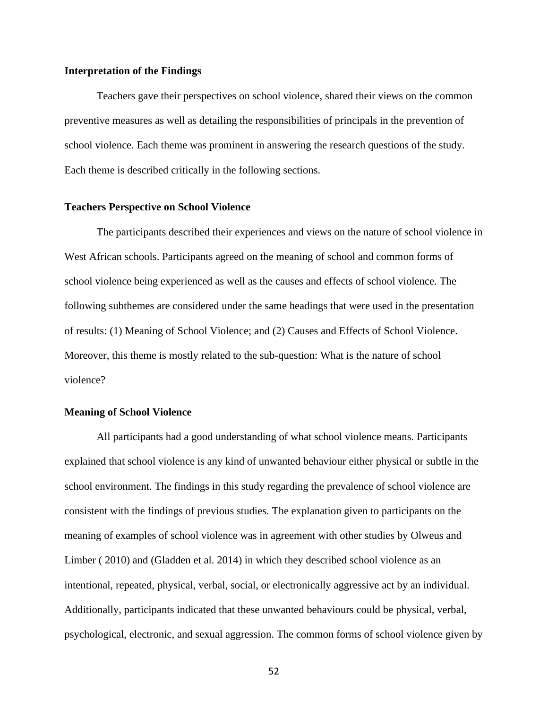# **Interpretation of the Findings**

Teachers gave their perspectives on school violence, shared their views on the common preventive measures as well as detailing the responsibilities of principals in the prevention of school violence. Each theme was prominent in answering the research questions of the study. Each theme is described critically in the following sections.

#### **Teachers Perspective on School Violence**

The participants described their experiences and views on the nature of school violence in West African schools. Participants agreed on the meaning of school and common forms of school violence being experienced as well as the causes and effects of school violence. The following subthemes are considered under the same headings that were used in the presentation of results: (1) Meaning of School Violence; and (2) Causes and Effects of School Violence. Moreover, this theme is mostly related to the sub-question: What is the nature of school violence?

### **Meaning of School Violence**

All participants had a good understanding of what school violence means. Participants explained that school violence is any kind of unwanted behaviour either physical or subtle in the school environment. The findings in this study regarding the prevalence of school violence are consistent with the findings of previous studies. The explanation given to participants on the meaning of examples of school violence was in agreement with other studies by Olweus and Limber ( 2010) and (Gladden et al. 2014) in which they described school violence as an intentional, repeated, physical, verbal, social, or electronically aggressive act by an individual. Additionally, participants indicated that these unwanted behaviours could be physical, verbal, psychological, electronic, and sexual aggression. The common forms of school violence given by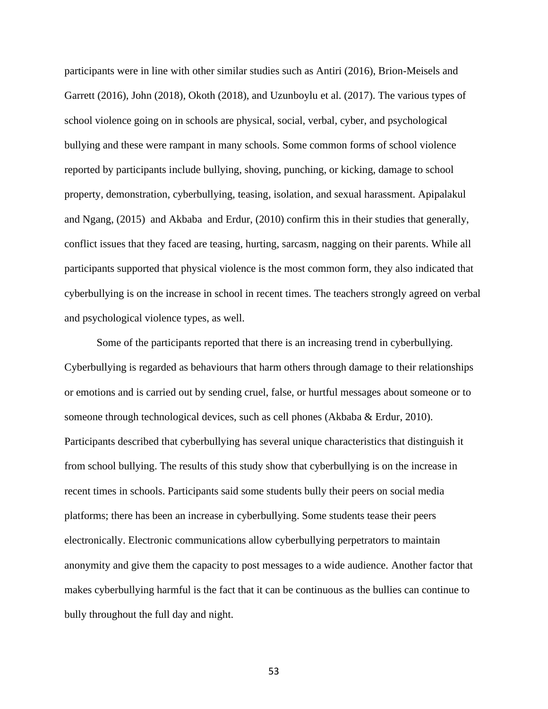participants were in line with other similar studies such as Antiri (2016), Brion-Meisels and Garrett (2016), John (2018), Okoth (2018), and Uzunboylu et al. (2017). The various types of school violence going on in schools are physical, social, verbal, cyber, and psychological bullying and these were rampant in many schools. Some common forms of school violence reported by participants include bullying, shoving, punching, or kicking, damage to school property, demonstration, cyberbullying, teasing, isolation, and sexual harassment. Apipalakul and Ngang, (2015) and Akbaba and Erdur, (2010) confirm this in their studies that generally, conflict issues that they faced are teasing, hurting, sarcasm, nagging on their parents. While all participants supported that physical violence is the most common form, they also indicated that cyberbullying is on the increase in school in recent times. The teachers strongly agreed on verbal and psychological violence types, as well.

Some of the participants reported that there is an increasing trend in cyberbullying. Cyberbullying is regarded as behaviours that harm others through damage to their relationships or emotions and is carried out by sending cruel, false, or hurtful messages about someone or to someone through technological devices, such as cell phones (Akbaba & Erdur, 2010). Participants described that cyberbullying has several unique characteristics that distinguish it from school bullying. The results of this study show that cyberbullying is on the increase in recent times in schools. Participants said some students bully their peers on social media platforms; there has been an increase in cyberbullying. Some students tease their peers electronically. Electronic communications allow cyberbullying perpetrators to maintain anonymity and give them the capacity to post messages to a wide audience. Another factor that makes cyberbullying harmful is the fact that it can be continuous as the bullies can continue to bully throughout the full day and night.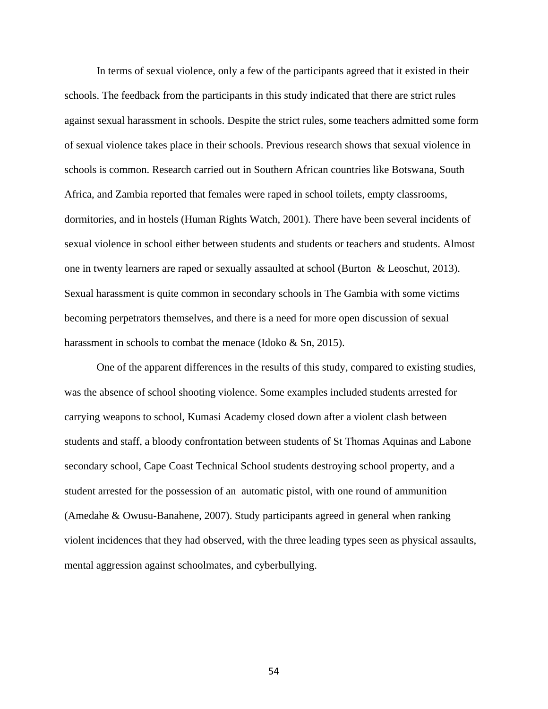In terms of sexual violence, only a few of the participants agreed that it existed in their schools. The feedback from the participants in this study indicated that there are strict rules against sexual harassment in schools. Despite the strict rules, some teachers admitted some form of sexual violence takes place in their schools. Previous research shows that sexual violence in schools is common. Research carried out in Southern African countries like Botswana, South Africa, and Zambia reported that females were raped in school toilets, empty classrooms, dormitories, and in hostels (Human Rights Watch, 2001). There have been several incidents of sexual violence in school either between students and students or teachers and students. Almost one in twenty learners are raped or sexually assaulted at school (Burton & Leoschut, 2013). Sexual harassment is quite common in secondary schools in The Gambia with some victims becoming perpetrators themselves, and there is a need for more open discussion of sexual harassment in schools to combat the menace (Idoko & Sn, 2015).

One of the apparent differences in the results of this study, compared to existing studies, was the absence of school shooting violence. Some examples included students arrested for carrying weapons to school, Kumasi Academy closed down after a violent clash between students and staff, a bloody confrontation between students of St Thomas Aquinas and Labone secondary school, Cape Coast Technical School students destroying school property, and a student arrested for the possession of an automatic pistol, with one round of ammunition (Amedahe & Owusu-Banahene, 2007). Study participants agreed in general when ranking violent incidences that they had observed, with the three leading types seen as physical assaults, mental aggression against schoolmates, and cyberbullying.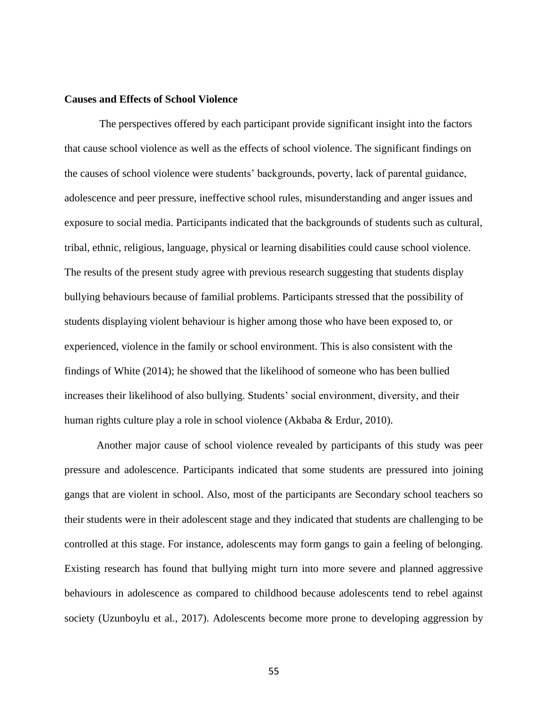### **Causes and Effects of School Violence**

The perspectives offered by each participant provide significant insight into the factors that cause school violence as well as the effects of school violence. The significant findings on the causes of school violence were students' backgrounds, poverty, lack of parental guidance, adolescence and peer pressure, ineffective school rules, misunderstanding and anger issues and exposure to social media. Participants indicated that the backgrounds of students such as cultural, tribal, ethnic, religious, language, physical or learning disabilities could cause school violence. The results of the present study agree with previous research suggesting that students display bullying behaviours because of familial problems. Participants stressed that the possibility of students displaying violent behaviour is higher among those who have been exposed to, or experienced, violence in the family or school environment. This is also consistent with the findings of White (2014); he showed that the likelihood of someone who has been bullied increases their likelihood of also bullying. Students' social environment, diversity, and their human rights culture play a role in school violence (Akbaba & Erdur, 2010).

Another major cause of school violence revealed by participants of this study was peer pressure and adolescence. Participants indicated that some students are pressured into joining gangs that are violent in school. Also, most of the participants are Secondary school teachers so their students were in their adolescent stage and they indicated that students are challenging to be controlled at this stage. For instance, adolescents may form gangs to gain a feeling of belonging. Existing research has found that bullying might turn into more severe and planned aggressive behaviours in adolescence as compared to childhood because adolescents tend to rebel against society (Uzunboylu et al., 2017). Adolescents become more prone to developing aggression by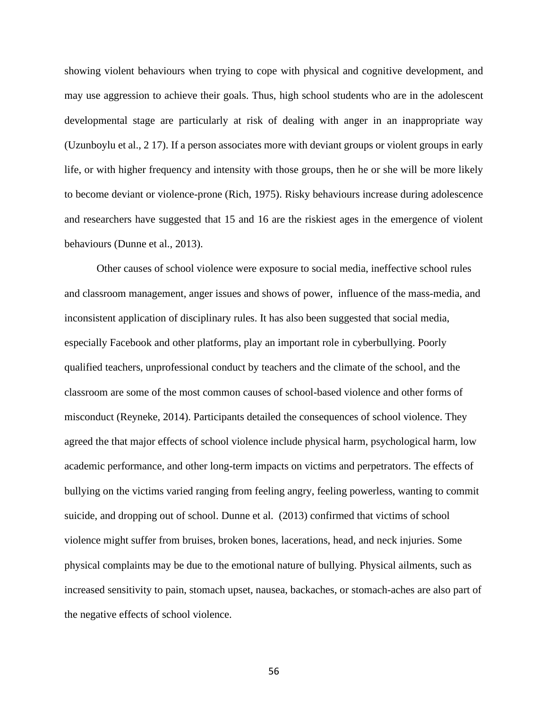showing violent behaviours when trying to cope with physical and cognitive development, and may use aggression to achieve their goals. Thus, high school students who are in the adolescent developmental stage are particularly at risk of dealing with anger in an inappropriate way (Uzunboylu et al., 2 17). If a person associates more with deviant groups or violent groups in early life, or with higher frequency and intensity with those groups, then he or she will be more likely to become deviant or violence-prone (Rich, 1975). Risky behaviours increase during adolescence and researchers have suggested that 15 and 16 are the riskiest ages in the emergence of violent behaviours (Dunne et al., 2013).

Other causes of school violence were exposure to social media, ineffective school rules and classroom management, anger issues and shows of power, influence of the mass-media, and inconsistent application of disciplinary rules. It has also been suggested that social media, especially Facebook and other platforms, play an important role in cyberbullying. Poorly qualified teachers, unprofessional conduct by teachers and the climate of the school, and the classroom are some of the most common causes of school-based violence and other forms of misconduct (Reyneke, 2014). Participants detailed the consequences of school violence. They agreed the that major effects of school violence include physical harm, psychological harm, low academic performance, and other long-term impacts on victims and perpetrators. The effects of bullying on the victims varied ranging from feeling angry, feeling powerless, wanting to commit suicide, and dropping out of school. Dunne et al. (2013) confirmed that victims of school violence might suffer from bruises, broken bones, lacerations, head, and neck injuries. Some physical complaints may be due to the emotional nature of bullying. Physical ailments, such as increased sensitivity to pain, stomach upset, nausea, backaches, or stomach-aches are also part of the negative effects of school violence.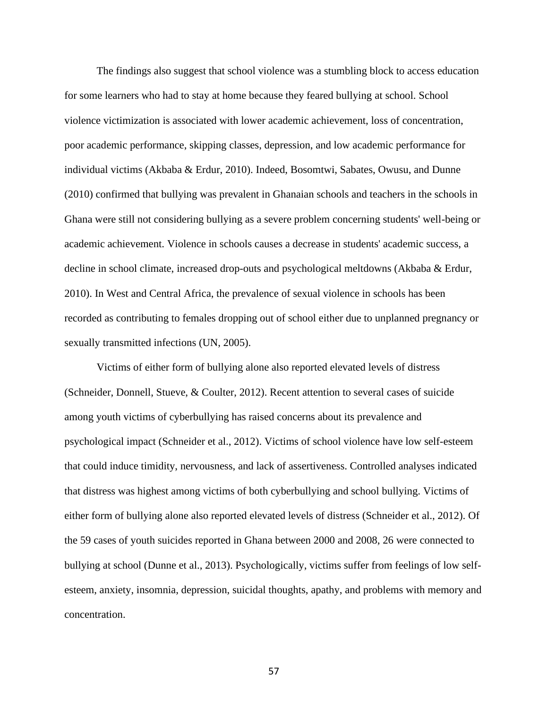The findings also suggest that school violence was a stumbling block to access education for some learners who had to stay at home because they feared bullying at school. School violence victimization is associated with lower academic achievement, loss of concentration, poor academic performance, skipping classes, depression, and low academic performance for individual victims (Akbaba & Erdur, 2010). Indeed, Bosomtwi, Sabates, Owusu, and Dunne (2010) confirmed that bullying was prevalent in Ghanaian schools and teachers in the schools in Ghana were still not considering bullying as a severe problem concerning students' well-being or academic achievement. Violence in schools causes a decrease in students' academic success, a decline in school climate, increased drop-outs and psychological meltdowns (Akbaba & Erdur, 2010). In West and Central Africa, the prevalence of sexual violence in schools has been recorded as contributing to females dropping out of school either due to unplanned pregnancy or sexually transmitted infections (UN, 2005).

Victims of either form of bullying alone also reported elevated levels of distress (Schneider, Donnell, Stueve, & Coulter, 2012). Recent attention to several cases of suicide among youth victims of cyberbullying has raised concerns about its prevalence and psychological impact (Schneider et al., 2012). Victims of school violence have low self-esteem that could induce timidity, nervousness, and lack of assertiveness. Controlled analyses indicated that distress was highest among victims of both cyberbullying and school bullying. Victims of either form of bullying alone also reported elevated levels of distress (Schneider et al., 2012). Of the 59 cases of youth suicides reported in Ghana between 2000 and 2008, 26 were connected to bullying at school (Dunne et al., 2013). Psychologically, victims suffer from feelings of low selfesteem, anxiety, insomnia, depression, suicidal thoughts, apathy, and problems with memory and concentration.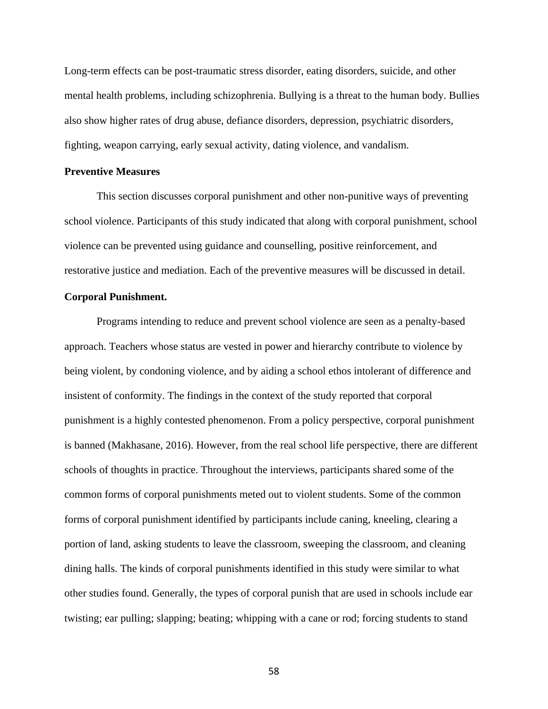Long-term effects can be post-traumatic stress disorder, eating disorders, suicide, and other mental health problems, including schizophrenia. Bullying is a threat to the human body. Bullies also show higher rates of drug abuse, defiance disorders, depression, psychiatric disorders, fighting, weapon carrying, early sexual activity, dating violence, and vandalism.

### **Preventive Measures**

This section discusses corporal punishment and other non-punitive ways of preventing school violence. Participants of this study indicated that along with corporal punishment, school violence can be prevented using guidance and counselling, positive reinforcement, and restorative justice and mediation. Each of the preventive measures will be discussed in detail.

## **Corporal Punishment.**

Programs intending to reduce and prevent school violence are seen as a penalty-based approach. Teachers whose status are vested in power and hierarchy contribute to violence by being violent, by condoning violence, and by aiding a school ethos intolerant of difference and insistent of conformity. The findings in the context of the study reported that corporal punishment is a highly contested phenomenon. From a policy perspective, corporal punishment is banned (Makhasane, 2016). However, from the real school life perspective, there are different schools of thoughts in practice. Throughout the interviews, participants shared some of the common forms of corporal punishments meted out to violent students. Some of the common forms of corporal punishment identified by participants include caning, kneeling, clearing a portion of land, asking students to leave the classroom, sweeping the classroom, and cleaning dining halls. The kinds of corporal punishments identified in this study were similar to what other studies found. Generally, the types of corporal punish that are used in schools include ear twisting; ear pulling; slapping; beating; whipping with a cane or rod; forcing students to stand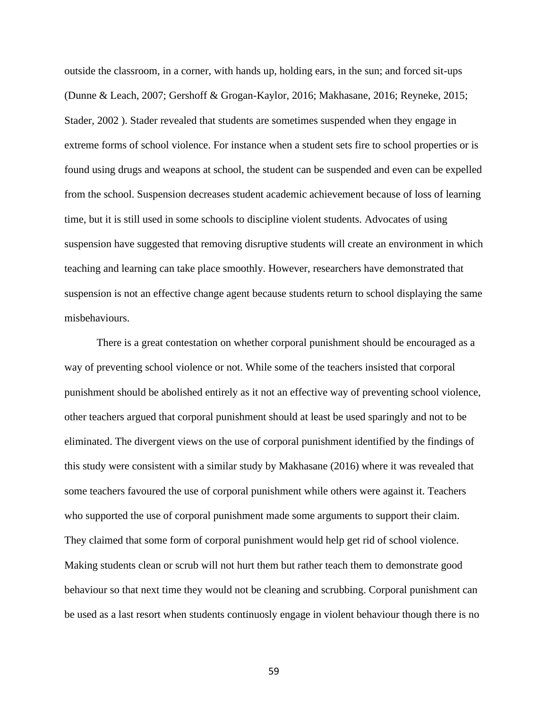outside the classroom, in a corner, with hands up, holding ears, in the sun; and forced sit-ups (Dunne & Leach, 2007; Gershoff & Grogan-Kaylor, 2016; Makhasane, 2016; Reyneke, 2015; Stader, 2002 ). Stader revealed that students are sometimes suspended when they engage in extreme forms of school violence. For instance when a student sets fire to school properties or is found using drugs and weapons at school, the student can be suspended and even can be expelled from the school. Suspension decreases student academic achievement because of loss of learning time, but it is still used in some schools to discipline violent students. Advocates of using suspension have suggested that removing disruptive students will create an environment in which teaching and learning can take place smoothly. However, researchers have demonstrated that suspension is not an effective change agent because students return to school displaying the same misbehaviours.

There is a great contestation on whether corporal punishment should be encouraged as a way of preventing school violence or not. While some of the teachers insisted that corporal punishment should be abolished entirely as it not an effective way of preventing school violence, other teachers argued that corporal punishment should at least be used sparingly and not to be eliminated. The divergent views on the use of corporal punishment identified by the findings of this study were consistent with a similar study by Makhasane (2016) where it was revealed that some teachers favoured the use of corporal punishment while others were against it. Teachers who supported the use of corporal punishment made some arguments to support their claim. They claimed that some form of corporal punishment would help get rid of school violence. Making students clean or scrub will not hurt them but rather teach them to demonstrate good behaviour so that next time they would not be cleaning and scrubbing. Corporal punishment can be used as a last resort when students continuosly engage in violent behaviour though there is no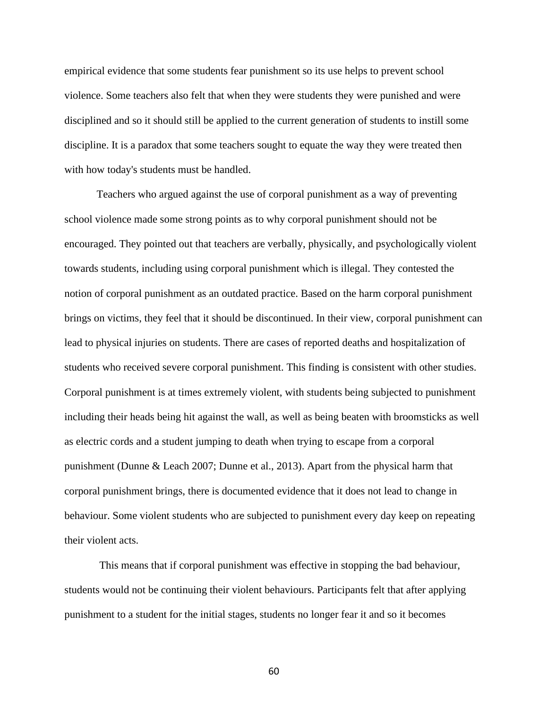empirical evidence that some students fear punishment so its use helps to prevent school violence. Some teachers also felt that when they were students they were punished and were disciplined and so it should still be applied to the current generation of students to instill some discipline. It is a paradox that some teachers sought to equate the way they were treated then with how today's students must be handled.

Teachers who argued against the use of corporal punishment as a way of preventing school violence made some strong points as to why corporal punishment should not be encouraged. They pointed out that teachers are verbally, physically, and psychologically violent towards students, including using corporal punishment which is illegal. They contested the notion of corporal punishment as an outdated practice. Based on the harm corporal punishment brings on victims, they feel that it should be discontinued. In their view, corporal punishment can lead to physical injuries on students. There are cases of reported deaths and hospitalization of students who received severe corporal punishment. This finding is consistent with other studies. Corporal punishment is at times extremely violent, with students being subjected to punishment including their heads being hit against the wall, as well as being beaten with broomsticks as well as electric cords and a student jumping to death when trying to escape from a corporal punishment (Dunne & Leach 2007; Dunne et al., 2013). Apart from the physical harm that corporal punishment brings, there is documented evidence that it does not lead to change in behaviour. Some violent students who are subjected to punishment every day keep on repeating their violent acts.

This means that if corporal punishment was effective in stopping the bad behaviour, students would not be continuing their violent behaviours. Participants felt that after applying punishment to a student for the initial stages, students no longer fear it and so it becomes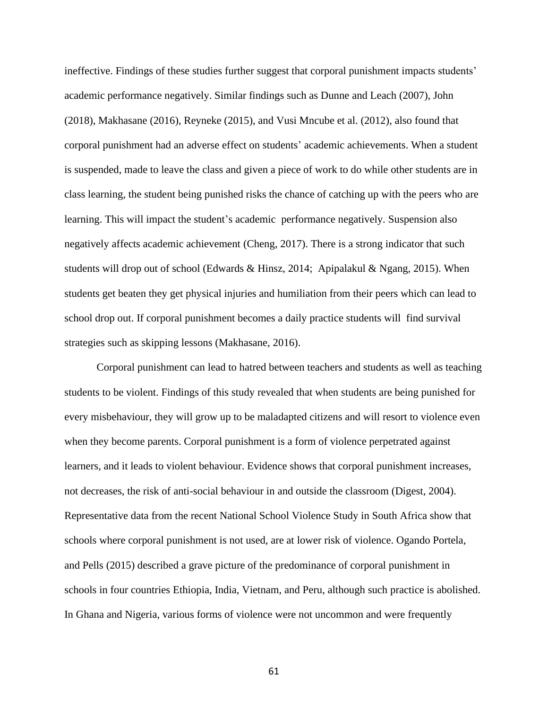ineffective. Findings of these studies further suggest that corporal punishment impacts students' academic performance negatively. Similar findings such as Dunne and Leach (2007), John (2018), Makhasane (2016), Reyneke (2015), and Vusi Mncube et al. (2012), also found that corporal punishment had an adverse effect on students' academic achievements. When a student is suspended, made to leave the class and given a piece of work to do while other students are in class learning, the student being punished risks the chance of catching up with the peers who are learning. This will impact the student's academic performance negatively. Suspension also negatively affects academic achievement (Cheng, 2017). There is a strong indicator that such students will drop out of school (Edwards & Hinsz, 2014; Apipalakul & Ngang, 2015). When students get beaten they get physical injuries and humiliation from their peers which can lead to school drop out. If corporal punishment becomes a daily practice students will find survival strategies such as skipping lessons (Makhasane, 2016).

Corporal punishment can lead to hatred between teachers and students as well as teaching students to be violent. Findings of this study revealed that when students are being punished for every misbehaviour, they will grow up to be maladapted citizens and will resort to violence even when they become parents. Corporal punishment is a form of violence perpetrated against learners, and it leads to violent behaviour. Evidence shows that corporal punishment increases, not decreases, the risk of anti-social behaviour in and outside the classroom (Digest, 2004). Representative data from the recent National School Violence Study in South Africa show that schools where corporal punishment is not used, are at lower risk of violence. Ogando Portela, and Pells (2015) described a grave picture of the predominance of corporal punishment in schools in four countries Ethiopia, India, Vietnam, and Peru, although such practice is abolished. In Ghana and Nigeria, various forms of violence were not uncommon and were frequently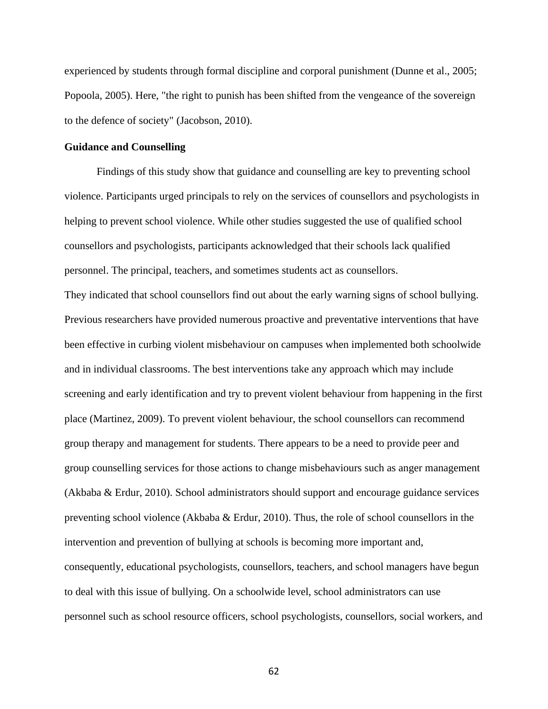experienced by students through formal discipline and corporal punishment (Dunne et al., 2005; Popoola, 2005). Here, "the right to punish has been shifted from the vengeance of the sovereign to the defence of society" (Jacobson, 2010).

#### **Guidance and Counselling**

Findings of this study show that guidance and counselling are key to preventing school violence. Participants urged principals to rely on the services of counsellors and psychologists in helping to prevent school violence. While other studies suggested the use of qualified school counsellors and psychologists, participants acknowledged that their schools lack qualified personnel. The principal, teachers, and sometimes students act as counsellors.

They indicated that school counsellors find out about the early warning signs of school bullying. Previous researchers have provided numerous proactive and preventative interventions that have been effective in curbing violent misbehaviour on campuses when implemented both schoolwide and in individual classrooms. The best interventions take any approach which may include screening and early identification and try to prevent violent behaviour from happening in the first place (Martinez, 2009). To prevent violent behaviour, the school counsellors can recommend group therapy and management for students. There appears to be a need to provide peer and group counselling services for those actions to change misbehaviours such as anger management (Akbaba & Erdur, 2010). School administrators should support and encourage guidance services preventing school violence (Akbaba & Erdur, 2010). Thus, the role of school counsellors in the intervention and prevention of bullying at schools is becoming more important and, consequently, educational psychologists, counsellors, teachers, and school managers have begun to deal with this issue of bullying. On a schoolwide level, school administrators can use personnel such as school resource officers, school psychologists, counsellors, social workers, and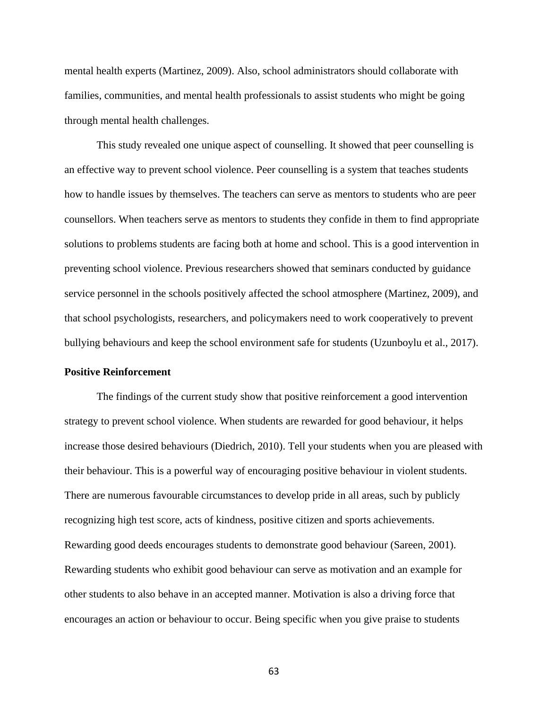mental health experts (Martinez, 2009). Also, school administrators should collaborate with families, communities, and mental health professionals to assist students who might be going through mental health challenges.

This study revealed one unique aspect of counselling. It showed that peer counselling is an effective way to prevent school violence. Peer counselling is a system that teaches students how to handle issues by themselves. The teachers can serve as mentors to students who are peer counsellors. When teachers serve as mentors to students they confide in them to find appropriate solutions to problems students are facing both at home and school. This is a good intervention in preventing school violence. Previous researchers showed that seminars conducted by guidance service personnel in the schools positively affected the school atmosphere (Martinez, 2009), and that school psychologists, researchers, and policymakers need to work cooperatively to prevent bullying behaviours and keep the school environment safe for students (Uzunboylu et al., 2017).

#### **Positive Reinforcement**

The findings of the current study show that positive reinforcement a good intervention strategy to prevent school violence. When students are rewarded for good behaviour, it helps increase those desired behaviours (Diedrich, 2010). Tell your students when you are pleased with their behaviour. This is a powerful way of encouraging positive behaviour in violent students. There are numerous favourable circumstances to develop pride in all areas, such by publicly recognizing high test score, acts of kindness, positive citizen and sports achievements. Rewarding good deeds encourages students to demonstrate good behaviour (Sareen, 2001). Rewarding students who exhibit good behaviour can serve as motivation and an example for other students to also behave in an accepted manner. Motivation is also a driving force that encourages an action or behaviour to occur. Being specific when you give praise to students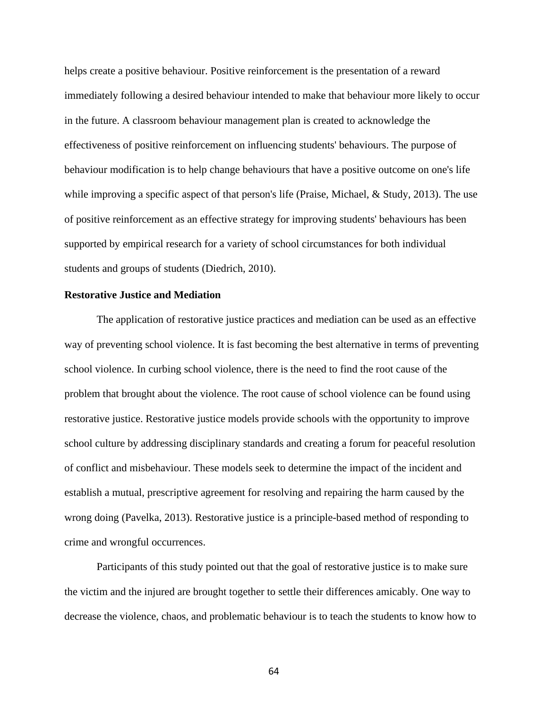helps create a positive behaviour. Positive reinforcement is the presentation of a reward immediately following a desired behaviour intended to make that behaviour more likely to occur in the future. A classroom behaviour management plan is created to acknowledge the effectiveness of positive reinforcement on influencing students' behaviours. The purpose of behaviour modification is to help change behaviours that have a positive outcome on one's life while improving a specific aspect of that person's life (Praise, Michael, & Study, 2013). The use of positive reinforcement as an effective strategy for improving students' behaviours has been supported by empirical research for a variety of school circumstances for both individual students and groups of students (Diedrich, 2010).

# **Restorative Justice and Mediation**

The application of restorative justice practices and mediation can be used as an effective way of preventing school violence. It is fast becoming the best alternative in terms of preventing school violence. In curbing school violence, there is the need to find the root cause of the problem that brought about the violence. The root cause of school violence can be found using restorative justice. Restorative justice models provide schools with the opportunity to improve school culture by addressing disciplinary standards and creating a forum for peaceful resolution of conflict and misbehaviour. These models seek to determine the impact of the incident and establish a mutual, prescriptive agreement for resolving and repairing the harm caused by the wrong doing (Pavelka, 2013). Restorative justice is a principle-based method of responding to crime and wrongful occurrences.

Participants of this study pointed out that the goal of restorative justice is to make sure the victim and the injured are brought together to settle their differences amicably. One way to decrease the violence, chaos, and problematic behaviour is to teach the students to know how to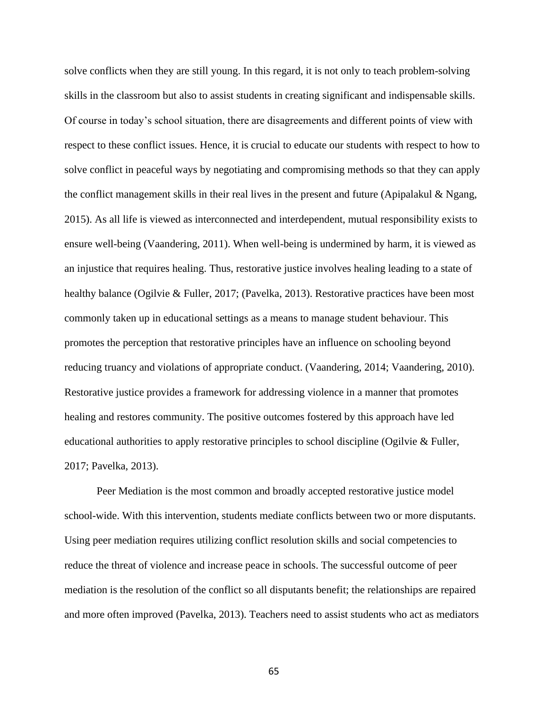solve conflicts when they are still young. In this regard, it is not only to teach problem-solving skills in the classroom but also to assist students in creating significant and indispensable skills. Of course in today's school situation, there are disagreements and different points of view with respect to these conflict issues. Hence, it is crucial to educate our students with respect to how to solve conflict in peaceful ways by negotiating and compromising methods so that they can apply the conflict management skills in their real lives in the present and future (Apipalakul & Ngang, 2015). As all life is viewed as interconnected and interdependent, mutual responsibility exists to ensure well-being (Vaandering, 2011). When well-being is undermined by harm, it is viewed as an injustice that requires healing. Thus, restorative justice involves healing leading to a state of healthy balance (Ogilvie & Fuller, 2017; (Pavelka, 2013). Restorative practices have been most commonly taken up in educational settings as a means to manage student behaviour. This promotes the perception that restorative principles have an influence on schooling beyond reducing truancy and violations of appropriate conduct. (Vaandering, 2014; Vaandering, 2010). Restorative justice provides a framework for addressing violence in a manner that promotes healing and restores community. The positive outcomes fostered by this approach have led educational authorities to apply restorative principles to school discipline (Ogilvie & Fuller, 2017; Pavelka, 2013).

Peer Mediation is the most common and broadly accepted restorative justice model school-wide. With this intervention, students mediate conflicts between two or more disputants. Using peer mediation requires utilizing conflict resolution skills and social competencies to reduce the threat of violence and increase peace in schools. The successful outcome of peer mediation is the resolution of the conflict so all disputants benefit; the relationships are repaired and more often improved (Pavelka, 2013). Teachers need to assist students who act as mediators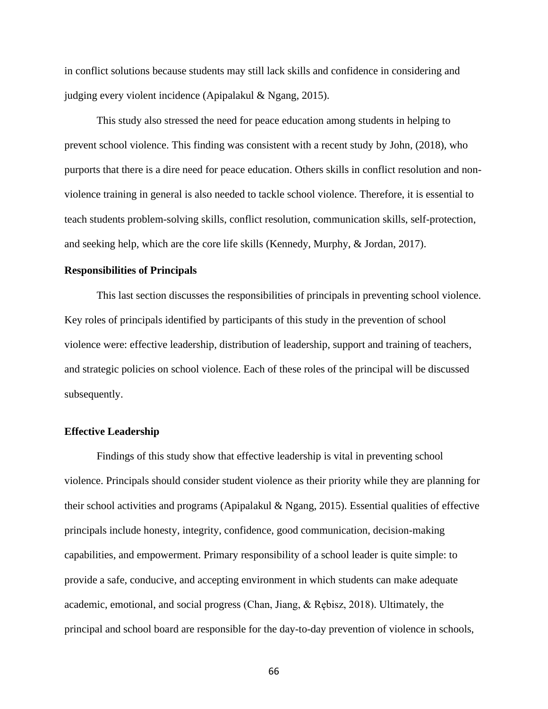in conflict solutions because students may still lack skills and confidence in considering and judging every violent incidence (Apipalakul & Ngang, 2015).

This study also stressed the need for peace education among students in helping to prevent school violence. This finding was consistent with a recent study by John, (2018), who purports that there is a dire need for peace education. Others skills in conflict resolution and nonviolence training in general is also needed to tackle school violence. Therefore, it is essential to teach students problem-solving skills, conflict resolution, communication skills, self-protection, and seeking help, which are the core life skills (Kennedy, Murphy, & Jordan, 2017).

### **Responsibilities of Principals**

This last section discusses the responsibilities of principals in preventing school violence. Key roles of principals identified by participants of this study in the prevention of school violence were: effective leadership, distribution of leadership, support and training of teachers, and strategic policies on school violence. Each of these roles of the principal will be discussed subsequently.

#### **Effective Leadership**

Findings of this study show that effective leadership is vital in preventing school violence. Principals should consider student violence as their priority while they are planning for their school activities and programs (Apipalakul & Ngang, 2015). Essential qualities of effective principals include honesty, integrity, confidence, good communication, decision-making capabilities, and empowerment. Primary responsibility of a school leader is quite simple: to provide a safe, conducive, and accepting environment in which students can make adequate academic, emotional, and social progress (Chan, Jiang, & Rębisz, 2018). Ultimately, the principal and school board are responsible for the day-to-day prevention of violence in schools,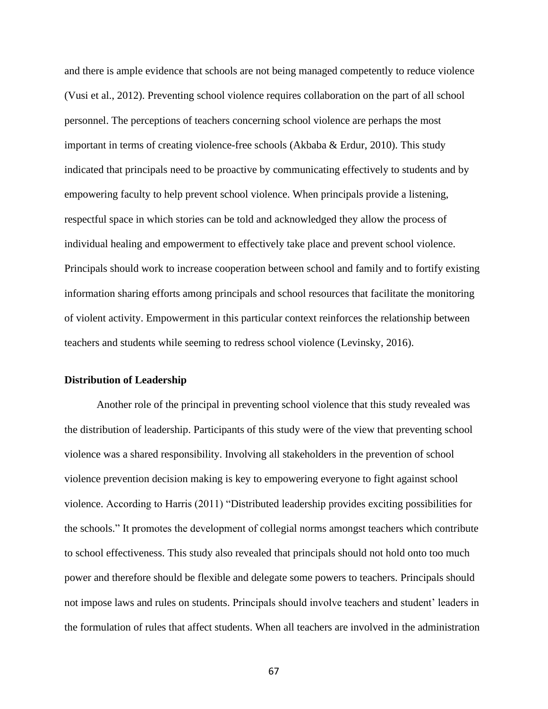and there is ample evidence that schools are not being managed competently to reduce violence (Vusi et al., 2012). Preventing school violence requires collaboration on the part of all school personnel. The perceptions of teachers concerning school violence are perhaps the most important in terms of creating violence-free schools (Akbaba & Erdur, 2010). This study indicated that principals need to be proactive by communicating effectively to students and by empowering faculty to help prevent school violence. When principals provide a listening, respectful space in which stories can be told and acknowledged they allow the process of individual healing and empowerment to effectively take place and prevent school violence. Principals should work to increase cooperation between school and family and to fortify existing information sharing efforts among principals and school resources that facilitate the monitoring of violent activity. Empowerment in this particular context reinforces the relationship between teachers and students while seeming to redress school violence (Levinsky, 2016).

### **Distribution of Leadership**

Another role of the principal in preventing school violence that this study revealed was the distribution of leadership. Participants of this study were of the view that preventing school violence was a shared responsibility. Involving all stakeholders in the prevention of school violence prevention decision making is key to empowering everyone to fight against school violence. According to Harris (2011) "Distributed leadership provides exciting possibilities for the schools." It promotes the development of collegial norms amongst teachers which contribute to school effectiveness. This study also revealed that principals should not hold onto too much power and therefore should be flexible and delegate some powers to teachers. Principals should not impose laws and rules on students. Principals should involve teachers and student' leaders in the formulation of rules that affect students. When all teachers are involved in the administration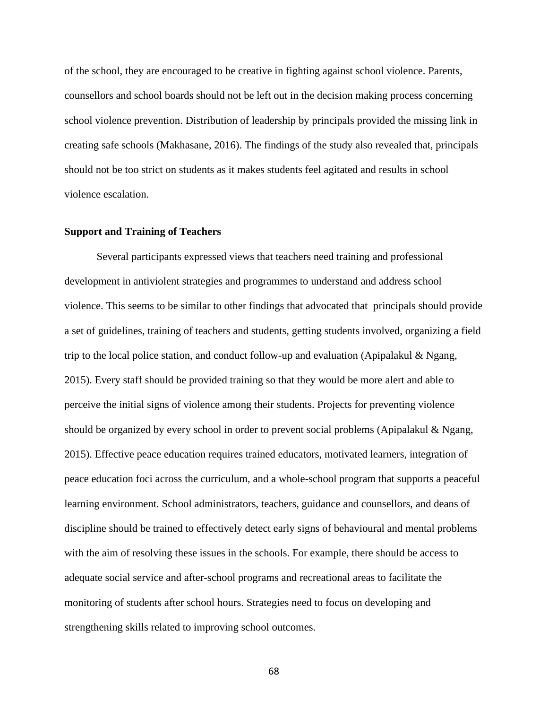of the school, they are encouraged to be creative in fighting against school violence. Parents, counsellors and school boards should not be left out in the decision making process concerning school violence prevention. Distribution of leadership by principals provided the missing link in creating safe schools (Makhasane, 2016). The findings of the study also revealed that, principals should not be too strict on students as it makes students feel agitated and results in school violence escalation.

### **Support and Training of Teachers**

Several participants expressed views that teachers need training and professional development in antiviolent strategies and programmes to understand and address school violence. This seems to be similar to other findings that advocated that principals should provide a set of guidelines, training of teachers and students, getting students involved, organizing a field trip to the local police station, and conduct follow-up and evaluation (Apipalakul  $\&$  Ngang, 2015). Every staff should be provided training so that they would be more alert and able to perceive the initial signs of violence among their students. Projects for preventing violence should be organized by every school in order to prevent social problems (Apipalakul  $\&$  Ngang, 2015). Effective peace education requires trained educators, motivated learners, integration of peace education foci across the curriculum, and a whole-school program that supports a peaceful learning environment. School administrators, teachers, guidance and counsellors, and deans of discipline should be trained to effectively detect early signs of behavioural and mental problems with the aim of resolving these issues in the schools. For example, there should be access to adequate social service and after-school programs and recreational areas to facilitate the monitoring of students after school hours. Strategies need to focus on developing and strengthening skills related to improving school outcomes.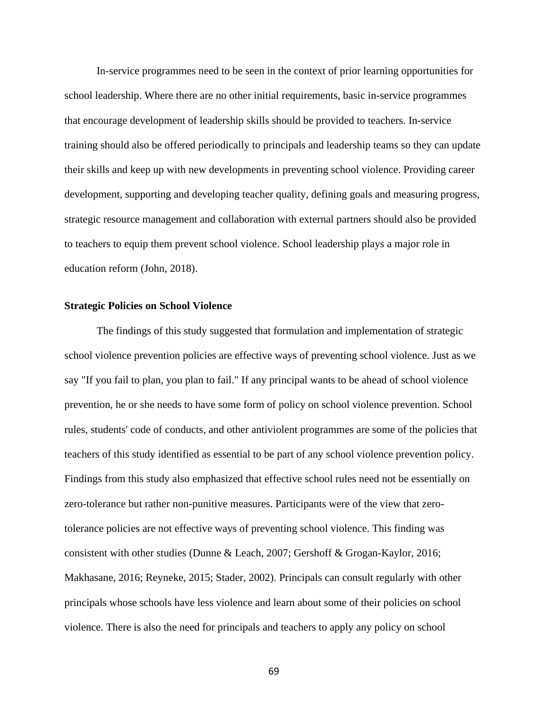In-service programmes need to be seen in the context of prior learning opportunities for school leadership. Where there are no other initial requirements, basic in-service programmes that encourage development of leadership skills should be provided to teachers. In-service training should also be offered periodically to principals and leadership teams so they can update their skills and keep up with new developments in preventing school violence. Providing career development, supporting and developing teacher quality, defining goals and measuring progress, strategic resource management and collaboration with external partners should also be provided to teachers to equip them prevent school violence. School leadership plays a major role in education reform (John, 2018).

### **Strategic Policies on School Violence**

The findings of this study suggested that formulation and implementation of strategic school violence prevention policies are effective ways of preventing school violence. Just as we say "If you fail to plan, you plan to fail." If any principal wants to be ahead of school violence prevention, he or she needs to have some form of policy on school violence prevention. School rules, students' code of conducts, and other antiviolent programmes are some of the policies that teachers of this study identified as essential to be part of any school violence prevention policy. Findings from this study also emphasized that effective school rules need not be essentially on zero-tolerance but rather non-punitive measures. Participants were of the view that zerotolerance policies are not effective ways of preventing school violence. This finding was consistent with other studies (Dunne & Leach, 2007; Gershoff & Grogan-Kaylor, 2016; Makhasane, 2016; Reyneke, 2015; Stader, 2002). Principals can consult regularly with other principals whose schools have less violence and learn about some of their policies on school violence. There is also the need for principals and teachers to apply any policy on school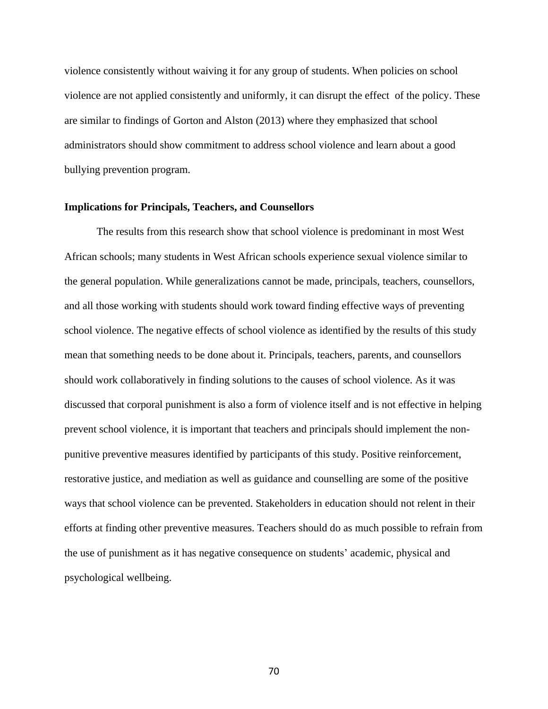violence consistently without waiving it for any group of students. When policies on school violence are not applied consistently and uniformly, it can disrupt the effect of the policy. These are similar to findings of Gorton and Alston (2013) where they emphasized that school administrators should show commitment to address school violence and learn about a good bullying prevention program.

### **Implications for Principals, Teachers, and Counsellors**

The results from this research show that school violence is predominant in most West African schools; many students in West African schools experience sexual violence similar to the general population. While generalizations cannot be made, principals, teachers, counsellors, and all those working with students should work toward finding effective ways of preventing school violence. The negative effects of school violence as identified by the results of this study mean that something needs to be done about it. Principals, teachers, parents, and counsellors should work collaboratively in finding solutions to the causes of school violence. As it was discussed that corporal punishment is also a form of violence itself and is not effective in helping prevent school violence, it is important that teachers and principals should implement the nonpunitive preventive measures identified by participants of this study. Positive reinforcement, restorative justice, and mediation as well as guidance and counselling are some of the positive ways that school violence can be prevented. Stakeholders in education should not relent in their efforts at finding other preventive measures. Teachers should do as much possible to refrain from the use of punishment as it has negative consequence on students' academic, physical and psychological wellbeing.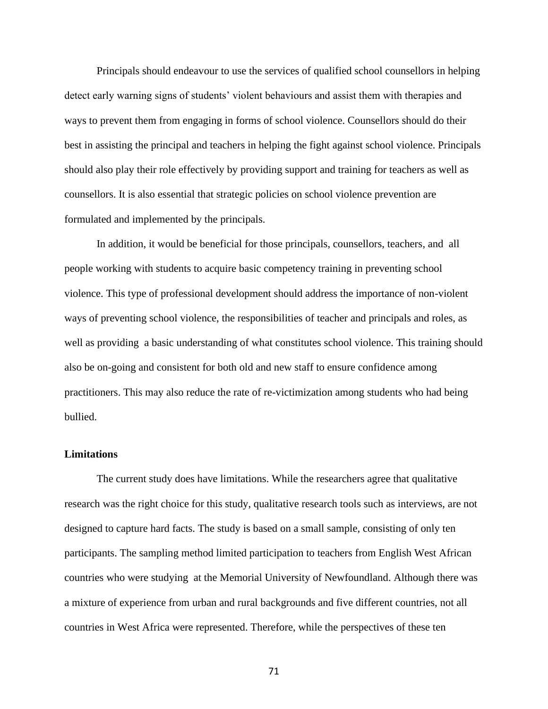Principals should endeavour to use the services of qualified school counsellors in helping detect early warning signs of students' violent behaviours and assist them with therapies and ways to prevent them from engaging in forms of school violence. Counsellors should do their best in assisting the principal and teachers in helping the fight against school violence. Principals should also play their role effectively by providing support and training for teachers as well as counsellors. It is also essential that strategic policies on school violence prevention are formulated and implemented by the principals.

In addition, it would be beneficial for those principals, counsellors, teachers, and all people working with students to acquire basic competency training in preventing school violence. This type of professional development should address the importance of non-violent ways of preventing school violence, the responsibilities of teacher and principals and roles, as well as providing a basic understanding of what constitutes school violence. This training should also be on-going and consistent for both old and new staff to ensure confidence among practitioners. This may also reduce the rate of re-victimization among students who had being bullied.

### **Limitations**

The current study does have limitations. While the researchers agree that qualitative research was the right choice for this study, qualitative research tools such as interviews, are not designed to capture hard facts. The study is based on a small sample, consisting of only ten participants. The sampling method limited participation to teachers from English West African countries who were studying at the Memorial University of Newfoundland. Although there was a mixture of experience from urban and rural backgrounds and five different countries, not all countries in West Africa were represented. Therefore, while the perspectives of these ten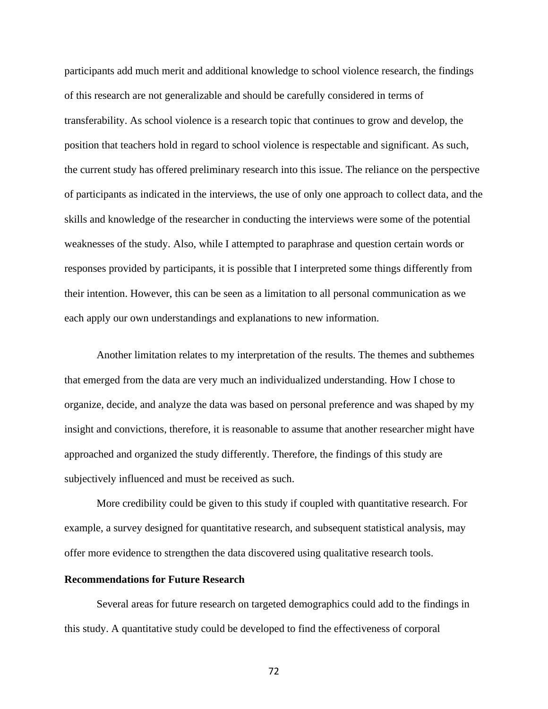participants add much merit and additional knowledge to school violence research, the findings of this research are not generalizable and should be carefully considered in terms of transferability. As school violence is a research topic that continues to grow and develop, the position that teachers hold in regard to school violence is respectable and significant. As such, the current study has offered preliminary research into this issue. The reliance on the perspective of participants as indicated in the interviews, the use of only one approach to collect data, and the skills and knowledge of the researcher in conducting the interviews were some of the potential weaknesses of the study. Also, while I attempted to paraphrase and question certain words or responses provided by participants, it is possible that I interpreted some things differently from their intention. However, this can be seen as a limitation to all personal communication as we each apply our own understandings and explanations to new information.

Another limitation relates to my interpretation of the results. The themes and subthemes that emerged from the data are very much an individualized understanding. How I chose to organize, decide, and analyze the data was based on personal preference and was shaped by my insight and convictions, therefore, it is reasonable to assume that another researcher might have approached and organized the study differently. Therefore, the findings of this study are subjectively influenced and must be received as such.

More credibility could be given to this study if coupled with quantitative research. For example, a survey designed for quantitative research, and subsequent statistical analysis, may offer more evidence to strengthen the data discovered using qualitative research tools.

### **Recommendations for Future Research**

Several areas for future research on targeted demographics could add to the findings in this study. A quantitative study could be developed to find the effectiveness of corporal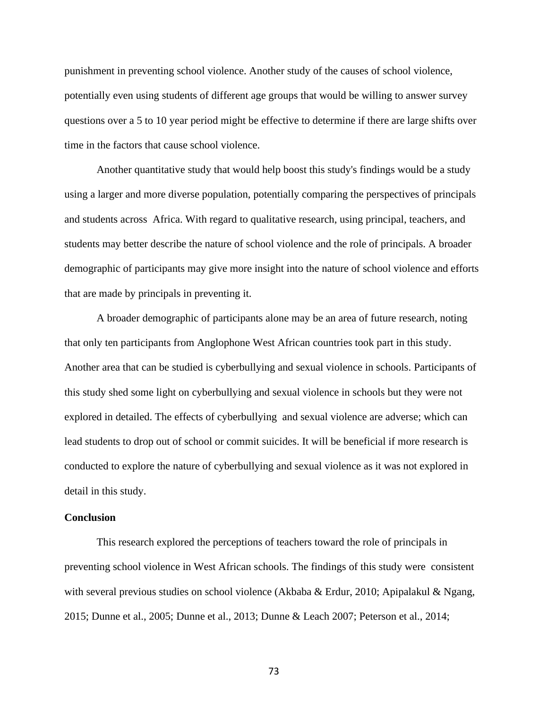punishment in preventing school violence. Another study of the causes of school violence, potentially even using students of different age groups that would be willing to answer survey questions over a 5 to 10 year period might be effective to determine if there are large shifts over time in the factors that cause school violence.

Another quantitative study that would help boost this study's findings would be a study using a larger and more diverse population, potentially comparing the perspectives of principals and students across Africa. With regard to qualitative research, using principal, teachers, and students may better describe the nature of school violence and the role of principals. A broader demographic of participants may give more insight into the nature of school violence and efforts that are made by principals in preventing it.

A broader demographic of participants alone may be an area of future research, noting that only ten participants from Anglophone West African countries took part in this study. Another area that can be studied is cyberbullying and sexual violence in schools. Participants of this study shed some light on cyberbullying and sexual violence in schools but they were not explored in detailed. The effects of cyberbullying and sexual violence are adverse; which can lead students to drop out of school or commit suicides. It will be beneficial if more research is conducted to explore the nature of cyberbullying and sexual violence as it was not explored in detail in this study.

#### **Conclusion**

This research explored the perceptions of teachers toward the role of principals in preventing school violence in West African schools. The findings of this study were consistent with several previous studies on school violence (Akbaba & Erdur, 2010; Apipalakul & Ngang, 2015; Dunne et al., 2005; Dunne et al., 2013; Dunne & Leach 2007; Peterson et al., 2014;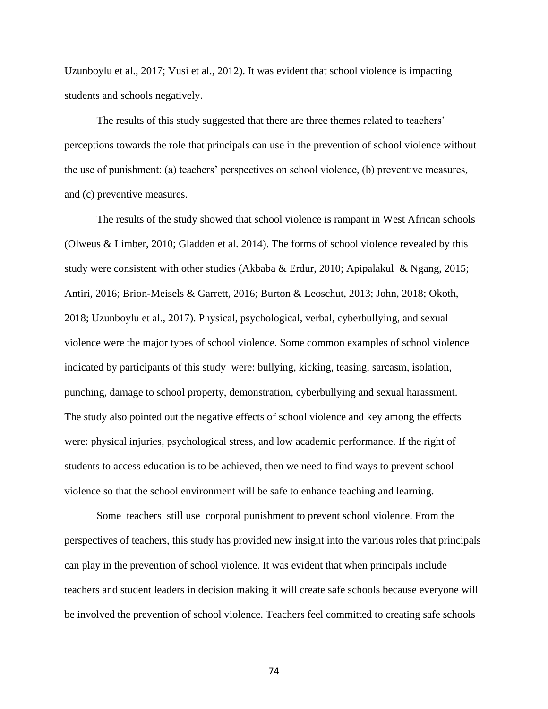Uzunboylu et al., 2017; Vusi et al., 2012). It was evident that school violence is impacting students and schools negatively.

The results of this study suggested that there are three themes related to teachers' perceptions towards the role that principals can use in the prevention of school violence without the use of punishment: (a) teachers' perspectives on school violence, (b) preventive measures*,*  and (c) preventive measures.

The results of the study showed that school violence is rampant in West African schools (Olweus & Limber, 2010; Gladden et al. 2014). The forms of school violence revealed by this study were consistent with other studies (Akbaba & Erdur, 2010; Apipalakul & Ngang, 2015; Antiri, 2016; Brion-Meisels & Garrett, 2016; Burton & Leoschut, 2013; John, 2018; Okoth, 2018; Uzunboylu et al., 2017). Physical, psychological, verbal, cyberbullying, and sexual violence were the major types of school violence. Some common examples of school violence indicated by participants of this study were: bullying, kicking, teasing, sarcasm, isolation, punching, damage to school property, demonstration, cyberbullying and sexual harassment. The study also pointed out the negative effects of school violence and key among the effects were: physical injuries, psychological stress, and low academic performance. If the right of students to access education is to be achieved, then we need to find ways to prevent school violence so that the school environment will be safe to enhance teaching and learning.

Some teachers still use corporal punishment to prevent school violence. From the perspectives of teachers, this study has provided new insight into the various roles that principals can play in the prevention of school violence. It was evident that when principals include teachers and student leaders in decision making it will create safe schools because everyone will be involved the prevention of school violence. Teachers feel committed to creating safe schools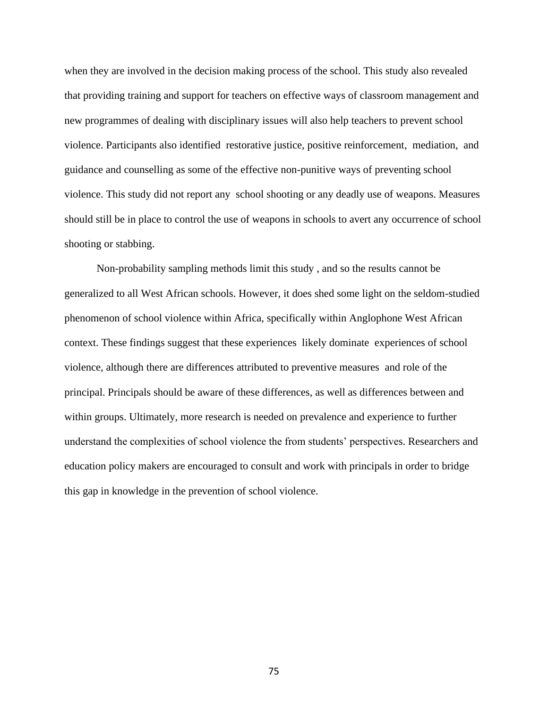when they are involved in the decision making process of the school. This study also revealed that providing training and support for teachers on effective ways of classroom management and new programmes of dealing with disciplinary issues will also help teachers to prevent school violence. Participants also identified restorative justice, positive reinforcement, mediation, and guidance and counselling as some of the effective non-punitive ways of preventing school violence. This study did not report any school shooting or any deadly use of weapons. Measures should still be in place to control the use of weapons in schools to avert any occurrence of school shooting or stabbing.

Non-probability sampling methods limit this study , and so the results cannot be generalized to all West African schools. However, it does shed some light on the seldom-studied phenomenon of school violence within Africa, specifically within Anglophone West African context. These findings suggest that these experiences likely dominate experiences of school violence, although there are differences attributed to preventive measures and role of the principal. Principals should be aware of these differences, as well as differences between and within groups. Ultimately, more research is needed on prevalence and experience to further understand the complexities of school violence the from students' perspectives. Researchers and education policy makers are encouraged to consult and work with principals in order to bridge this gap in knowledge in the prevention of school violence.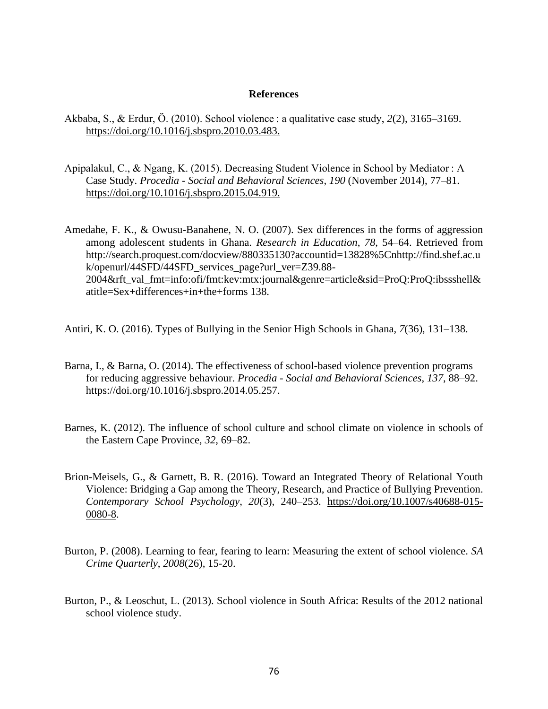### **References**

- Akbaba, S., & Erdur, Ö. (2010). School violence : a qualitative case study, *2*(2), 3165–3169. [https://doi.org/10.1016/j.sbspro.2010.03.483.](https://doi.org/10.1016/j.sbspro.2010.03.483)
- Apipalakul, C., & Ngang, K. (2015). Decreasing Student Violence in School by Mediator : A Case Study. *Procedia - Social and Behavioral Sciences*, *190* (November 2014), 77–81. [https://doi.org/10.1016/j.sbspro.2015.04.919.](https://doi.org/10.1016/j.sbspro.2015.04.919)

Amedahe, F. K., & Owusu-Banahene, N. O. (2007). Sex differences in the forms of aggression among adolescent students in Ghana. *Research in Education*, *78*, 54–64. Retrieved from http://search.proquest.com/docview/880335130?accountid=13828%5Cnhttp://find.shef.ac.u k/openurl/44SFD/44SFD\_services\_page?url\_ver=Z39.88-2004&rft\_val\_fmt=info:ofi/fmt:kev:mtx:journal&genre=article&sid=ProQ:ProQ:ibssshell& atitle=Sex+differences+in+the+forms 138.

Antiri, K. O. (2016). Types of Bullying in the Senior High Schools in Ghana, *7*(36), 131–138.

- Barna, I., & Barna, O. (2014). The effectiveness of school-based violence prevention programs for reducing aggressive behaviour. *Procedia - Social and Behavioral Sciences*, *137*, 88–92. https://doi.org/10.1016/j.sbspro.2014.05.257.
- Barnes, K. (2012). The influence of school culture and school climate on violence in schools of the Eastern Cape Province, *32*, 69–82.
- Brion-Meisels, G., & Garnett, B. R. (2016). Toward an Integrated Theory of Relational Youth Violence: Bridging a Gap among the Theory, Research, and Practice of Bullying Prevention. *Contemporary School Psychology*, *20*(3), 240–253. [https://doi.org/10.1007/s40688-015-](https://doi.org/10.1007/s40688-015-0080-8) [0080-8.](https://doi.org/10.1007/s40688-015-0080-8)
- Burton, P. (2008). Learning to fear, fearing to learn: Measuring the extent of school violence. *SA Crime Quarterly*, *2008*(26), 15-20.
- Burton, P., & Leoschut, L. (2013). School violence in South Africa: Results of the 2012 national school violence study.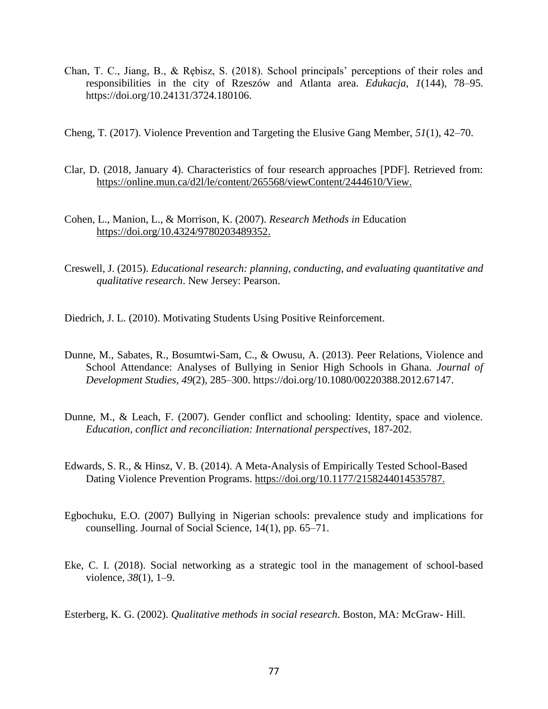- Chan, T. C., Jiang, B., & Rębisz, S. (2018). School principals' perceptions of their roles and responsibilities in the city of Rzeszów and Atlanta area. *Edukacja*, *1*(144), 78–95. https://doi.org/10.24131/3724.180106.
- Cheng, T. (2017). Violence Prevention and Targeting the Elusive Gang Member, *51*(1), 42–70.
- Clar, D. (2018, January 4). Characteristics of four research approaches [PDF]. Retrieved from: [https://online.mun.ca/d2l/le/content/265568/viewContent/2444610/View.](https://online.mun.ca/d2l/le/content/265568/viewContent/2444610/View)
- Cohen, L., Manion, L., & Morrison, K. (2007). *Research Methods in* Education [https://doi.org/10.4324/9780203489352.](https://doi.org/10.4324/9780203489352)
- Creswell, J. (2015). *Educational research: planning, conducting, and evaluating quantitative and qualitative research*. New Jersey: Pearson.

Diedrich, J. L. (2010). Motivating Students Using Positive Reinforcement.

- Dunne, M., Sabates, R., Bosumtwi-Sam, C., & Owusu, A. (2013). Peer Relations, Violence and School Attendance: Analyses of Bullying in Senior High Schools in Ghana. *Journal of Development Studies*, *49*(2), 285–300. https://doi.org/10.1080/00220388.2012.67147.
- Dunne, M., & Leach, F. (2007). Gender conflict and schooling: Identity, space and violence. *Education, conflict and reconciliation: International perspectives*, 187-202.
- Edwards, S. R., & Hinsz, V. B. (2014). A Meta-Analysis of Empirically Tested School-Based Dating Violence Prevention Programs. [https://doi.org/10.1177/2158244014535787.](https://doi.org/10.1177/2158244014535787)
- Egbochuku, E.O. (2007) Bullying in Nigerian schools: prevalence study and implications for counselling. Journal of Social Science, 14(1), pp. 65–71.
- Eke, C. I. (2018). Social networking as a strategic tool in the management of school-based violence, *38*(1), 1–9.

Esterberg, K. G. (2002). *Qualitative methods in social research*. Boston, MA: McGraw- Hill.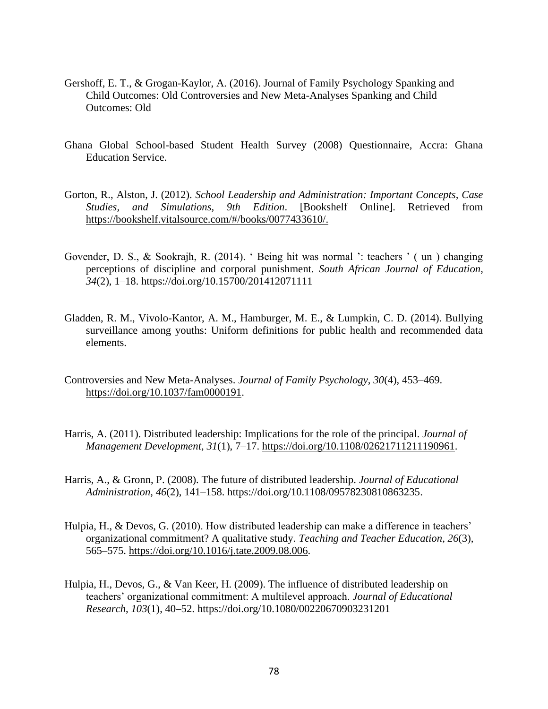- Gershoff, E. T., & Grogan-Kaylor, A. (2016). Journal of Family Psychology Spanking and Child Outcomes: Old Controversies and New Meta-Analyses Spanking and Child Outcomes: Old
- Ghana Global School-based Student Health Survey (2008) Questionnaire, Accra: Ghana Education Service.
- Gorton, R., Alston, J. (2012). *School Leadership and Administration: Important Concepts, Case Studies, and Simulations, 9th Edition*. [Bookshelf Online]. Retrieved from [https://bookshelf.vitalsource.com/#/books/0077433610/.](https://bookshelf.vitalsource.com/#/books/0077433610/)
- Govender, D. S., & Sookrajh, R. (2014). ' Being hit was normal ': teachers ' ( un ) changing perceptions of discipline and corporal punishment. *South African Journal of Education*, *34*(2), 1–18. https://doi.org/10.15700/201412071111
- Gladden, R. M., Vivolo-Kantor, A. M., Hamburger, M. E., & Lumpkin, C. D. (2014). Bullying surveillance among youths: Uniform definitions for public health and recommended data elements.
- Controversies and New Meta-Analyses. *Journal of Family Psychology*, *30*(4), 453–469. [https://doi.org/10.1037/fam0000191.](https://doi.org/10.1037/fam0000191)
- Harris, A. (2011). Distributed leadership: Implications for the role of the principal. *Journal of Management Development*, *31*(1), 7–17. [https://doi.org/10.1108/02621711211190961.](https://doi.org/10.1108/02621711211190961)
- Harris, A., & Gronn, P. (2008). The future of distributed leadership. *Journal of Educational Administration*, *46*(2), 141–158. [https://doi.org/10.1108/09578230810863235.](https://doi.org/10.1108/09578230810863235)
- Hulpia, H., & Devos, G. (2010). How distributed leadership can make a difference in teachers' organizational commitment? A qualitative study. *Teaching and Teacher Education*, *26*(3), 565–575. [https://doi.org/10.1016/j.tate.2009.08.006.](https://doi.org/10.1016/j.tate.2009.08.006)
- Hulpia, H., Devos, G., & Van Keer, H. (2009). The influence of distributed leadership on teachers' organizational commitment: A multilevel approach. *Journal of Educational Research*, *103*(1), 40–52. https://doi.org/10.1080/00220670903231201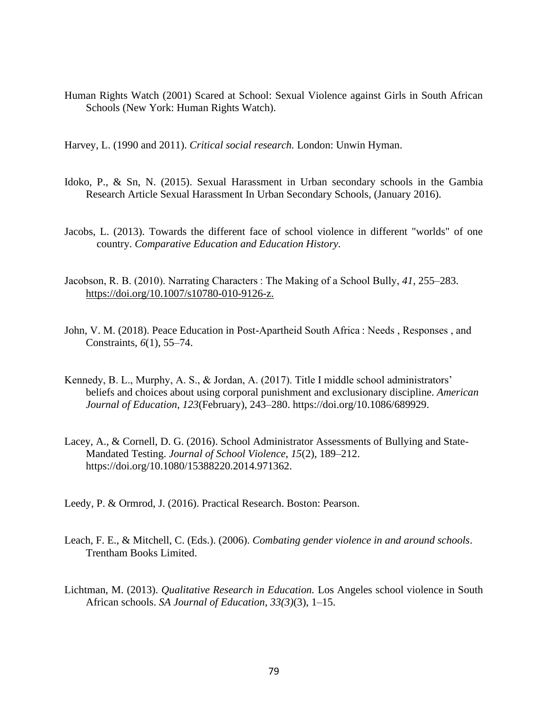Human Rights Watch (2001) Scared at School: Sexual Violence against Girls in South African Schools (New York: Human Rights Watch).

Harvey, L. (1990 and 2011). *Critical social research.* London: Unwin Hyman.

- Idoko, P., & Sn, N. (2015). Sexual Harassment in Urban secondary schools in the Gambia Research Article Sexual Harassment In Urban Secondary Schools, (January 2016).
- Jacobs, L. (2013). Towards the different face of school violence in different "worlds" of one country. *Comparative Education and Education History.*
- Jacobson, R. B. (2010). Narrating Characters : The Making of a School Bully, *41*, 255–283. [https://doi.org/10.1007/s10780-010-9126-z.](https://doi.org/10.1007/s10780-010-9126-z)
- John, V. M. (2018). Peace Education in Post-Apartheid South Africa : Needs , Responses , and Constraints, *6*(1), 55–74.
- Kennedy, B. L., Murphy, A. S., & Jordan, A. (2017). Title I middle school administrators' beliefs and choices about using corporal punishment and exclusionary discipline. *American Journal of Education*, *123*(February), 243–280. https://doi.org/10.1086/689929.
- Lacey, A., & Cornell, D. G. (2016). School Administrator Assessments of Bullying and State-Mandated Testing. *Journal of School Violence*, *15*(2), 189–212. https://doi.org/10.1080/15388220.2014.971362.
- Leedy, P. & Ormrod, J. (2016). Practical Research. Boston: Pearson.
- Leach, F. E., & Mitchell, C. (Eds.). (2006). *Combating gender violence in and around schools*. Trentham Books Limited.
- Lichtman, M. (2013). *Qualitative Research in Education.* Los Angeles school violence in South African schools. *SA Journal of Education*, *33(3)*(3), 1–15.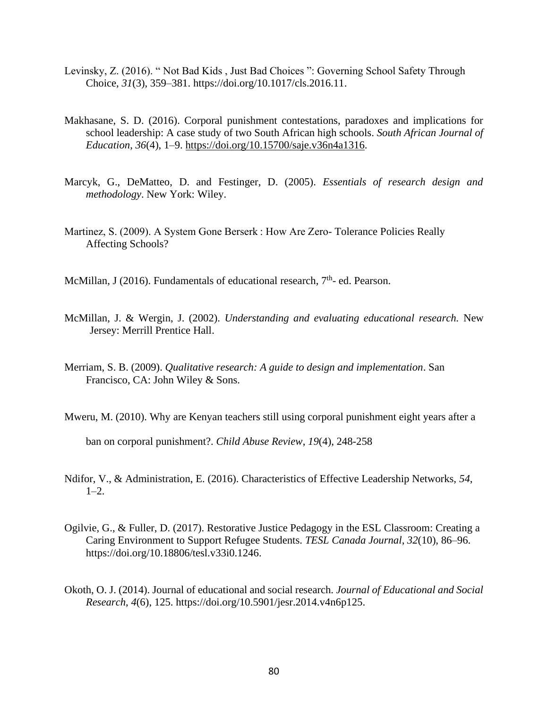- Levinsky, Z. (2016). " Not Bad Kids , Just Bad Choices ": Governing School Safety Through Choice, *31*(3), 359–381. https://doi.org/10.1017/cls.2016.11.
- Makhasane, S. D. (2016). Corporal punishment contestations, paradoxes and implications for school leadership: A case study of two South African high schools. *South African Journal of Education*, *36*(4), 1–9. [https://doi.org/10.15700/saje.v36n4a1316.](https://doi.org/10.15700/saje.v36n4a1316)
- Marcyk, G., DeMatteo, D. and Festinger, D. (2005). *Essentials of research design and methodology*. New York: Wiley.
- Martinez, S. (2009). A System Gone Berserk : How Are Zero- Tolerance Policies Really Affecting Schools?

McMillan, J (2016). Fundamentals of educational research, 7<sup>th</sup>- ed. Pearson.

- McMillan, J. & Wergin, J. (2002). *Understanding and evaluating educational research.* New Jersey: Merrill Prentice Hall.
- Merriam, S. B. (2009). *Qualitative research: A guide to design and implementation*. San Francisco, CA: John Wiley & Sons.

Mweru, M. (2010). Why are Kenyan teachers still using corporal punishment eight years after a ban on corporal punishment?. *Child Abuse Review*, *19*(4), 248-258

- Ndifor, V., & Administration, E. (2016). Characteristics of Effective Leadership Networks, *54*,  $1-2.$
- Ogilvie, G., & Fuller, D. (2017). Restorative Justice Pedagogy in the ESL Classroom: Creating a Caring Environment to Support Refugee Students. *TESL Canada Journal*, *32*(10), 86–96. https://doi.org/10.18806/tesl.v33i0.1246.
- Okoth, O. J. (2014). Journal of educational and social research. *Journal of Educational and Social Research*, *4*(6), 125. https://doi.org/10.5901/jesr.2014.v4n6p125.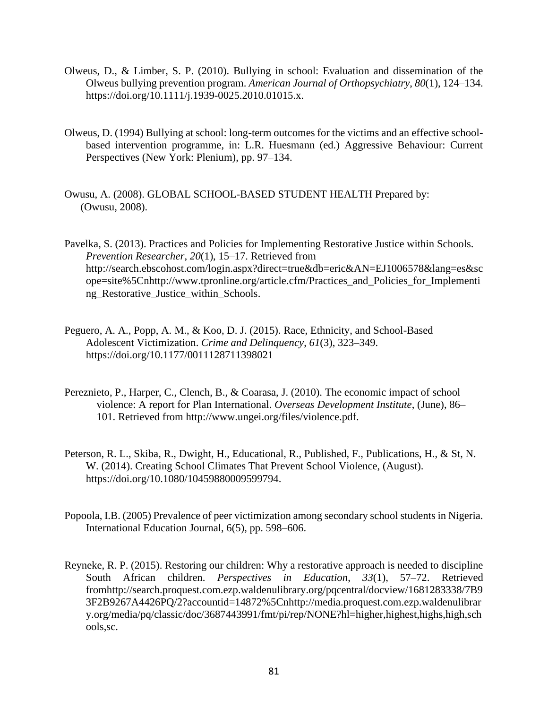- Olweus, D., & Limber, S. P. (2010). Bullying in school: Evaluation and dissemination of the Olweus bullying prevention program. *American Journal of Orthopsychiatry*, *80*(1), 124–134. https://doi.org/10.1111/j.1939-0025.2010.01015.x.
- Olweus, D. (1994) Bullying at school: long-term outcomes for the victims and an effective schoolbased intervention programme, in: L.R. Huesmann (ed.) Aggressive Behaviour: Current Perspectives (New York: Plenium), pp. 97–134.
- Owusu, A. (2008). GLOBAL SCHOOL-BASED STUDENT HEALTH Prepared by: (Owusu, 2008).

Pavelka, S. (2013). Practices and Policies for Implementing Restorative Justice within Schools. *Prevention Researcher*, *20*(1), 15–17. Retrieved from http://search.ebscohost.com/login.aspx?direct=true&db=eric&AN=EJ1006578&lang=es&sc ope=site%5Cnhttp://www.tpronline.org/article.cfm/Practices\_and\_Policies\_for\_Implementi ng\_Restorative\_Justice\_within\_Schools.

- Peguero, A. A., Popp, A. M., & Koo, D. J. (2015). Race, Ethnicity, and School-Based Adolescent Victimization. *Crime and Delinquency*, *61*(3), 323–349. https://doi.org/10.1177/0011128711398021
- Pereznieto, P., Harper, C., Clench, B., & Coarasa, J. (2010). The economic impact of school violence: A report for Plan International. *Overseas Development Institute*, (June), 86– 101. Retrieved from http://www.ungei.org/files/violence.pdf.
- Peterson, R. L., Skiba, R., Dwight, H., Educational, R., Published, F., Publications, H., & St, N. W. (2014). Creating School Climates That Prevent School Violence, (August). https://doi.org/10.1080/10459880009599794.
- Popoola, I.B. (2005) Prevalence of peer victimization among secondary school students in Nigeria. International Education Journal, 6(5), pp. 598–606.
- Reyneke, R. P. (2015). Restoring our children: Why a restorative approach is needed to discipline South African children. *Perspectives in Education*, *33*(1), 57–72. Retrieved fromhttp://search.proquest.com.ezp.waldenulibrary.org/pqcentral/docview/1681283338/7B9 3F2B9267A4426PQ/2?accountid=14872%5Cnhttp://media.proquest.com.ezp.waldenulibrar y.org/media/pq/classic/doc/3687443991/fmt/pi/rep/NONE?hl=higher,highest,highs,high,sch ools,sc.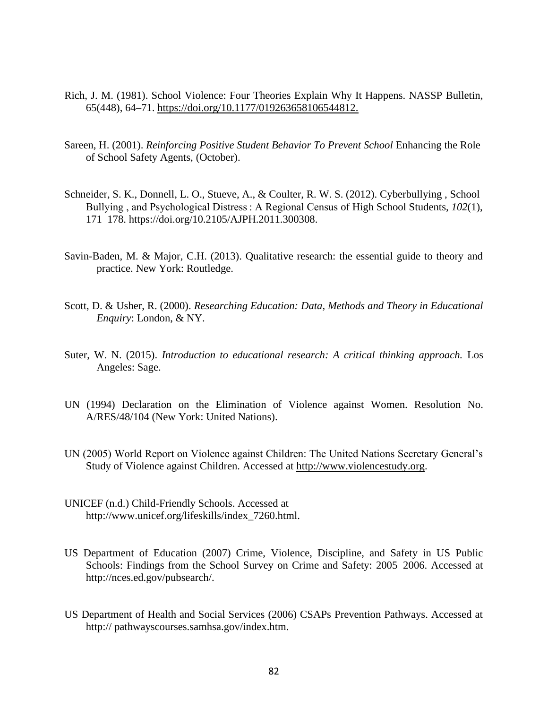- Rich, J. M. (1981). School Violence: Four Theories Explain Why It Happens. NASSP Bulletin, 65(448), 64–71. [https://doi.org/10.1177/019263658106544812.](https://doi.org/10.1177/019263658106544812)
- Sareen, H. (2001). *Reinforcing Positive Student Behavior To Prevent School* Enhancing the Role of School Safety Agents, (October).
- Schneider, S. K., Donnell, L. O., Stueve, A., & Coulter, R. W. S. (2012). Cyberbullying , School Bullying , and Psychological Distress : A Regional Census of High School Students, *102*(1), 171–178. https://doi.org/10.2105/AJPH.2011.300308.
- Savin-Baden, M. & Major, C.H. (2013). Qualitative research: the essential guide to theory and practice. New York: Routledge.
- Scott, D. & Usher, R. (2000). *Researching Education: Data, Methods and Theory in Educational Enquiry*: London, & NY.
- Suter, W. N. (2015). *Introduction to educational research: A critical thinking approach.* Los Angeles: Sage.
- UN (1994) Declaration on the Elimination of Violence against Women. Resolution No. A/RES/48/104 (New York: United Nations).
- UN (2005) World Report on Violence against Children: The United Nations Secretary General's Study of Violence against Children. Accessed at [http://www.violencestudy.org.](http://www.violencestudy.org/)
- UNICEF (n.d.) Child-Friendly Schools. Accessed at http://www.unicef.org/lifeskills/index\_7260.html.
- US Department of Education (2007) Crime, Violence, Discipline, and Safety in US Public Schools: Findings from the School Survey on Crime and Safety: 2005–2006. Accessed at http://nces.ed.gov/pubsearch/.
- US Department of Health and Social Services (2006) CSAPs Prevention Pathways. Accessed at http:// pathwayscourses.samhsa.gov/index.htm.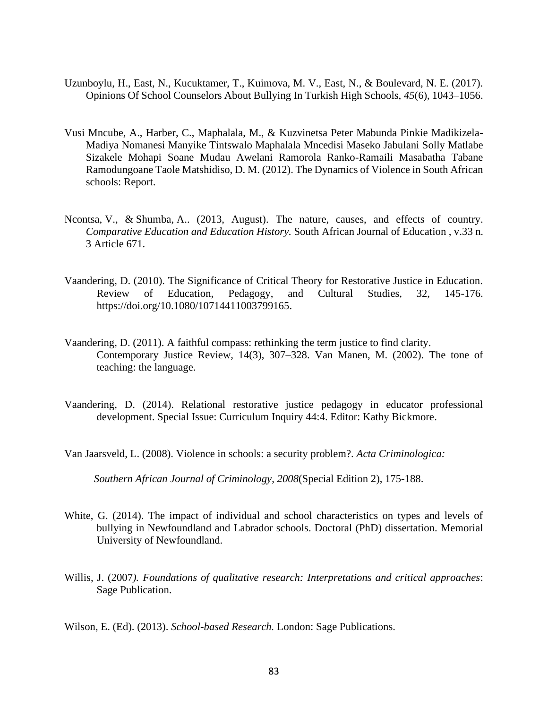- Uzunboylu, H., East, N., Kucuktamer, T., Kuimova, M. V., East, N., & Boulevard, N. E. (2017). Opinions Of School Counselors About Bullying In Turkish High Schools, *45*(6), 1043–1056.
- Vusi Mncube, A., Harber, C., Maphalala, M., & Kuzvinetsa Peter Mabunda Pinkie Madikizela-Madiya Nomanesi Manyike Tintswalo Maphalala Mncedisi Maseko Jabulani Solly Matlabe Sizakele Mohapi Soane Mudau Awelani Ramorola Ranko-Ramaili Masabatha Tabane Ramodungoane Taole Matshidiso, D. M. (2012). The Dynamics of Violence in South African schools: Report.
- Ncontsa, V., & Shumba, A.. (2013, August). The nature, causes, and effects of country. *Comparative Education and Education History.* South African Journal of Education , v.33 n. 3 Article 671.
- Vaandering, D. (2010). The Significance of Critical Theory for Restorative Justice in Education. Review of Education, Pedagogy, and Cultural Studies, 32, 145-176. https://doi.org/10.1080/10714411003799165.
- Vaandering, D. (2011). A faithful compass: rethinking the term justice to find clarity. Contemporary Justice Review, 14(3), 307–328. Van Manen, M. (2002). The tone of teaching: the language.
- Vaandering, D. (2014). Relational restorative justice pedagogy in educator professional development. Special Issue: Curriculum Inquiry 44:4. Editor: Kathy Bickmore.
- Van Jaarsveld, L. (2008). Violence in schools: a security problem?. *Acta Criminologica:*

 *Southern African Journal of Criminology*, *2008*(Special Edition 2), 175-188.

- White, G. (2014). The impact of individual and school characteristics on types and levels of bullying in Newfoundland and Labrador schools. Doctoral (PhD) dissertation. Memorial University of Newfoundland.
- Willis, J. (2007*). Foundations of qualitative research: Interpretations and critical approaches*: Sage Publication.

Wilson, E. (Ed). (2013). *School-based Research.* London: Sage Publications.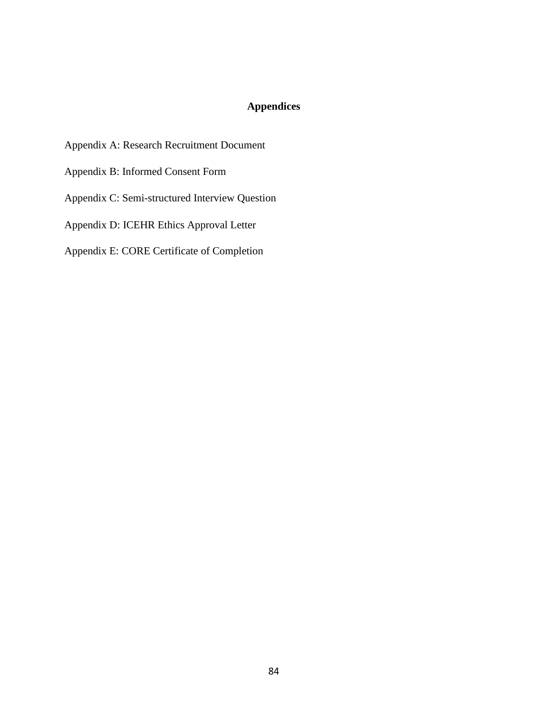# **Appendices**

- Appendix A: Research Recruitment Document
- Appendix B: Informed Consent Form
- Appendix C: Semi-structured Interview Question
- Appendix D: ICEHR Ethics Approval Letter
- Appendix E: CORE Certificate of Completion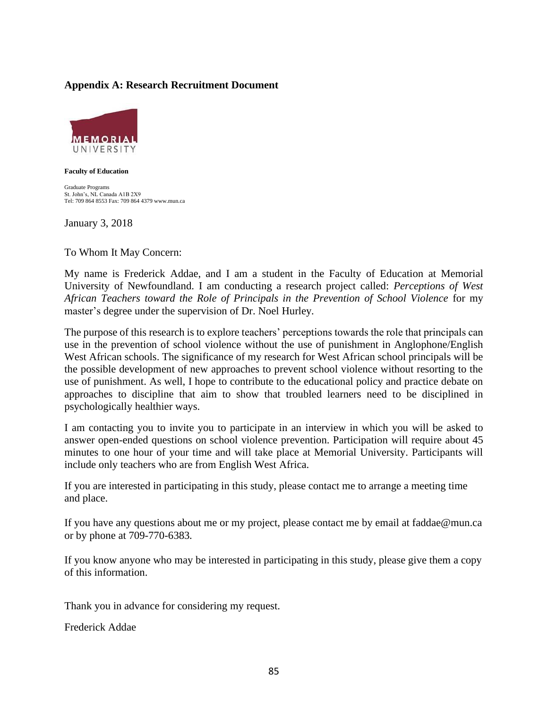## **Appendix A: Research Recruitment Document**



#### **Faculty of Education**

Graduate Programs St. John's, NL Canada A1B 2X9 Tel: 709 864 8553 Fax: 709 864 4379 www.mun.ca

January 3, 2018

To Whom It May Concern:

My name is Frederick Addae, and I am a student in the Faculty of Education at Memorial University of Newfoundland. I am conducting a research project called: *Perceptions of West African Teachers toward the Role of Principals in the Prevention of School Violence* for my master's degree under the supervision of Dr. Noel Hurley*.*

The purpose of this research is to explore teachers' perceptions towards the role that principals can use in the prevention of school violence without the use of punishment in Anglophone/English West African schools. The significance of my research for West African school principals will be the possible development of new approaches to prevent school violence without resorting to the use of punishment. As well, I hope to contribute to the educational policy and practice debate on approaches to discipline that aim to show that troubled learners need to be disciplined in psychologically healthier ways.

I am contacting you to invite you to participate in an interview in which you will be asked to answer open-ended questions on school violence prevention. Participation will require about 45 minutes to one hour of your time and will take place at Memorial University. Participants will include only teachers who are from English West Africa.

If you are interested in participating in this study, please contact me to arrange a meeting time and place.

If you have any questions about me or my project, please contact me by email at faddae@mun.ca or by phone at 709-770-6383*.*

If you know anyone who may be interested in participating in this study, please give them a copy of this information.

Thank you in advance for considering my request.

Frederick Addae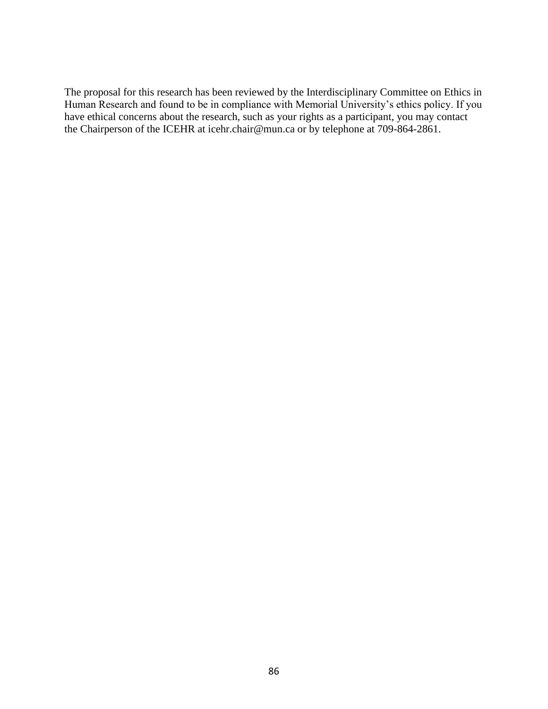The proposal for this research has been reviewed by the Interdisciplinary Committee on Ethics in Human Research and found to be in compliance with Memorial University's ethics policy. If you have ethical concerns about the research, such as your rights as a participant, you may contact the Chairperson of the ICEHR at icehr.chair@mun.ca or by telephone at 709-864-2861.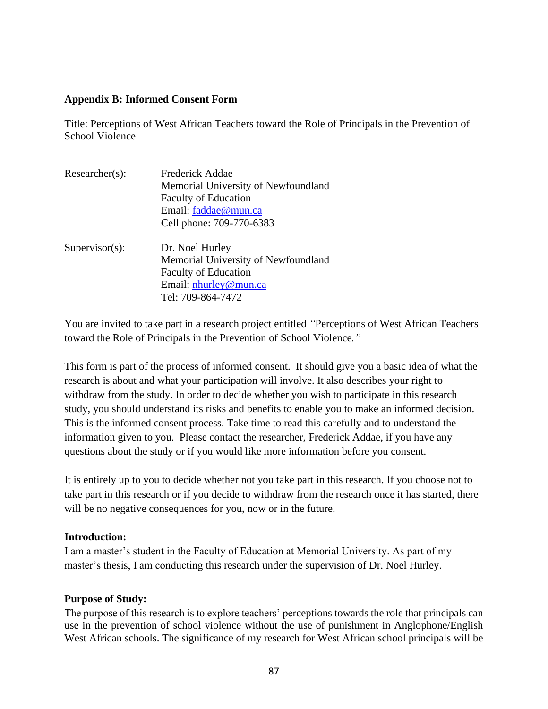### **Appendix B: Informed Consent Form**

Title: Perceptions of West African Teachers toward the Role of Principals in the Prevention of School Violence

| Researcher(s):    | <b>Frederick Addae</b>              |  |  |
|-------------------|-------------------------------------|--|--|
|                   | Memorial University of Newfoundland |  |  |
|                   | <b>Faculty of Education</b>         |  |  |
|                   | Email: faddae@mun.ca                |  |  |
|                   | Cell phone: 709-770-6383            |  |  |
| $Supervisor(s)$ : | Dr. Noel Hurley                     |  |  |
|                   | Memorial University of Newfoundland |  |  |
|                   | <b>Faculty of Education</b>         |  |  |
|                   | Email: nhurley@mun.ca               |  |  |
|                   | Tel: 709-864-7472                   |  |  |

You are invited to take part in a research project entitled *"*Perceptions of West African Teachers toward the Role of Principals in the Prevention of School Violence*."*

This form is part of the process of informed consent. It should give you a basic idea of what the research is about and what your participation will involve. It also describes your right to withdraw from the study. In order to decide whether you wish to participate in this research study, you should understand its risks and benefits to enable you to make an informed decision. This is the informed consent process. Take time to read this carefully and to understand the information given to you. Please contact the researcher, Frederick Addae, if you have any questions about the study or if you would like more information before you consent.

It is entirely up to you to decide whether not you take part in this research. If you choose not to take part in this research or if you decide to withdraw from the research once it has started, there will be no negative consequences for you, now or in the future.

## **Introduction:**

I am a master's student in the Faculty of Education at Memorial University. As part of my master's thesis, I am conducting this research under the supervision of Dr. Noel Hurley.

## **Purpose of Study:**

The purpose of this research is to explore teachers' perceptions towards the role that principals can use in the prevention of school violence without the use of punishment in Anglophone/English West African schools. The significance of my research for West African school principals will be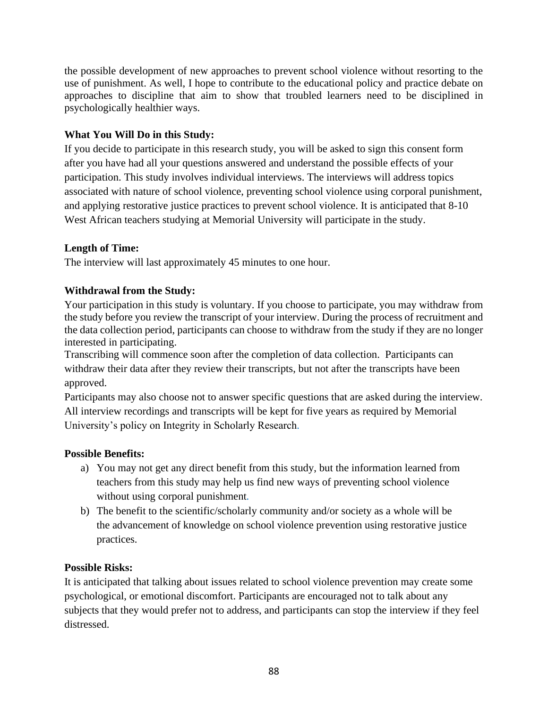the possible development of new approaches to prevent school violence without resorting to the use of punishment. As well, I hope to contribute to the educational policy and practice debate on approaches to discipline that aim to show that troubled learners need to be disciplined in psychologically healthier ways.

## **What You Will Do in this Study:**

If you decide to participate in this research study, you will be asked to sign this consent form after you have had all your questions answered and understand the possible effects of your participation. This study involves individual interviews. The interviews will address topics associated with nature of school violence, preventing school violence using corporal punishment, and applying restorative justice practices to prevent school violence. It is anticipated that 8-10 West African teachers studying at Memorial University will participate in the study.

## **Length of Time:**

The interview will last approximately 45 minutes to one hour.

## **Withdrawal from the Study:**

Your participation in this study is voluntary. If you choose to participate, you may withdraw from the study before you review the transcript of your interview. During the process of recruitment and the data collection period, participants can choose to withdraw from the study if they are no longer interested in participating.

Transcribing will commence soon after the completion of data collection. Participants can withdraw their data after they review their transcripts, but not after the transcripts have been approved.

Participants may also choose not to answer specific questions that are asked during the interview. All interview recordings and transcripts will be kept for five years as required by Memorial University's policy on Integrity in Scholarly Research*.*

## **Possible Benefits:**

- a) You may not get any direct benefit from this study, but the information learned from teachers from this study may help us find new ways of preventing school violence without using corporal punishment*.*
- b) The benefit to the scientific/scholarly community and/or society as a whole will be the advancement of knowledge on school violence prevention using restorative justice practices.

## **Possible Risks:**

It is anticipated that talking about issues related to school violence prevention may create some psychological, or emotional discomfort. Participants are encouraged not to talk about any subjects that they would prefer not to address, and participants can stop the interview if they feel distressed.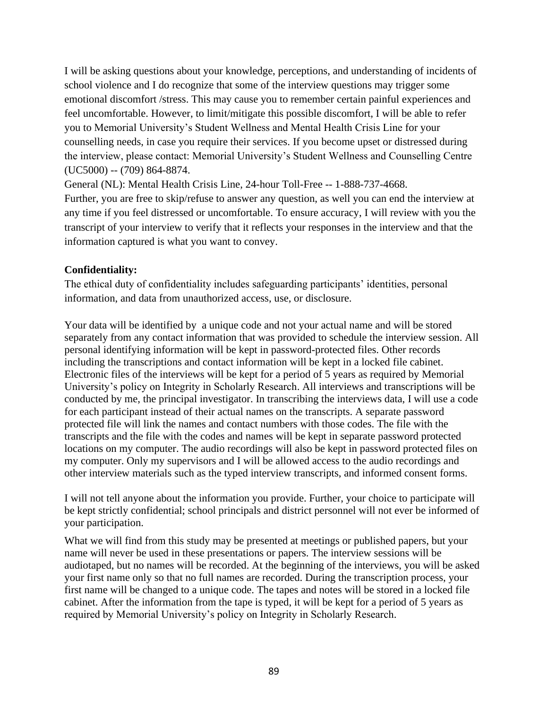I will be asking questions about your knowledge, perceptions, and understanding of incidents of school violence and I do recognize that some of the interview questions may trigger some emotional discomfort /stress. This may cause you to remember certain painful experiences and feel uncomfortable. However, to limit/mitigate this possible discomfort, I will be able to refer you to Memorial University's Student Wellness and Mental Health Crisis Line for your counselling needs, in case you require their services. If you become upset or distressed during the interview, please contact: Memorial University's Student Wellness and Counselling Centre (UC5000) -- (709) 864-8874.

General (NL): Mental Health Crisis Line, 24-hour Toll-Free -- 1-888-737-4668.

Further, you are free to skip/refuse to answer any question, as well you can end the interview at any time if you feel distressed or uncomfortable. To ensure accuracy, I will review with you the transcript of your interview to verify that it reflects your responses in the interview and that the information captured is what you want to convey.

## **Confidentiality:**

The ethical duty of confidentiality includes safeguarding participants' identities, personal information, and data from unauthorized access, use, or disclosure.

Your data will be identified by a unique code and not your actual name and will be stored separately from any contact information that was provided to schedule the interview session. All personal identifying information will be kept in password-protected files. Other records including the transcriptions and contact information will be kept in a locked file cabinet. Electronic files of the interviews will be kept for a period of 5 years as required by Memorial University's policy on Integrity in Scholarly Research. All interviews and transcriptions will be conducted by me, the principal investigator. In transcribing the interviews data, I will use a code for each participant instead of their actual names on the transcripts. A separate password protected file will link the names and contact numbers with those codes. The file with the transcripts and the file with the codes and names will be kept in separate password protected locations on my computer. The audio recordings will also be kept in password protected files on my computer. Only my supervisors and I will be allowed access to the audio recordings and other interview materials such as the typed interview transcripts, and informed consent forms.

I will not tell anyone about the information you provide. Further, your choice to participate will be kept strictly confidential; school principals and district personnel will not ever be informed of your participation.

What we will find from this study may be presented at meetings or published papers, but your name will never be used in these presentations or papers. The interview sessions will be audiotaped, but no names will be recorded. At the beginning of the interviews, you will be asked your first name only so that no full names are recorded. During the transcription process, your first name will be changed to a unique code. The tapes and notes will be stored in a locked file cabinet. After the information from the tape is typed, it will be kept for a period of 5 years as required by Memorial University's policy on Integrity in Scholarly Research.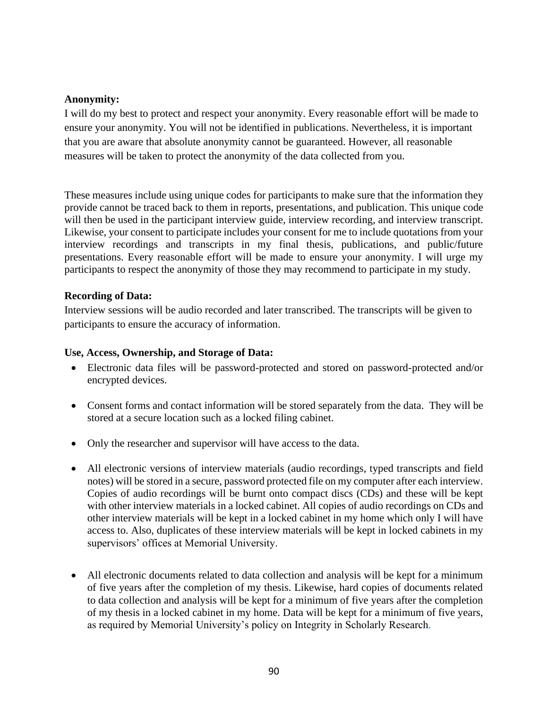## **Anonymity:**

I will do my best to protect and respect your anonymity. Every reasonable effort will be made to ensure your anonymity. You will not be identified in publications. Nevertheless, it is important that you are aware that absolute anonymity cannot be guaranteed. However, all reasonable measures will be taken to protect the anonymity of the data collected from you.

These measures include using unique codes for participants to make sure that the information they provide cannot be traced back to them in reports, presentations, and publication. This unique code will then be used in the participant interview guide, interview recording, and interview transcript. Likewise, your consent to participate includes your consent for me to include quotations from your interview recordings and transcripts in my final thesis, publications, and public/future presentations. Every reasonable effort will be made to ensure your anonymity. I will urge my participants to respect the anonymity of those they may recommend to participate in my study.

## **Recording of Data:**

Interview sessions will be audio recorded and later transcribed. The transcripts will be given to participants to ensure the accuracy of information.

## **Use, Access, Ownership, and Storage of Data:**

- Electronic data files will be password-protected and stored on password-protected and/or encrypted devices.
- Consent forms and contact information will be stored separately from the data. They will be stored at a secure location such as a locked filing cabinet.
- Only the researcher and supervisor will have access to the data.
- All electronic versions of interview materials (audio recordings, typed transcripts and field notes) will be stored in a secure, password protected file on my computer after each interview. Copies of audio recordings will be burnt onto compact discs (CDs) and these will be kept with other interview materials in a locked cabinet. All copies of audio recordings on CDs and other interview materials will be kept in a locked cabinet in my home which only I will have access to. Also, duplicates of these interview materials will be kept in locked cabinets in my supervisors' offices at Memorial University.
- All electronic documents related to data collection and analysis will be kept for a minimum of five years after the completion of my thesis. Likewise, hard copies of documents related to data collection and analysis will be kept for a minimum of five years after the completion of my thesis in a locked cabinet in my home. Data will be kept for a minimum of five years, as required by Memorial University's policy on Integrity in Scholarly Research*.*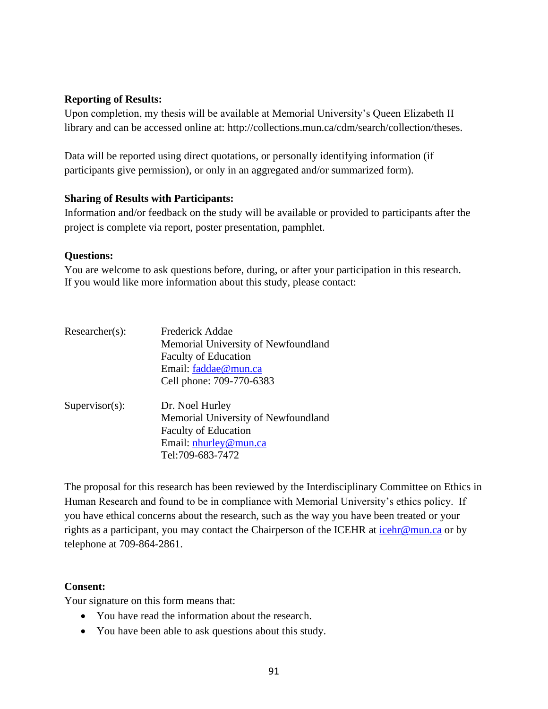## **Reporting of Results:**

Upon completion, my thesis will be available at Memorial University's Queen Elizabeth II library and can be accessed online at: http://collections.mun.ca/cdm/search/collection/theses.

Data will be reported using direct quotations, or personally identifying information (if participants give permission), or only in an aggregated and/or summarized form).

## **Sharing of Results with Participants:**

Information and/or feedback on the study will be available or provided to participants after the project is complete via report, poster presentation, pamphlet.

## **Questions:**

You are welcome to ask questions before, during, or after your participation in this research. If you would like more information about this study, please contact:

| $Researcher(s)$ : | Frederick Addae                     |  |  |
|-------------------|-------------------------------------|--|--|
|                   | Memorial University of Newfoundland |  |  |
|                   | <b>Faculty of Education</b>         |  |  |
|                   | Email: faddae@mun.ca                |  |  |
|                   | Cell phone: 709-770-6383            |  |  |
| $Supervisor(s)$ : | Dr. Noel Hurley                     |  |  |
|                   | Memorial University of Newfoundland |  |  |
|                   | <b>Faculty of Education</b>         |  |  |
|                   | Email: nhurley@mun.ca               |  |  |
|                   | Tel:709-683-7472                    |  |  |

The proposal for this research has been reviewed by the Interdisciplinary Committee on Ethics in Human Research and found to be in compliance with Memorial University's ethics policy. If you have ethical concerns about the research, such as the way you have been treated or your rights as a participant, you may contact the Chairperson of the ICEHR at [icehr@mun.ca](mailto:icehr@mun.ca) or by telephone at 709-864-2861.

## **Consent:**

Your signature on this form means that:

- You have read the information about the research.
- You have been able to ask questions about this study.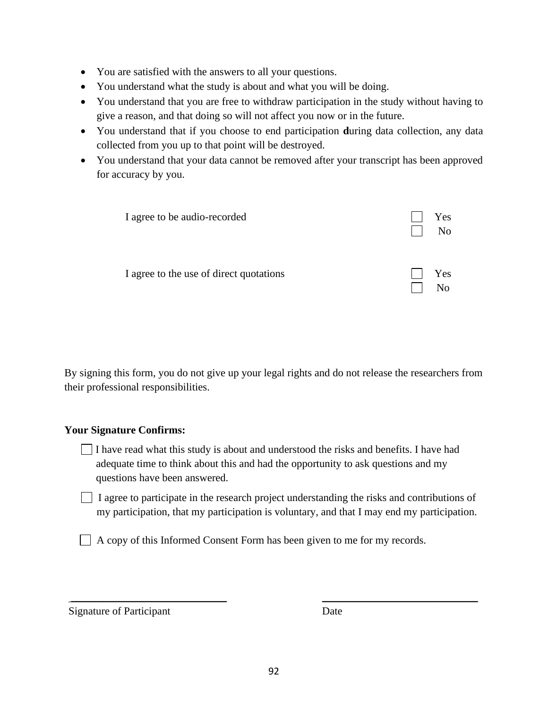- You are satisfied with the answers to all your questions.
- You understand what the study is about and what you will be doing.
- You understand that you are free to withdraw participation in the study without having to give a reason, and that doing so will not affect you now or in the future.
- You understand that if you choose to end participation **d**uring data collection, any data collected from you up to that point will be destroyed.
- You understand that your data cannot be removed after your transcript has been approved for accuracy by you.

| I agree to be audio-recorded            | Yes<br>N <sub>o</sub> |
|-----------------------------------------|-----------------------|
| I agree to the use of direct quotations | Yes<br>No             |

By signing this form, you do not give up your legal rights and do not release the researchers from their professional responsibilities.

## **Your Signature Confirms:**

- I have read what this study is about and understood the risks and benefits. I have had adequate time to think about this and had the opportunity to ask questions and my questions have been answered.
- $\Box$  I agree to participate in the research project understanding the risks and contributions of my participation, that my participation is voluntary, and that I may end my participation.

A copy of this Informed Consent Form has been given to me for my records.

Signature of Participant Date

\_\_\_\_\_\_\_\_\_\_\_\_\_\_\_\_\_\_\_\_\_\_\_\_\_\_\_\_\_ \_\_\_\_\_\_\_\_\_\_\_\_\_\_\_\_\_\_\_\_\_\_\_\_\_\_\_\_\_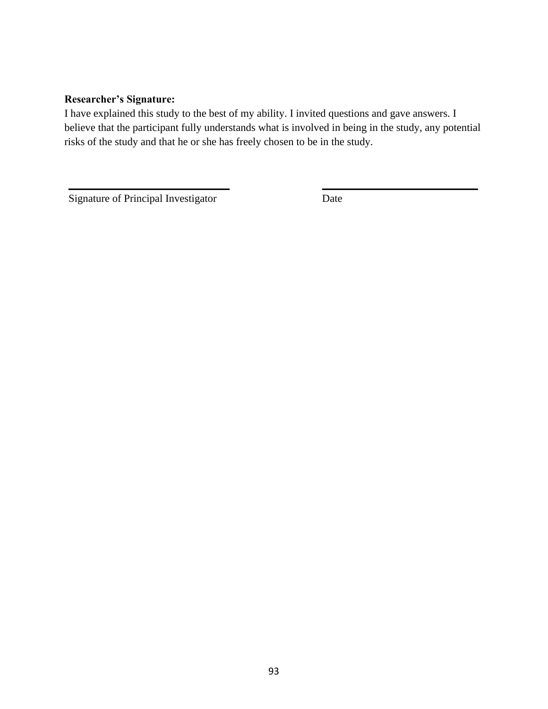## **Researcher's Signature:**

I have explained this study to the best of my ability. I invited questions and gave answers. I believe that the participant fully understands what is involved in being in the study, any potential risks of the study and that he or she has freely chosen to be in the study.

 $\overline{\phantom{a}}$  , and the contract of the contract of the contract of the contract of the contract of the contract of the contract of the contract of the contract of the contract of the contract of the contract of the contrac

Signature of Principal Investigator Date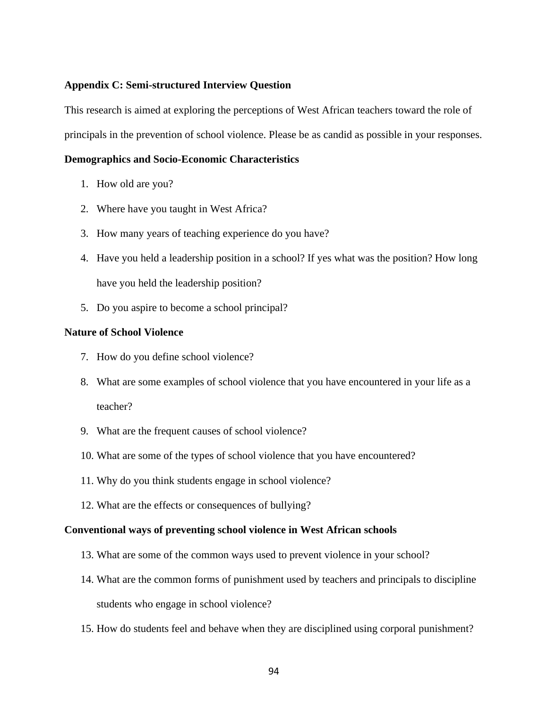### **Appendix C: Semi-structured Interview Question**

This research is aimed at exploring the perceptions of West African teachers toward the role of principals in the prevention of school violence. Please be as candid as possible in your responses.

### **Demographics and Socio-Economic Characteristics**

- 1. How old are you?
- 2. Where have you taught in West Africa?
- 3. How many years of teaching experience do you have?
- 4. Have you held a leadership position in a school? If yes what was the position? How long have you held the leadership position?
- 5. Do you aspire to become a school principal?

### **Nature of School Violence**

- 7. How do you define school violence?
- 8. What are some examples of school violence that you have encountered in your life as a teacher?
- 9. What are the frequent causes of school violence?
- 10. What are some of the types of school violence that you have encountered?
- 11. Why do you think students engage in school violence?
- 12. What are the effects or consequences of bullying?

### **Conventional ways of preventing school violence in West African schools**

- 13. What are some of the common ways used to prevent violence in your school?
- 14. What are the common forms of punishment used by teachers and principals to discipline students who engage in school violence?
- 15. How do students feel and behave when they are disciplined using corporal punishment?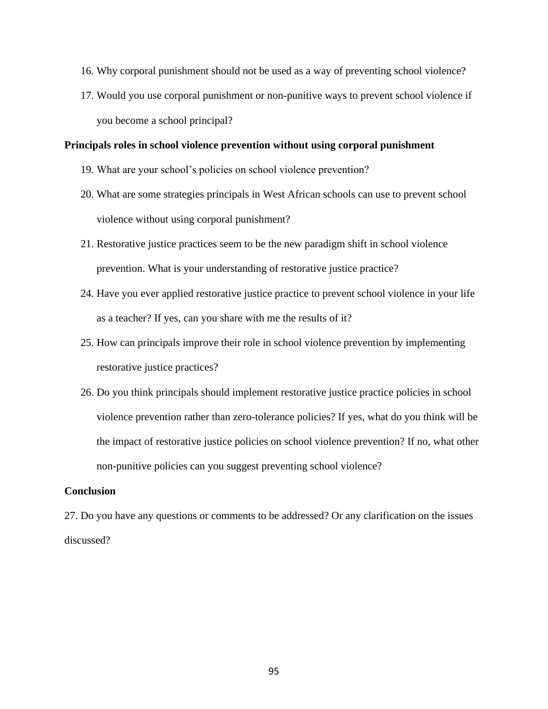- 16. Why corporal punishment should not be used as a way of preventing school violence?
- 17. Would you use corporal punishment or non-punitive ways to prevent school violence if you become a school principal?

### **Principals roles in school violence prevention without using corporal punishment**

- 19. What are your school's policies on school violence prevention?
- 20. What are some strategies principals in West African schools can use to prevent school violence without using corporal punishment?
- 21. Restorative justice practices seem to be the new paradigm shift in school violence prevention. What is your understanding of restorative justice practice?
- 24. Have you ever applied restorative justice practice to prevent school violence in your life as a teacher? If yes, can you share with me the results of it?
- 25. How can principals improve their role in school violence prevention by implementing restorative justice practices?
- 26. Do you think principals should implement restorative justice practice policies in school violence prevention rather than zero-tolerance policies? If yes, what do you think will be the impact of restorative justice policies on school violence prevention? If no, what other non-punitive policies can you suggest preventing school violence?

### **Conclusion**

27. Do you have any questions or comments to be addressed? Or any clarification on the issues discussed?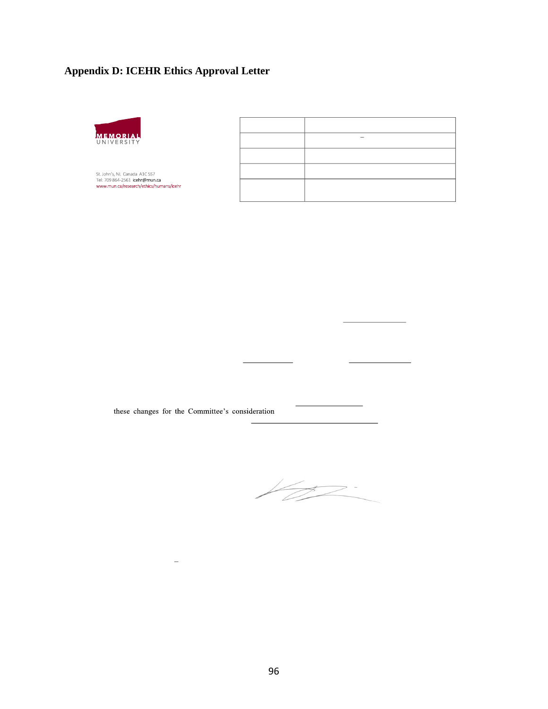# **Appendix D: ICEHR Ethics Approval Letter**



St. John's, NL Canada A1C 5S7<br>Tel: 709 864-2561 i**cehr@mun.ca**<br>www.mun.ca/research/ethics/humans/icehr

these changes for the Committee's consideration

 $\overline{a}$ 

 $\frac{1}{2}$